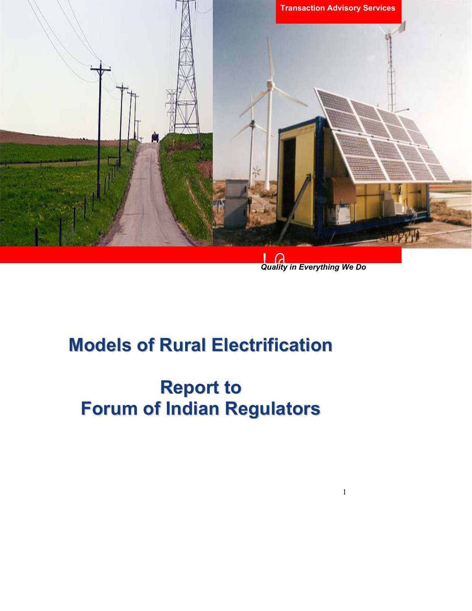

!@ *Quality in Everything We Do* 

1

# **Models of Rural Electrification**

# **Report to Forum of Indian Regulators**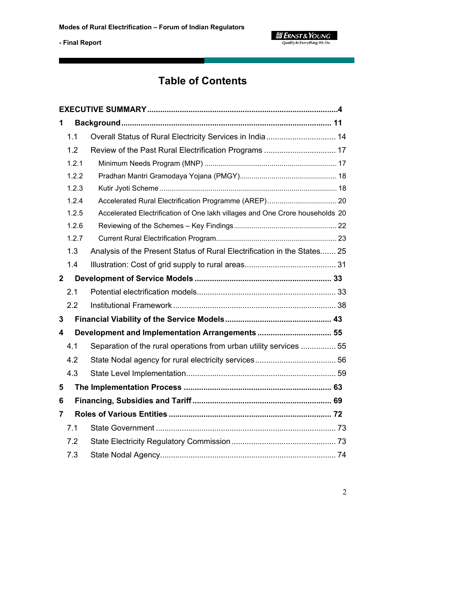$\equiv$  **ERNST & YOUNG**<br>Quality In Everything We Do

**- Final Report** 

# **Table of Contents**

| 1            |       |                                                                              |  |  |
|--------------|-------|------------------------------------------------------------------------------|--|--|
|              | 1.1   | Overall Status of Rural Electricity Services in India 14                     |  |  |
|              | 1.2   | Review of the Past Rural Electrification Programs  17                        |  |  |
|              | 1.2.1 |                                                                              |  |  |
|              | 1.2.2 |                                                                              |  |  |
|              | 1.2.3 |                                                                              |  |  |
|              | 1.2.4 |                                                                              |  |  |
|              | 1.2.5 | Accelerated Electrification of One lakh villages and One Crore households 20 |  |  |
|              | 1.2.6 |                                                                              |  |  |
|              | 1.2.7 |                                                                              |  |  |
|              | 1.3   | Analysis of the Present Status of Rural Electrification in the States 25     |  |  |
|              | 1.4   |                                                                              |  |  |
| $\mathbf{2}$ |       |                                                                              |  |  |
|              | 2.1   |                                                                              |  |  |
|              | 2.2   |                                                                              |  |  |
| 3            |       |                                                                              |  |  |
| 4            |       |                                                                              |  |  |
|              | 4.1   | Separation of the rural operations from urban utility services  55           |  |  |
|              | 4.2   |                                                                              |  |  |
|              | 4.3   |                                                                              |  |  |
| 5            |       |                                                                              |  |  |
| 6            |       |                                                                              |  |  |
| 7            |       |                                                                              |  |  |
|              | 7.1   |                                                                              |  |  |
|              | 7.2   |                                                                              |  |  |
|              | 7.3   |                                                                              |  |  |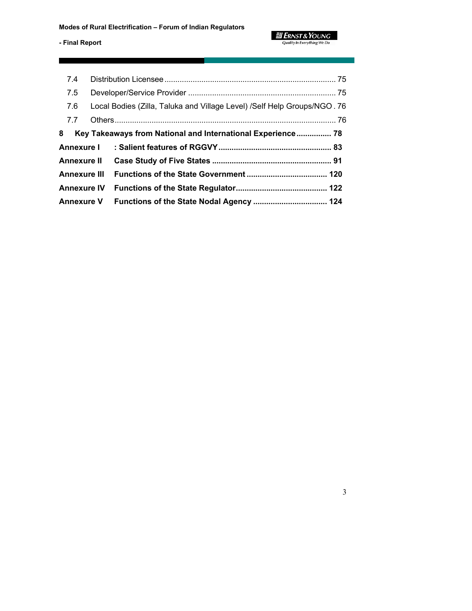| 7.4                 |                                                                           |
|---------------------|---------------------------------------------------------------------------|
| 7.5                 |                                                                           |
| 7.6                 | Local Bodies (Zilla, Taluka and Village Level) / Self Help Groups/NGO. 76 |
| 7.7                 |                                                                           |
| 8                   | Key Takeaways from National and International Experience 78               |
| <b>Annexure I</b>   |                                                                           |
| <b>Annexure II</b>  |                                                                           |
| <b>Annexure III</b> |                                                                           |
| <b>Annexure IV</b>  |                                                                           |
| <b>Annexure V</b>   | Functions of the State Nodal Agency  124                                  |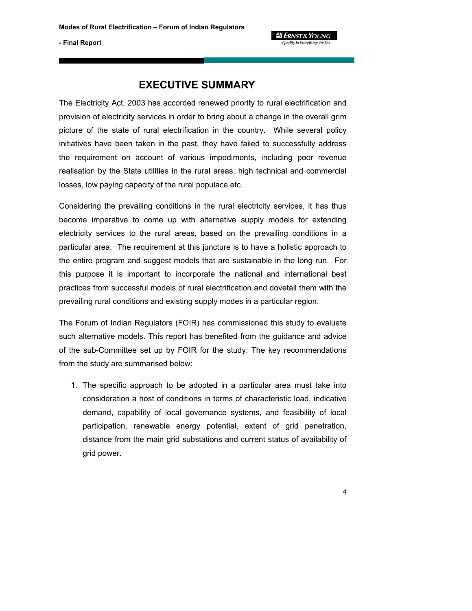

# **EXECUTIVE SUMMARY**

The Electricity Act, 2003 has accorded renewed priority to rural electrification and provision of electricity services in order to bring about a change in the overall grim picture of the state of rural electrification in the country. While several policy initiatives have been taken in the past, they have failed to successfully address the requirement on account of various impediments, including poor revenue realisation by the State utilities in the rural areas, high technical and commercial losses, low paying capacity of the rural populace etc.

Considering the prevailing conditions in the rural electricity services, it has thus become imperative to come up with alternative supply models for extending electricity services to the rural areas, based on the prevailing conditions in a particular area. The requirement at this juncture is to have a holistic approach to the entire program and suggest models that are sustainable in the long run. For this purpose it is important to incorporate the national and international best practices from successful models of rural electrification and dovetail them with the prevailing rural conditions and existing supply modes in a particular region.

The Forum of Indian Regulators (FOIR) has commissioned this study to evaluate such alternative models. This report has benefited from the guidance and advice of the sub-Committee set up by FOIR for the study. The key recommendations from the study are summarised below:

1. The specific approach to be adopted in a particular area must take into consideration a host of conditions in terms of characteristic load, indicative demand, capability of local governance systems, and feasibility of local participation, renewable energy potential, extent of grid penetration, distance from the main grid substations and current status of availability of grid power.

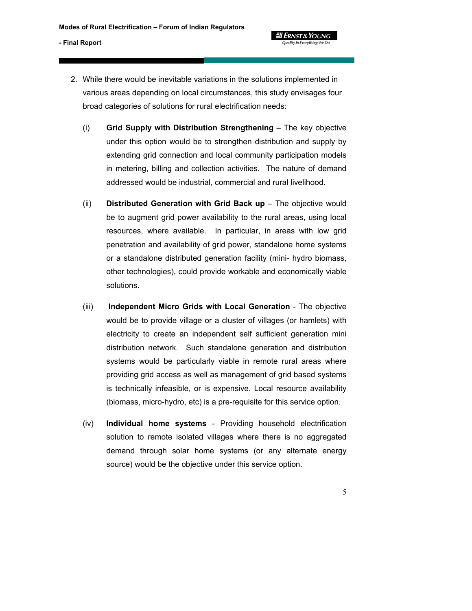**g Ernst & Young** Quality In Everything We De

- 2. While there would be inevitable variations in the solutions implemented in various areas depending on local circumstances, this study envisages four broad categories of solutions for rural electrification needs:
	- (i) **Grid Supply with Distribution Strengthening** The key objective under this option would be to strengthen distribution and supply by extending grid connection and local community participation models in metering, billing and collection activities. The nature of demand addressed would be industrial, commercial and rural livelihood.
	- (ii) **Distributed Generation with Grid Back up** The objective would be to augment grid power availability to the rural areas, using local resources, where available. In particular, in areas with low grid penetration and availability of grid power, standalone home systems or a standalone distributed generation facility (mini- hydro biomass, other technologies), could provide workable and economically viable solutions.
	- (iii) **Independent Micro Grids with Local Generation** The objective would be to provide village or a cluster of villages (or hamlets) with electricity to create an independent self sufficient generation mini distribution network. Such standalone generation and distribution systems would be particularly viable in remote rural areas where providing grid access as well as management of grid based systems is technically infeasible, or is expensive. Local resource availability (biomass, micro-hydro, etc) is a pre-requisite for this service option.
	- (iv) **Individual home systems** Providing household electrification solution to remote isolated villages where there is no aggregated demand through solar home systems (or any alternate energy source) would be the objective under this service option.

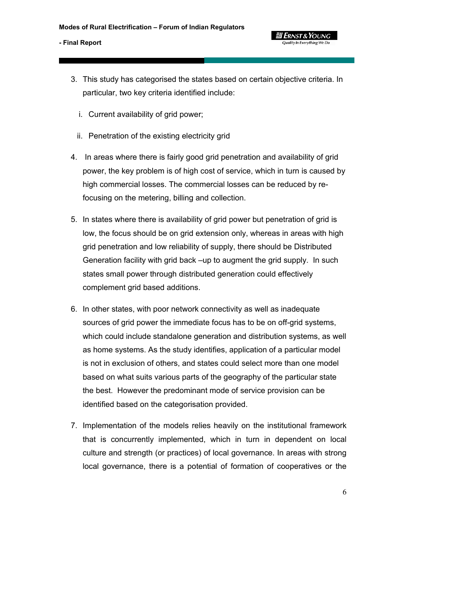**g Ernst & Young** 

- 3. This study has categorised the states based on certain objective criteria. In particular, two key criteria identified include:
	- i. Current availability of grid power;
	- ii. Penetration of the existing electricity grid
- 4. In areas where there is fairly good grid penetration and availability of grid power, the key problem is of high cost of service, which in turn is caused by high commercial losses. The commercial losses can be reduced by refocusing on the metering, billing and collection.
- 5. In states where there is availability of grid power but penetration of grid is low, the focus should be on grid extension only, whereas in areas with high grid penetration and low reliability of supply, there should be Distributed Generation facility with grid back –up to augment the grid supply. In such states small power through distributed generation could effectively complement grid based additions.
- 6. In other states, with poor network connectivity as well as inadequate sources of grid power the immediate focus has to be on off-grid systems, which could include standalone generation and distribution systems, as well as home systems. As the study identifies, application of a particular model is not in exclusion of others, and states could select more than one model based on what suits various parts of the geography of the particular state the best. However the predominant mode of service provision can be identified based on the categorisation provided.
- 7. Implementation of the models relies heavily on the institutional framework that is concurrently implemented, which in turn in dependent on local culture and strength (or practices) of local governance. In areas with strong local governance, there is a potential of formation of cooperatives or the
	- 6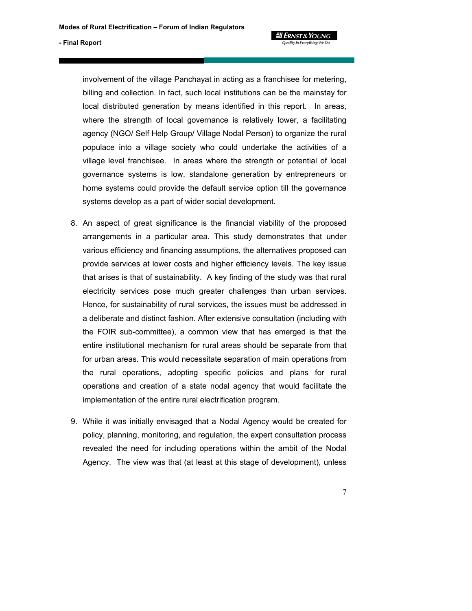involvement of the village Panchayat in acting as a franchisee for metering, billing and collection. In fact, such local institutions can be the mainstay for local distributed generation by means identified in this report. In areas, where the strength of local governance is relatively lower, a facilitating agency (NGO/ Self Help Group/ Village Nodal Person) to organize the rural populace into a village society who could undertake the activities of a village level franchisee. In areas where the strength or potential of local governance systems is low, standalone generation by entrepreneurs or home systems could provide the default service option till the governance systems develop as a part of wider social development.

**g Ernst & Young** 

- 8. An aspect of great significance is the financial viability of the proposed arrangements in a particular area. This study demonstrates that under various efficiency and financing assumptions, the alternatives proposed can provide services at lower costs and higher efficiency levels. The key issue that arises is that of sustainability. A key finding of the study was that rural electricity services pose much greater challenges than urban services. Hence, for sustainability of rural services, the issues must be addressed in a deliberate and distinct fashion. After extensive consultation (including with the FOIR sub-committee), a common view that has emerged is that the entire institutional mechanism for rural areas should be separate from that for urban areas. This would necessitate separation of main operations from the rural operations, adopting specific policies and plans for rural operations and creation of a state nodal agency that would facilitate the implementation of the entire rural electrification program.
- 9. While it was initially envisaged that a Nodal Agency would be created for policy, planning, monitoring, and regulation, the expert consultation process revealed the need for including operations within the ambit of the Nodal Agency. The view was that (at least at this stage of development), unless
	- 7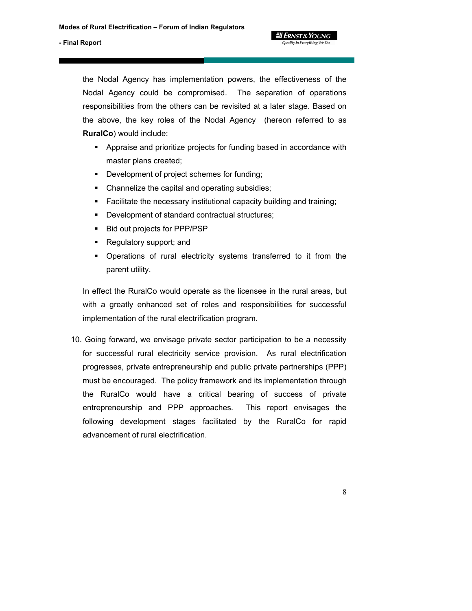the Nodal Agency has implementation powers, the effectiveness of the Nodal Agency could be compromised. The separation of operations responsibilities from the others can be revisited at a later stage. Based on the above, the key roles of the Nodal Agency (hereon referred to as **RuralCo**) would include:

**g** Ernst & Young Quality In Everything We Do

- Appraise and prioritize projects for funding based in accordance with master plans created;
- **•** Development of project schemes for funding;
- Channelize the capital and operating subsidies;
- Facilitate the necessary institutional capacity building and training;
- Development of standard contractual structures;
- **Bid out projects for PPP/PSP**
- Regulatory support; and
- Operations of rural electricity systems transferred to it from the parent utility.

In effect the RuralCo would operate as the licensee in the rural areas, but with a greatly enhanced set of roles and responsibilities for successful implementation of the rural electrification program.

10. Going forward, we envisage private sector participation to be a necessity for successful rural electricity service provision. As rural electrification progresses, private entrepreneurship and public private partnerships (PPP) must be encouraged. The policy framework and its implementation through the RuralCo would have a critical bearing of success of private entrepreneurship and PPP approaches. This report envisages the following development stages facilitated by the RuralCo for rapid advancement of rural electrification.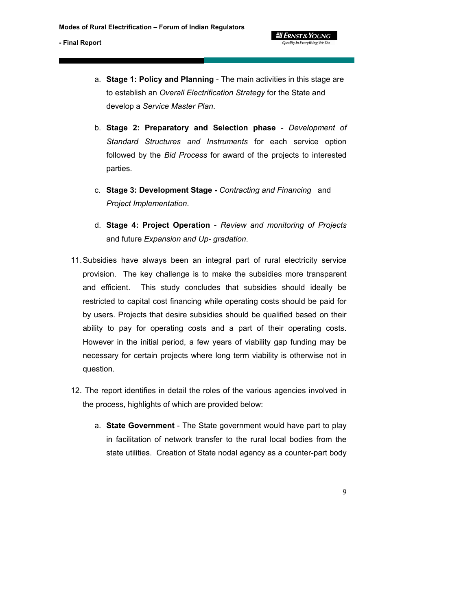a. **Stage 1: Policy and Planning** - The main activities in this stage are to establish an *Overall Electrification Strategy* for the State and develop a *Service Master Plan*.

**g Ernst & Young** Quality In Everything We Do

- b. **Stage 2: Preparatory and Selection phase** *Development of Standard Structures and Instruments* for each service option followed by the *Bid Process* for award of the projects to interested parties.
- c. **Stage 3: Development Stage -** *Contracting and Financing* and *Project Implementation*.
- d. **Stage 4: Project Operation** *Review and monitoring of Projects* and future *Expansion and Up- gradation*.
- 11. Subsidies have always been an integral part of rural electricity service provision. The key challenge is to make the subsidies more transparent and efficient. This study concludes that subsidies should ideally be restricted to capital cost financing while operating costs should be paid for by users. Projects that desire subsidies should be qualified based on their ability to pay for operating costs and a part of their operating costs. However in the initial period, a few years of viability gap funding may be necessary for certain projects where long term viability is otherwise not in question.
- 12. The report identifies in detail the roles of the various agencies involved in the process, highlights of which are provided below:
	- a. **State Government** The State government would have part to play in facilitation of network transfer to the rural local bodies from the state utilities. Creation of State nodal agency as a counter-part body

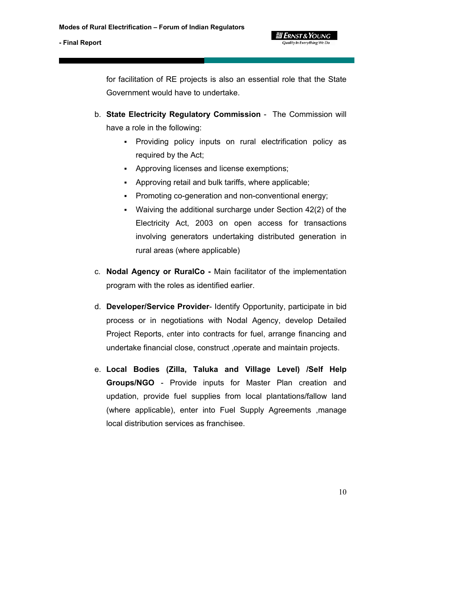for facilitation of RE projects is also an essential role that the State Government would have to undertake.

**g Ernst & Young** Quality In Everything We Do

- b. **State Electricity Regulatory Commission** The Commission will have a role in the following:
	- Providing policy inputs on rural electrification policy as required by the Act;
	- Approving licenses and license exemptions;
	- Approving retail and bulk tariffs, where applicable;
	- Promoting co-generation and non-conventional energy;
	- Waiving the additional surcharge under Section 42(2) of the Electricity Act, 2003 on open access for transactions involving generators undertaking distributed generation in rural areas (where applicable)
- c. **Nodal Agency or RuralCo -** Main facilitator of the implementation program with the roles as identified earlier.
- d. **Developer/Service Provider** Identify Opportunity, participate in bid process or in negotiations with Nodal Agency, develop Detailed Project Reports, enter into contracts for fuel, arrange financing and undertake financial close, construct ,operate and maintain projects.
- e. **Local Bodies (Zilla, Taluka and Village Level) /Self Help Groups/NGO** - Provide inputs for Master Plan creation and updation, provide fuel supplies from local plantations/fallow land (where applicable), enter into Fuel Supply Agreements ,manage local distribution services as franchisee.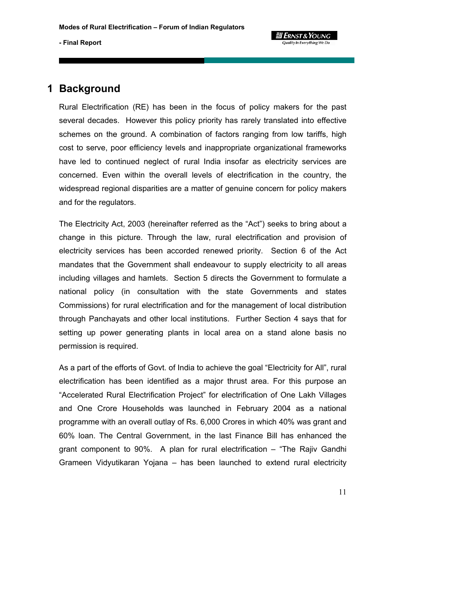# **1 Background**

Rural Electrification (RE) has been in the focus of policy makers for the past several decades. However this policy priority has rarely translated into effective schemes on the ground. A combination of factors ranging from low tariffs, high cost to serve, poor efficiency levels and inappropriate organizational frameworks have led to continued neglect of rural India insofar as electricity services are concerned. Even within the overall levels of electrification in the country, the widespread regional disparities are a matter of genuine concern for policy makers and for the regulators.

The Electricity Act, 2003 (hereinafter referred as the "Act") seeks to bring about a change in this picture. Through the law, rural electrification and provision of electricity services has been accorded renewed priority. Section 6 of the Act mandates that the Government shall endeavour to supply electricity to all areas including villages and hamlets. Section 5 directs the Government to formulate a national policy (in consultation with the state Governments and states Commissions) for rural electrification and for the management of local distribution through Panchayats and other local institutions. Further Section 4 says that for setting up power generating plants in local area on a stand alone basis no permission is required.

As a part of the efforts of Govt. of India to achieve the goal "Electricity for All", rural electrification has been identified as a major thrust area. For this purpose an "Accelerated Rural Electrification Project" for electrification of One Lakh Villages and One Crore Households was launched in February 2004 as a national programme with an overall outlay of Rs. 6,000 Crores in which 40% was grant and 60% loan. The Central Government, in the last Finance Bill has enhanced the grant component to 90%. A plan for rural electrification – "The Rajiv Gandhi Grameen Vidyutikaran Yojana – has been launched to extend rural electricity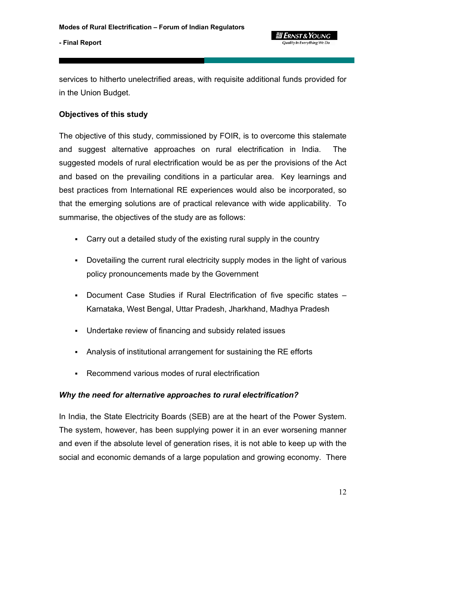

services to hitherto unelectrified areas, with requisite additional funds provided for in the Union Budget.

## **Objectives of this study**

The objective of this study, commissioned by FOIR, is to overcome this stalemate and suggest alternative approaches on rural electrification in India. The suggested models of rural electrification would be as per the provisions of the Act and based on the prevailing conditions in a particular area. Key learnings and best practices from International RE experiences would also be incorporated, so that the emerging solutions are of practical relevance with wide applicability. To summarise, the objectives of the study are as follows:

- Carry out a detailed study of the existing rural supply in the country
- Dovetailing the current rural electricity supply modes in the light of various policy pronouncements made by the Government
- Document Case Studies if Rural Electrification of five specific states Karnataka, West Bengal, Uttar Pradesh, Jharkhand, Madhya Pradesh
- Undertake review of financing and subsidy related issues
- Analysis of institutional arrangement for sustaining the RE efforts
- Recommend various modes of rural electrification

# *Why the need for alternative approaches to rural electrification?*

In India, the State Electricity Boards (SEB) are at the heart of the Power System. The system, however, has been supplying power it in an ever worsening manner and even if the absolute level of generation rises, it is not able to keep up with the social and economic demands of a large population and growing economy. There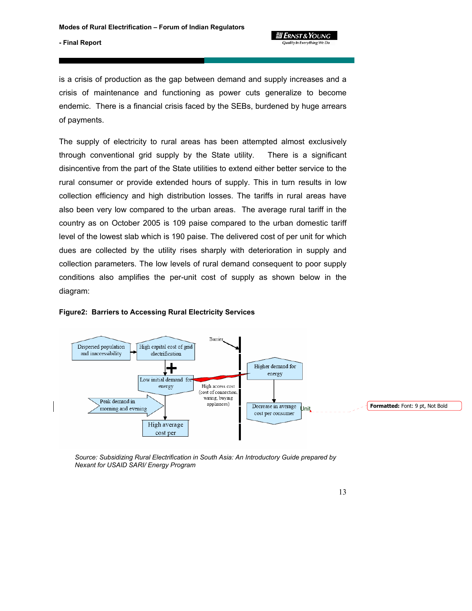Quality In Everything We Do

#### **- Final Report**

is a crisis of production as the gap between demand and supply increases and a crisis of maintenance and functioning as power cuts generalize to become endemic. There is a financial crisis faced by the SEBs, burdened by huge arrears of payments.

The supply of electricity to rural areas has been attempted almost exclusively through conventional grid supply by the State utility. There is a significant disincentive from the part of the State utilities to extend either better service to the rural consumer or provide extended hours of supply. This in turn results in low collection efficiency and high distribution losses. The tariffs in rural areas have also been very low compared to the urban areas. The average rural tariff in the country as on October 2005 is 109 paise compared to the urban domestic tariff level of the lowest slab which is 190 paise. The delivered cost of per unit for which dues are collected by the utility rises sharply with deterioration in supply and collection parameters. The low levels of rural demand consequent to poor supply conditions also amplifies the per-unit cost of supply as shown below in the diagram:



#### **Figure2: Barriers to Accessing Rural Electricity Services**

*Source: Subsidizing Rural Electrification in South Asia: An Introductory Guide prepared by Nexant for USAID SARI/ Energy Program*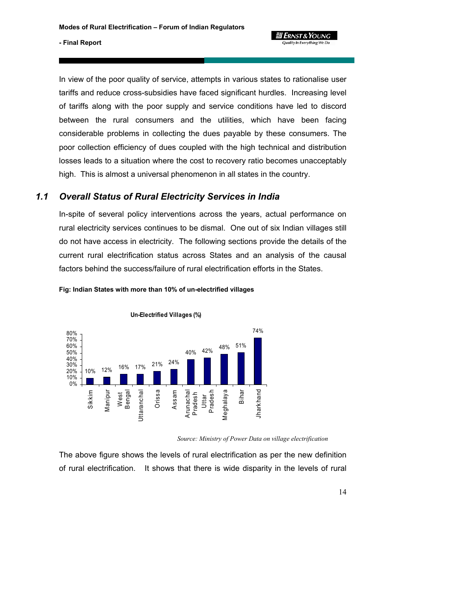

In view of the poor quality of service, attempts in various states to rationalise user tariffs and reduce cross-subsidies have faced significant hurdles. Increasing level of tariffs along with the poor supply and service conditions have led to discord between the rural consumers and the utilities, which have been facing considerable problems in collecting the dues payable by these consumers. The poor collection efficiency of dues coupled with the high technical and distribution losses leads to a situation where the cost to recovery ratio becomes unacceptably high. This is almost a universal phenomenon in all states in the country.

# *1.1 Overall Status of Rural Electricity Services in India*

In-spite of several policy interventions across the years, actual performance on rural electricity services continues to be dismal. One out of six Indian villages still do not have access in electricity. The following sections provide the details of the current rural electrification status across States and an analysis of the causal factors behind the success/failure of rural electrification efforts in the States.



**Fig: Indian States with more than 10% of un-electrified villages** 

*Source: Ministry of Power Data on village electrification*

The above figure shows the levels of rural electrification as per the new definition of rural electrification. It shows that there is wide disparity in the levels of rural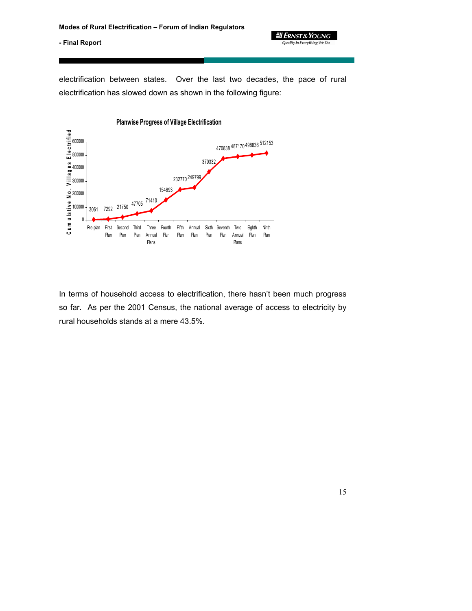

electrification between states. Over the last two decades, the pace of rural electrification has slowed down as shown in the following figure:



In terms of household access to electrification, there hasn't been much progress so far. As per the 2001 Census, the national average of access to electricity by rural households stands at a mere 43.5%.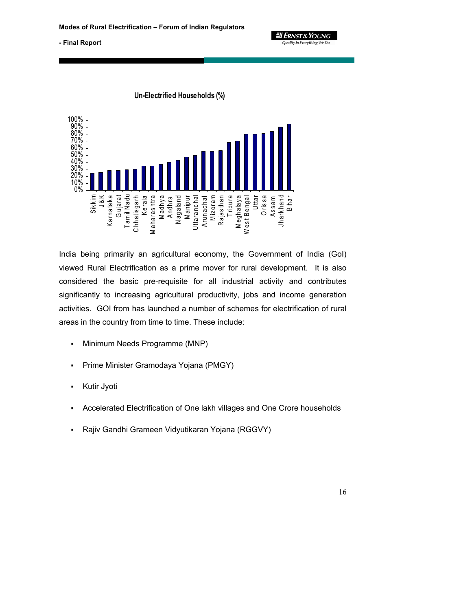**gi Ernst & Young** Quality In Everything We Do

**- Final Report** 



India being primarily an agricultural economy, the Government of India (GoI) viewed Rural Electrification as a prime mover for rural development. It is also considered the basic pre-requisite for all industrial activity and contributes significantly to increasing agricultural productivity, jobs and income generation activities. GOI from has launched a number of schemes for electrification of rural areas in the country from time to time. These include:

- Minimum Needs Programme (MNP)
- **Prime Minister Gramodaya Yojana (PMGY)**
- **Kutir Jyoti**
- Accelerated Electrification of One lakh villages and One Crore households
- Rajiv Gandhi Grameen Vidyutikaran Yojana (RGGVY)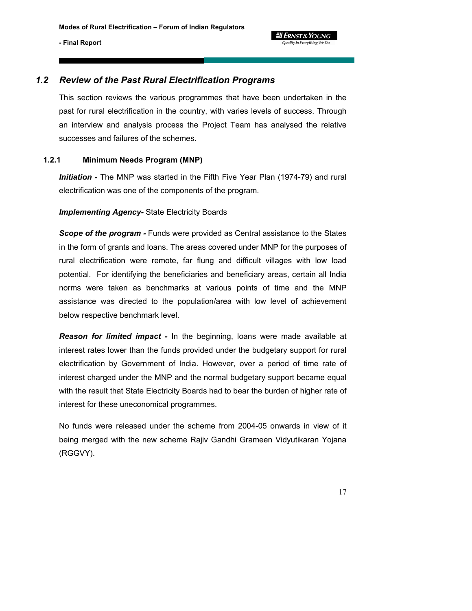# *1.2 Review of the Past Rural Electrification Programs*

This section reviews the various programmes that have been undertaken in the past for rural electrification in the country, with varies levels of success. Through an interview and analysis process the Project Team has analysed the relative successes and failures of the schemes.

Quality In Everything We Do

### **1.2.1 Minimum Needs Program (MNP)**

*Initiation -* The MNP was started in the Fifth Five Year Plan (1974-79) and rural electrification was one of the components of the program.

## *Implementing Agency-* State Electricity Boards

*Scope of the program -* Funds were provided as Central assistance to the States in the form of grants and loans. The areas covered under MNP for the purposes of rural electrification were remote, far flung and difficult villages with low load potential. For identifying the beneficiaries and beneficiary areas, certain all India norms were taken as benchmarks at various points of time and the MNP assistance was directed to the population/area with low level of achievement below respective benchmark level.

*Reason for limited impact -* In the beginning, loans were made available at interest rates lower than the funds provided under the budgetary support for rural electrification by Government of India. However, over a period of time rate of interest charged under the MNP and the normal budgetary support became equal with the result that State Electricity Boards had to bear the burden of higher rate of interest for these uneconomical programmes.

No funds were released under the scheme from 2004-05 onwards in view of it being merged with the new scheme Rajiv Gandhi Grameen Vidyutikaran Yojana (RGGVY).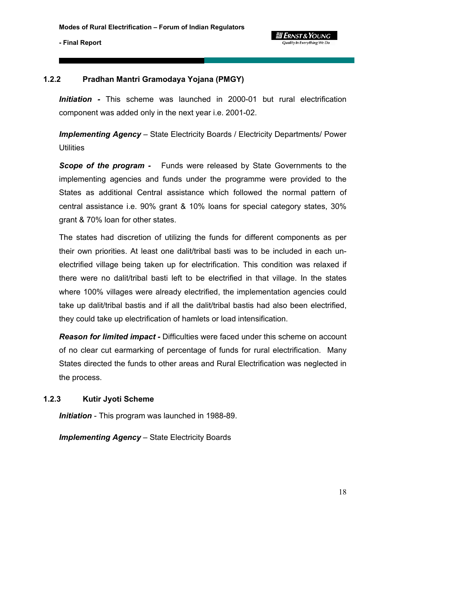#### **g Ernst & Young** Quality In Everything We De

# **1.2.2 Pradhan Mantri Gramodaya Yojana (PMGY)**

*Initiation -* This scheme was launched in 2000-01 but rural electrification component was added only in the next year i.e. 2001-02.

*Implementing Agency* – State Electricity Boards / Electricity Departments/ Power **Utilities** 

*Scope of the program -* Funds were released by State Governments to the implementing agencies and funds under the programme were provided to the States as additional Central assistance which followed the normal pattern of central assistance i.e. 90% grant & 10% loans for special category states, 30% grant & 70% loan for other states.

The states had discretion of utilizing the funds for different components as per their own priorities. At least one dalit/tribal basti was to be included in each unelectrified village being taken up for electrification. This condition was relaxed if there were no dalit/tribal basti left to be electrified in that village. In the states where 100% villages were already electrified, the implementation agencies could take up dalit/tribal bastis and if all the dalit/tribal bastis had also been electrified, they could take up electrification of hamlets or load intensification.

*Reason for limited impact -* Difficulties were faced under this scheme on account of no clear cut earmarking of percentage of funds for rural electrification. Many States directed the funds to other areas and Rural Electrification was neglected in the process.

# **1.2.3 Kutir Jyoti Scheme**

*Initiation* - This program was launched in 1988-89.

*Implementing Agency* – State Electricity Boards

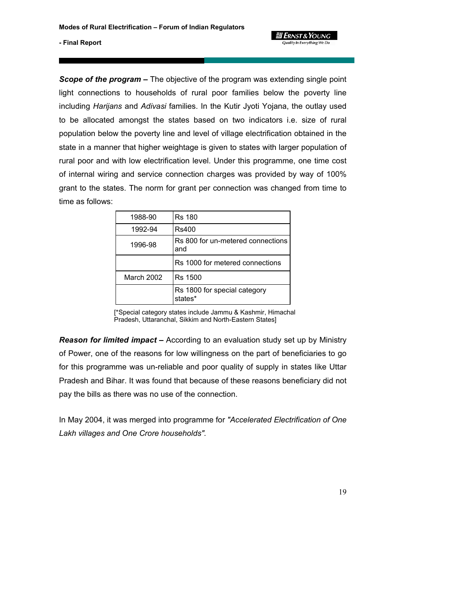

*Scope of the program –* The objective of the program was extending single point light connections to households of rural poor families below the poverty line including *Harijans* and *Adivasi* families. In the Kutir Jyoti Yojana, the outlay used to be allocated amongst the states based on two indicators i.e. size of rural population below the poverty line and level of village electrification obtained in the state in a manner that higher weightage is given to states with larger population of rural poor and with low electrification level. Under this programme, one time cost of internal wiring and service connection charges was provided by way of 100% grant to the states. The norm for grant per connection was changed from time to time as follows:

| 1988-90    | <b>Rs 180</b>                            |
|------------|------------------------------------------|
| 1992-94    | Rs400                                    |
| 1996-98    | Rs 800 for un-metered connections<br>and |
|            | Rs 1000 for metered connections          |
| March 2002 | Rs 1500                                  |
|            | Rs 1800 for special category<br>states*  |

[\*Special category states include Jammu & Kashmir, Himachal Pradesh, Uttaranchal, Sikkim and North-Eastern States]

*Reason for limited impact –* According to an evaluation study set up by Ministry of Power, one of the reasons for low willingness on the part of beneficiaries to go for this programme was un-reliable and poor quality of supply in states like Uttar Pradesh and Bihar. It was found that because of these reasons beneficiary did not pay the bills as there was no use of the connection.

In May 2004, it was merged into programme for *"Accelerated Electrification of One Lakh villages and One Crore households".*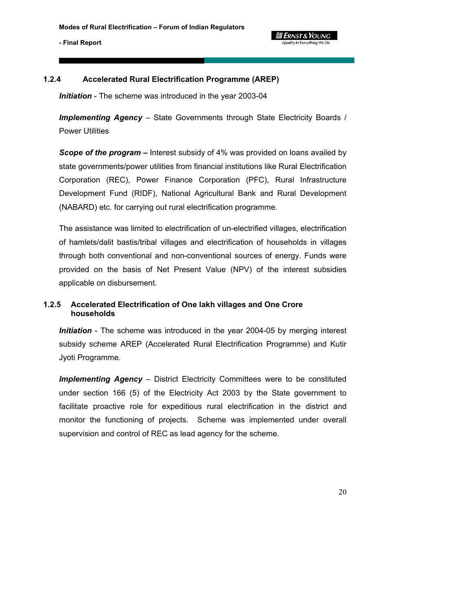

## **1.2.4 Accelerated Rural Electrification Programme (AREP)**

*Initiation* - The scheme was introduced in the year 2003-04

*Implementing Agency* – State Governments through State Electricity Boards / Power Utilities

*Scope of the program –* Interest subsidy of 4% was provided on loans availed by state governments/power utilities from financial institutions like Rural Electrification Corporation (REC), Power Finance Corporation (PFC), Rural Infrastructure Development Fund (RIDF), National Agricultural Bank and Rural Development (NABARD) etc. for carrying out rural electrification programme.

The assistance was limited to electrification of un-electrified villages, electrification of hamlets/dalit bastis/tribal villages and electrification of households in villages through both conventional and non-conventional sources of energy. Funds were provided on the basis of Net Present Value (NPV) of the interest subsidies applicable on disbursement.

# **1.2.5 Accelerated Electrification of One lakh villages and One Crore households**

*Initiation* - The scheme was introduced in the year 2004-05 by merging interest subsidy scheme AREP (Accelerated Rural Electrification Programme) and Kutir Jyoti Programme.

*Implementing Agency* – District Electricity Committees were to be constituted under section 166 (5) of the Electricity Act 2003 by the State government to facilitate proactive role for expeditious rural electrification in the district and monitor the functioning of projects. Scheme was implemented under overall supervision and control of REC as lead agency for the scheme.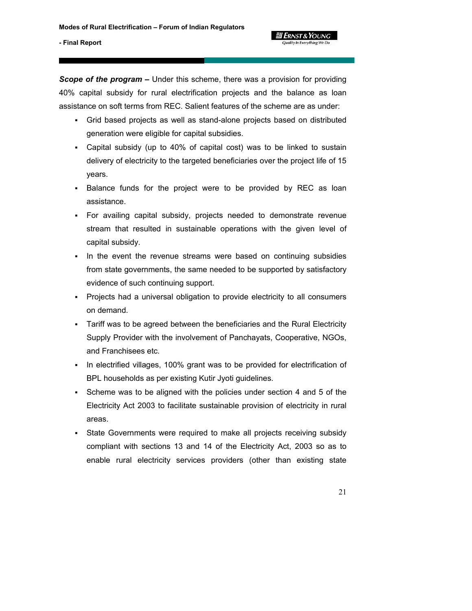*Scope of the program –* Under this scheme, there was a provision for providing 40% capital subsidy for rural electrification projects and the balance as loan assistance on soft terms from REC. Salient features of the scheme are as under:

 Grid based projects as well as stand-alone projects based on distributed generation were eligible for capital subsidies.

**g Ernst & Young** 

- Capital subsidy (up to 40% of capital cost) was to be linked to sustain delivery of electricity to the targeted beneficiaries over the project life of 15 years.
- Balance funds for the project were to be provided by REC as loan assistance.
- For availing capital subsidy, projects needed to demonstrate revenue stream that resulted in sustainable operations with the given level of capital subsidy.
- In the event the revenue streams were based on continuing subsidies from state governments, the same needed to be supported by satisfactory evidence of such continuing support.
- Projects had a universal obligation to provide electricity to all consumers on demand.
- Tariff was to be agreed between the beneficiaries and the Rural Electricity Supply Provider with the involvement of Panchayats, Cooperative, NGOs, and Franchisees etc.
- In electrified villages, 100% grant was to be provided for electrification of BPL households as per existing Kutir Jyoti guidelines.
- Scheme was to be aligned with the policies under section 4 and 5 of the Electricity Act 2003 to facilitate sustainable provision of electricity in rural areas.
- State Governments were required to make all projects receiving subsidy compliant with sections 13 and 14 of the Electricity Act, 2003 so as to enable rural electricity services providers (other than existing state

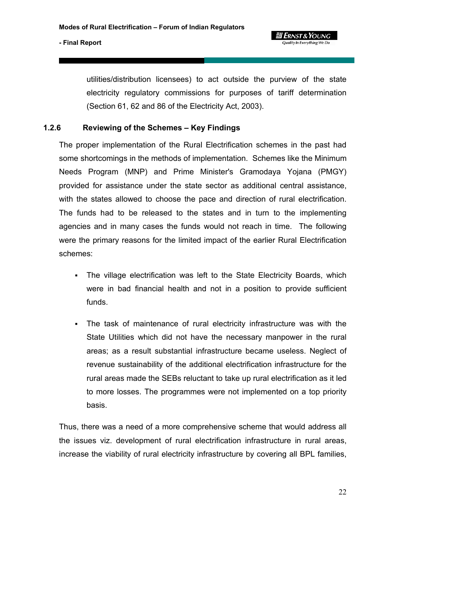

utilities/distribution licensees) to act outside the purview of the state electricity regulatory commissions for purposes of tariff determination (Section 61, 62 and 86 of the Electricity Act, 2003).

# **1.2.6 Reviewing of the Schemes – Key Findings**

The proper implementation of the Rural Electrification schemes in the past had some shortcomings in the methods of implementation. Schemes like the Minimum Needs Program (MNP) and Prime Minister's Gramodaya Yojana (PMGY) provided for assistance under the state sector as additional central assistance, with the states allowed to choose the pace and direction of rural electrification. The funds had to be released to the states and in turn to the implementing agencies and in many cases the funds would not reach in time. The following were the primary reasons for the limited impact of the earlier Rural Electrification schemes:

- The village electrification was left to the State Electricity Boards, which were in bad financial health and not in a position to provide sufficient funds.
- The task of maintenance of rural electricity infrastructure was with the State Utilities which did not have the necessary manpower in the rural areas; as a result substantial infrastructure became useless. Neglect of revenue sustainability of the additional electrification infrastructure for the rural areas made the SEBs reluctant to take up rural electrification as it led to more losses. The programmes were not implemented on a top priority basis.

Thus, there was a need of a more comprehensive scheme that would address all the issues viz. development of rural electrification infrastructure in rural areas, increase the viability of rural electricity infrastructure by covering all BPL families,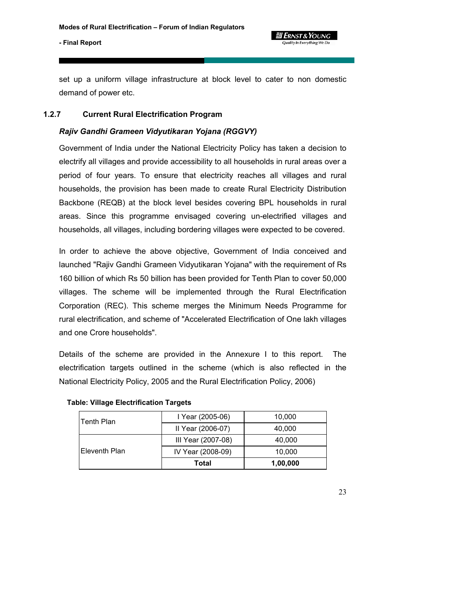

set up a uniform village infrastructure at block level to cater to non domestic demand of power etc.

## **1.2.7 Current Rural Electrification Program**

## *Rajiv Gandhi Grameen Vidyutikaran Yojana (RGGVY)*

Government of India under the National Electricity Policy has taken a decision to electrify all villages and provide accessibility to all households in rural areas over a period of four years. To ensure that electricity reaches all villages and rural households, the provision has been made to create Rural Electricity Distribution Backbone (REQB) at the block level besides covering BPL households in rural areas. Since this programme envisaged covering un-electrified villages and households, all villages, including bordering villages were expected to be covered.

In order to achieve the above objective, Government of India conceived and launched "Rajiv Gandhi Grameen Vidyutikaran Yojana" with the requirement of Rs 160 billion of which Rs 50 billion has been provided for Tenth Plan to cover 50,000 villages. The scheme will be implemented through the Rural Electrification Corporation (REC). This scheme merges the Minimum Needs Programme for rural electrification, and scheme of "Accelerated Electrification of One lakh villages and one Crore households".

Details of the scheme are provided in the Annexure I to this report. The electrification targets outlined in the scheme (which is also reflected in the National Electricity Policy, 2005 and the Rural Electrification Policy, 2006)

| ⊺Tenth Plan   | I Year (2005-06)   | 10,000   |
|---------------|--------------------|----------|
|               | II Year (2006-07)  | 40,000   |
|               | III Year (2007-08) | 40,000   |
| Eleventh Plan | IV Year (2008-09)  | 10,000   |
|               | Total              | 1,00,000 |

#### **Table: Village Electrification Targets**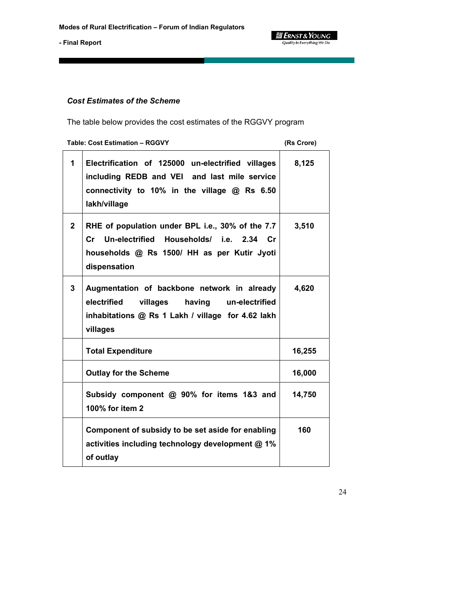$\equiv$  **ERNST & YOUNG**<br>Quality In Everything We Do

**- Final Report** 

# *Cost Estimates of the Scheme*

The table below provides the cost estimates of the RGGVY program

| <b>Table: Cost Estimation - RGGVY</b> | (Rs Crore)                                                                                                                                                                  |        |
|---------------------------------------|-----------------------------------------------------------------------------------------------------------------------------------------------------------------------------|--------|
| 1                                     | Electrification of 125000 un-electrified villages<br>including REDB and VEI and last mile service<br>connectivity to 10% in the village @ Rs 6.50<br>lakh/village           | 8,125  |
| $\mathbf{2}$                          | RHE of population under BPL i.e., 30% of the 7.7<br>Un-electrified Households/ i.e. 2.34 Cr<br>$\mathsf{Cr}$<br>households @ Rs 1500/ HH as per Kutir Jyoti<br>dispensation | 3,510  |
| 3                                     | Augmentation of backbone network in already<br>electrified<br>having un-electrified<br>villages<br>inhabitations @ Rs 1 Lakh / village for 4.62 lakh<br>villages            | 4,620  |
|                                       | <b>Total Expenditure</b>                                                                                                                                                    | 16,255 |
|                                       | <b>Outlay for the Scheme</b>                                                                                                                                                | 16,000 |
|                                       | Subsidy component @ 90% for items 1&3 and<br>100% for item 2                                                                                                                | 14,750 |
|                                       | Component of subsidy to be set aside for enabling<br>activities including technology development @ 1%<br>of outlay                                                          | 160    |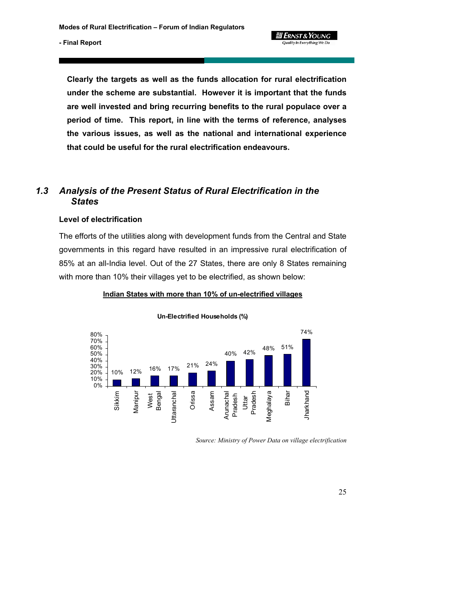**gi Ernst & Young** Quality In Everything We Do

#### **- Final Report**

**Clearly the targets as well as the funds allocation for rural electrification under the scheme are substantial. However it is important that the funds are well invested and bring recurring benefits to the rural populace over a period of time. This report, in line with the terms of reference, analyses the various issues, as well as the national and international experience that could be useful for the rural electrification endeavours.** 

# *1.3 Analysis of the Present Status of Rural Electrification in the States*

#### **Level of electrification**

The efforts of the utilities along with development funds from the Central and State governments in this regard have resulted in an impressive rural electrification of 85% at an all-India level. Out of the 27 States, there are only 8 States remaining with more than 10% their villages yet to be electrified, as shown below:

#### **Indian States with more than 10% of un-electrified villages**



#### **Un-Electrified Households (%)**

*Source: Ministry of Power Data on village electrification*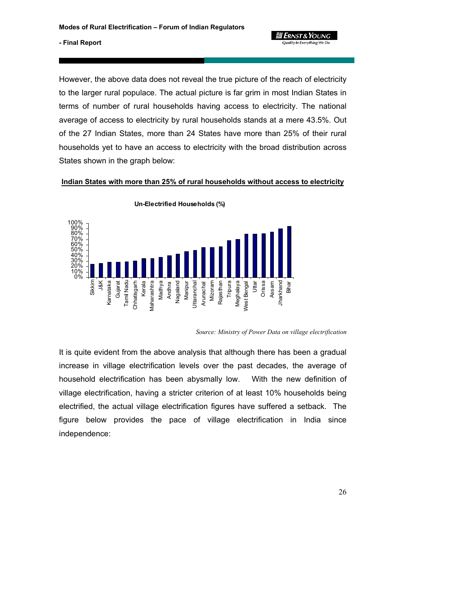

However, the above data does not reveal the true picture of the reach of electricity to the larger rural populace. The actual picture is far grim in most Indian States in terms of number of rural households having access to electricity. The national average of access to electricity by rural households stands at a mere 43.5%. Out of the 27 Indian States, more than 24 States have more than 25% of their rural households yet to have an access to electricity with the broad distribution across States shown in the graph below:

**Indian States with more than 25% of rural households without access to electricity**



**Un-Electrified Households (%)**

*Source: Ministry of Power Data on village electrification* 

It is quite evident from the above analysis that although there has been a gradual increase in village electrification levels over the past decades, the average of household electrification has been abysmally low. With the new definition of village electrification, having a stricter criterion of at least 10% households being electrified, the actual village electrification figures have suffered a setback. The figure below provides the pace of village electrification in India since independence: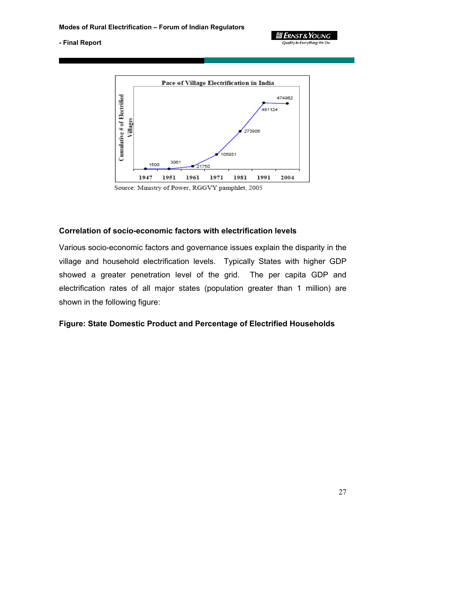

**ELERNST & YOUNG Quality In Everything We Do** 

Source: Ministry of Power, RGGVY pamphlet, 2005

## **Correlation of socio-economic factors with electrification levels**

Various socio-economic factors and governance issues explain the disparity in the village and household electrification levels. Typically States with higher GDP showed a greater penetration level of the grid. The per capita GDP and electrification rates of all major states (population greater than 1 million) are shown in the following figure:

#### **Figure: State Domestic Product and Percentage of Electrified Households**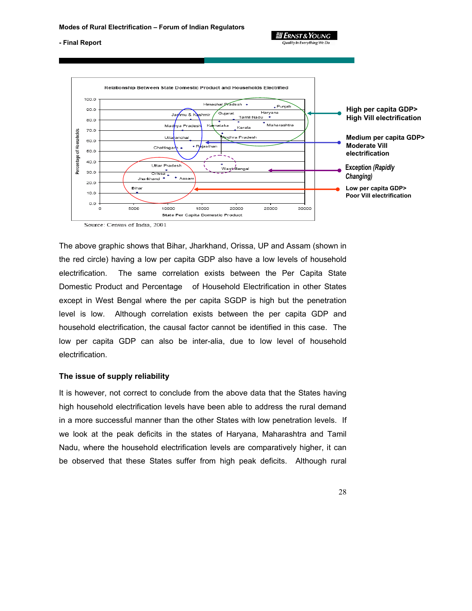Quality In Everything We Do

#### **- Final Report**



The above graphic shows that Bihar, Jharkhand, Orissa, UP and Assam (shown in the red circle) having a low per capita GDP also have a low levels of household electrification. The same correlation exists between the Per Capita State Domestic Product and Percentage of Household Electrification in other States except in West Bengal where the per capita SGDP is high but the penetration level is low. Although correlation exists between the per capita GDP and household electrification, the causal factor cannot be identified in this case. The low per capita GDP can also be inter-alia, due to low level of household electrification.

#### **The issue of supply reliability**

It is however, not correct to conclude from the above data that the States having high household electrification levels have been able to address the rural demand in a more successful manner than the other States with low penetration levels. If we look at the peak deficits in the states of Haryana, Maharashtra and Tamil Nadu, where the household electrification levels are comparatively higher, it can be observed that these States suffer from high peak deficits. Although rural

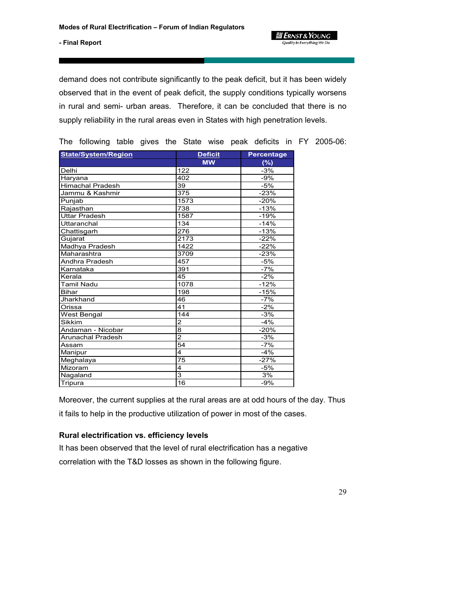*a* Ernst & Young **Quality In Everything We Do** 

**- Final Report** 

demand does not contribute significantly to the peak deficit, but it has been widely observed that in the event of peak deficit, the supply conditions typically worsens in rural and semi- urban areas. Therefore, it can be concluded that there is no supply reliability in the rural areas even in States with high penetration levels.

| <b>State/System/Region</b> | <b>Deficit</b>   | <b>Percentage</b> |
|----------------------------|------------------|-------------------|
|                            | <b>MW</b>        | (%)               |
| Delhi                      | 122              | $-3%$             |
| Haryana                    | 402              | $-9%$             |
| Himachal Pradesh           | 39               | $-5%$             |
| Jammu & Kashmir            | 375              | $-23%$            |
| Punjab                     | 1573             | $-20%$            |
| Rajasthan                  | 738              | $-13%$            |
| Uttar Pradesh              | 1587             | -19%              |
| Uttaranchal                | 134              | $-14%$            |
| Chattisgarh                | 276              | $-13%$            |
| Gujarat                    | $\frac{1}{2173}$ | $-22%$            |
| Madhya Pradesh             | 1422             | $-22%$            |
| Maharashtra                | 3709             | $-23%$            |
| Andhra Pradesh             | 457              | $-5%$             |
| Karnataka                  | 391              | $-7%$             |
| Kerala                     | 45               | $-2%$             |
| Tamil Nadu                 | 1078             | $-12%$            |
| <b>Bihar</b>               | 198              | $-15%$            |
| Jharkhand                  | 46               | $-7%$             |
| Orissa                     | 41               | $-2%$             |
| West Bengal                | 144              | $-3%$             |
| Sikkim                     | $\overline{2}$   | $-4%$             |
| Andaman - Nicobar          | 8                | $-20%$            |
| <b>Arunachal Pradesh</b>   | $\overline{2}$   | $-3%$             |
| Assam                      | $\overline{54}$  | $-7%$             |
| Manipur                    | 4                | $-4%$             |
| Meghalaya                  | 75               | $-27%$            |
| Mizoram                    | 4                | $-5%$             |
| Nagaland                   | 3                | 3%                |
| Tripura                    | 16               | $-9%$             |

The following table gives the State wise peak deficits in FY 2005-06:

Moreover, the current supplies at the rural areas are at odd hours of the day. Thus

it fails to help in the productive utilization of power in most of the cases.

### **Rural electrification vs. efficiency levels**

It has been observed that the level of rural electrification has a negative correlation with the T&D losses as shown in the following figure.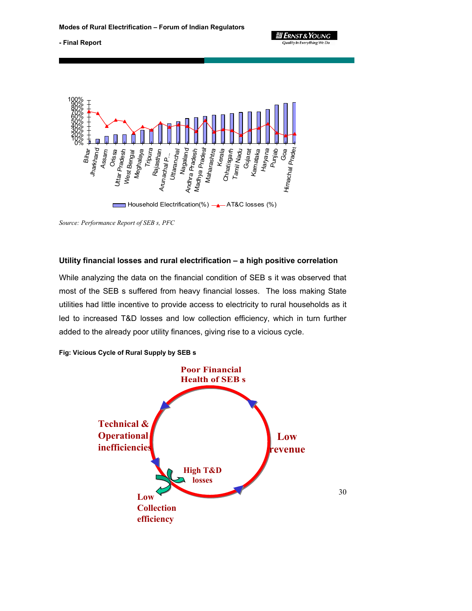**JI ERNST & YOUNG** Quality In Everything We Do

**- Final Report** 



*Source: Performance Report of SEB s, PFC* 

### **Utility financial losses and rural electrification – a high positive correlation**

While analyzing the data on the financial condition of SEB s it was observed that most of the SEB s suffered from heavy financial losses. The loss making State utilities had little incentive to provide access to electricity to rural households as it led to increased T&D losses and low collection efficiency, which in turn further added to the already poor utility finances, giving rise to a vicious cycle.



**Fig: Vicious Cycle of Rural Supply by SEB s**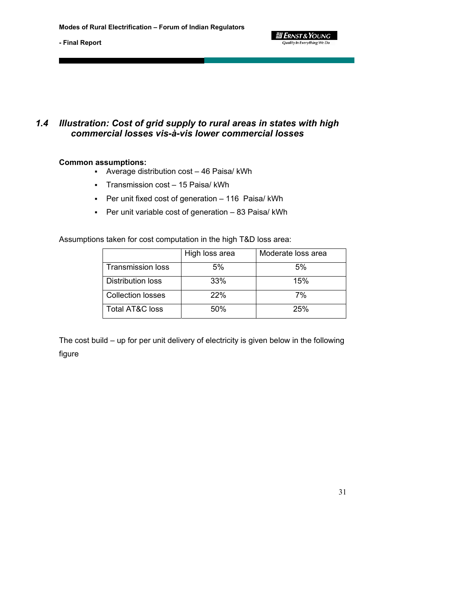# *1.4 Illustration: Cost of grid supply to rural areas in states with high commercial losses vis-à-vis lower commercial losses*

### **Common assumptions:**

- Average distribution cost 46 Paisa/ kWh
- Transmission cost 15 Paisa/ kWh
- Per unit fixed cost of generation 116 Paisa/ kWh
- Per unit variable cost of generation 83 Paisa/ kWh

Assumptions taken for cost computation in the high T&D loss area:

|                          | High loss area | Moderate loss area |
|--------------------------|----------------|--------------------|
| <b>Transmission loss</b> | 5%             | 5%                 |
| Distribution loss        | 33%            | 15%                |
| <b>Collection losses</b> | 22%            | 7%                 |
| Total AT&C loss          | 50%            | 25%                |

*- 리 Ernst & Young* **Quality In Everything We Do** 

The cost build – up for per unit delivery of electricity is given below in the following figure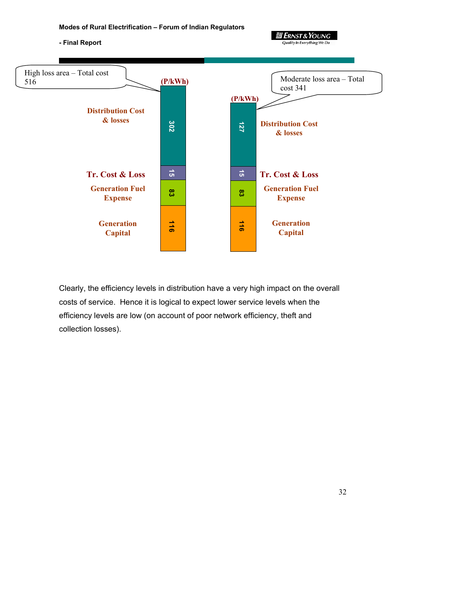

 **2 ERNST & YOUNG** 

Clearly, the efficiency levels in distribution have a very high impact on the overall costs of service. Hence it is logical to expect lower service levels when the efficiency levels are low (on account of poor network efficiency, theft and collection losses).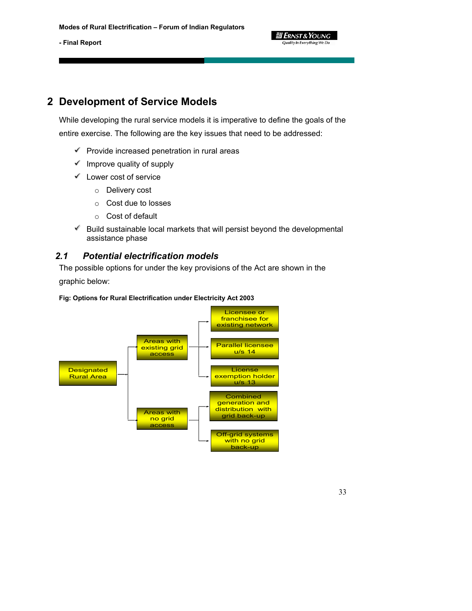

# **2 Development of Service Models**

While developing the rural service models it is imperative to define the goals of the entire exercise. The following are the key issues that need to be addressed:

- $\mathscr V$  Provide increased penetration in rural areas
- $\mathscr I$  Improve quality of supply
- $\checkmark$  Lower cost of service
	- o Delivery cost
	- o Cost due to losses
	- o Cost of default
- $\mathscr V$  Build sustainable local markets that will persist beyond the developmental assistance phase

# *2.1 Potential electrification models*

The possible options for under the key provisions of the Act are shown in the

graphic below:



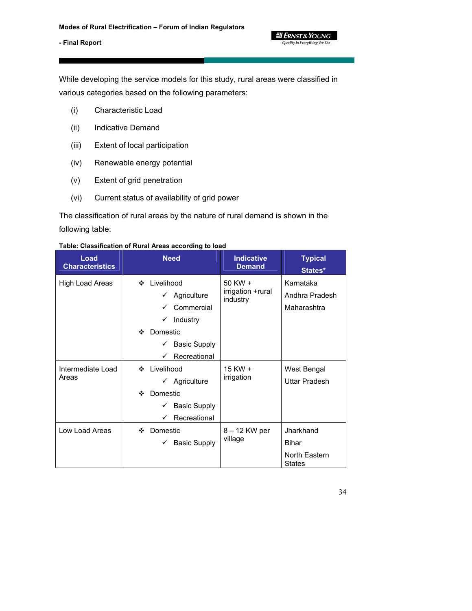

While developing the service models for this study, rural areas were classified in various categories based on the following parameters:

- (i) Characteristic Load
- (ii) Indicative Demand
- (iii) Extent of local participation
- (iv) Renewable energy potential
- (v) Extent of grid penetration
- (vi) Current status of availability of grid power

The classification of rural areas by the nature of rural demand is shown in the following table:

#### **Table: Classification of Rural Areas according to load**

| Load<br><b>Characteristics</b> | <b>Need</b>                               | <b>Indicative</b><br><b>Demand</b>           | <b>Typical</b><br>States*      |
|--------------------------------|-------------------------------------------|----------------------------------------------|--------------------------------|
| High Load Areas                | Livelihood<br>❖<br>Agriculture            | $50$ KW $+$<br>irrigation +rural<br>industry | Karnataka<br>Andhra Pradesh    |
|                                | Commercial                                |                                              | Maharashtra                    |
|                                | Industry<br>$\checkmark$<br>Domestic<br>❖ |                                              |                                |
|                                | <b>Basic Supply</b><br>✓                  |                                              |                                |
|                                | Recreational<br>✓                         |                                              |                                |
| Intermediate Load              | Livelihood<br>❖                           | 15 KW +<br>irrigation                        | West Bengal                    |
| Areas                          | Agriculture<br>✓                          |                                              | Uttar Pradesh                  |
|                                | Domestic<br>❖                             |                                              |                                |
|                                | <b>Basic Supply</b><br>✓                  |                                              |                                |
|                                | Recreational<br>✓                         |                                              |                                |
| Low Load Areas                 | Domestic<br>❖                             | 8 – 12 KW per<br>village                     | Jharkhand                      |
|                                | <b>Basic Supply</b><br>✓                  |                                              | <b>Bihar</b>                   |
|                                |                                           |                                              | North Eastern<br><b>States</b> |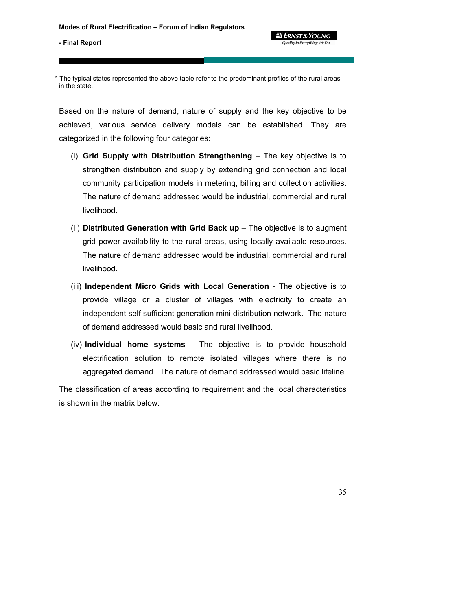\* The typical states represented the above table refer to the predominant profiles of the rural areas in the state.

Based on the nature of demand, nature of supply and the key objective to be achieved, various service delivery models can be established. They are categorized in the following four categories:

- (i) **Grid Supply with Distribution Strengthening** The key objective is to strengthen distribution and supply by extending grid connection and local community participation models in metering, billing and collection activities. The nature of demand addressed would be industrial, commercial and rural livelihood.
- (ii) **Distributed Generation with Grid Back up** The objective is to augment grid power availability to the rural areas, using locally available resources. The nature of demand addressed would be industrial, commercial and rural livelihood.
- (iii) **Independent Micro Grids with Local Generation** The objective is to provide village or a cluster of villages with electricity to create an independent self sufficient generation mini distribution network. The nature of demand addressed would basic and rural livelihood.
- (iv) **Individual home systems** The objective is to provide household electrification solution to remote isolated villages where there is no aggregated demand. The nature of demand addressed would basic lifeline.

The classification of areas according to requirement and the local characteristics is shown in the matrix below: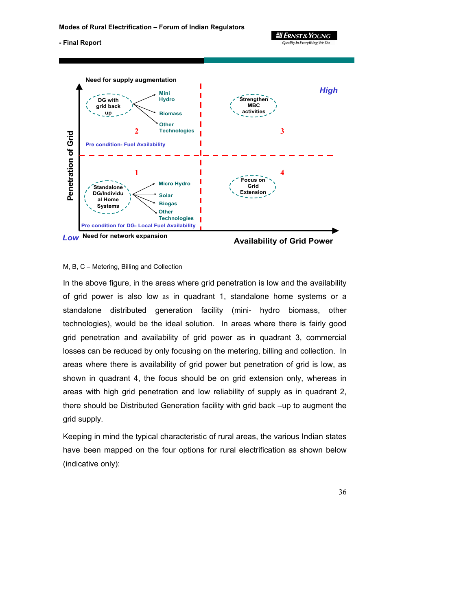

#### M, B, C – Metering, Billing and Collection

In the above figure, in the areas where grid penetration is low and the availability of grid power is also low as in quadrant 1, standalone home systems or a standalone distributed generation facility (mini- hydro biomass, other technologies), would be the ideal solution. In areas where there is fairly good grid penetration and availability of grid power as in quadrant 3, commercial losses can be reduced by only focusing on the metering, billing and collection. In areas where there is availability of grid power but penetration of grid is low, as shown in quadrant 4, the focus should be on grid extension only, whereas in areas with high grid penetration and low reliability of supply as in quadrant 2, there should be Distributed Generation facility with grid back –up to augment the grid supply.

Keeping in mind the typical characteristic of rural areas, the various Indian states have been mapped on the four options for rural electrification as shown below (indicative only):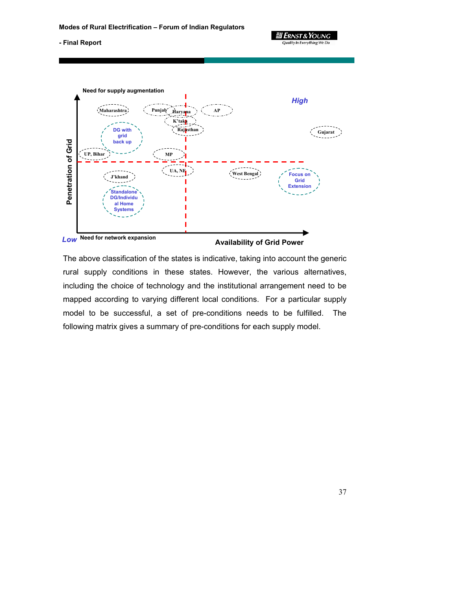**3 Ernst & Young Quality In Everything We Do** 

#### **- Final Report**



**Availability of Grid Power** 

The above classification of the states is indicative, taking into account the generic rural supply conditions in these states. However, the various alternatives, including the choice of technology and the institutional arrangement need to be mapped according to varying different local conditions. For a particular supply model to be successful, a set of pre-conditions needs to be fulfilled. The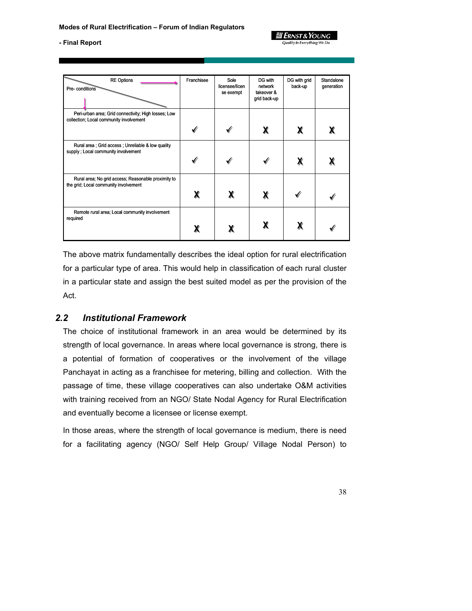

| <b>RE Options</b><br>Pre- conditions                                                            | Franchisee   | Sole<br>licensee/licen<br>se exempt | DG with<br>network<br>takeover &<br>grid back-up | DG with grid<br>back-up | Standalone<br>generation |
|-------------------------------------------------------------------------------------------------|--------------|-------------------------------------|--------------------------------------------------|-------------------------|--------------------------|
| Peri-urban area; Grid connectivity; High losses; Low<br>collection; Local community involvement | √            |                                     | χ                                                | χ                       |                          |
| Rural area ; Grid access ; Unreliable & low quality<br>supply; Local community involvement      | $\checkmark$ |                                     |                                                  | χ                       |                          |
| Rural area; No grid access; Reasonable proximity to<br>the grid; Local community involvement    | χ            | Х                                   | χ                                                |                         |                          |
| Remote rural area; Local community involvement<br>required                                      | χ            |                                     |                                                  |                         |                          |

The above matrix fundamentally describes the ideal option for rural electrification for a particular type of area. This would help in classification of each rural cluster in a particular state and assign the best suited model as per the provision of the Act.

## *2.2 Institutional Framework*

The choice of institutional framework in an area would be determined by its strength of local governance. In areas where local governance is strong, there is a potential of formation of cooperatives or the involvement of the village Panchayat in acting as a franchisee for metering, billing and collection. With the passage of time, these village cooperatives can also undertake O&M activities with training received from an NGO/ State Nodal Agency for Rural Electrification and eventually become a licensee or license exempt.

In those areas, where the strength of local governance is medium, there is need for a facilitating agency (NGO/ Self Help Group/ Village Nodal Person) to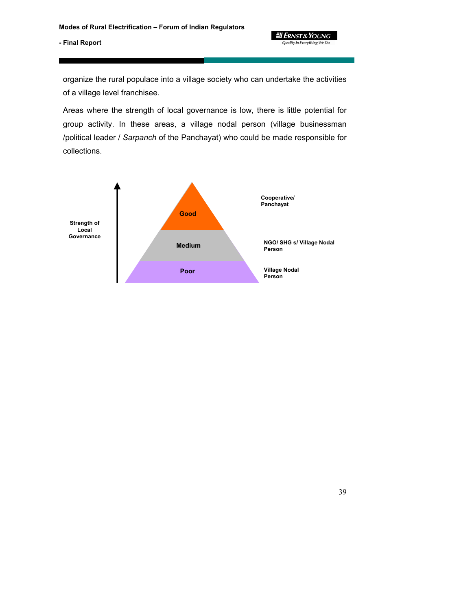

39

## **- Final Report**

organize the rural populace into a village society who can undertake the activities of a village level franchisee.

Areas where the strength of local governance is low, there is little potential for group activity. In these areas, a village nodal person (village businessman /political leader / *Sarpanch* of the Panchayat) who could be made responsible for collections.

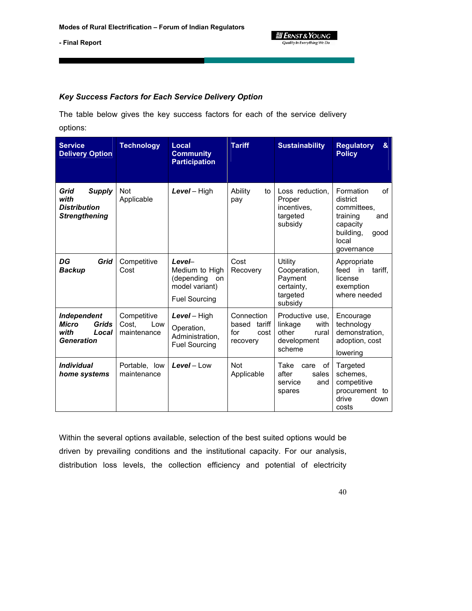

## *Key Success Factors for Each Service Delivery Option*

The table below gives the key success factors for each of the service delivery options:

| <b>Service</b><br><b>Delivery Option</b>                                                 | <b>Technology</b>                          | Local<br><b>Community</b><br><b>Participation</b>                                      | <b>Tariff</b>                                            | <b>Sustainability</b>                                                         | <b>Regulatory</b><br>&<br><b>Policy</b>                                                                               |
|------------------------------------------------------------------------------------------|--------------------------------------------|----------------------------------------------------------------------------------------|----------------------------------------------------------|-------------------------------------------------------------------------------|-----------------------------------------------------------------------------------------------------------------------|
| <b>Supply</b><br>Grid<br>with<br><b>Distribution</b><br><b>Strengthening</b>             | <b>Not</b><br>Applicable                   | Level - High                                                                           | Ability<br>to<br>pay                                     | Loss reduction.<br>Proper<br>incentives,<br>targeted<br>subsidy               | Formation<br>of<br>district<br>committees,<br>training<br>and<br>capacity<br>building,<br>good<br>local<br>governance |
| DG<br>Grid<br><b>Backup</b>                                                              | Competitive<br>Cost                        | Level-<br>Medium to High<br>(depending<br>on<br>model variant)<br><b>Fuel Sourcing</b> | Cost<br>Recovery                                         | Utility<br>Cooperation,<br>Payment<br>certainty,<br>targeted<br>subsidy       | Appropriate<br>feed<br>in<br>tariff.<br>license<br>exemption<br>where needed                                          |
| <b>Independent</b><br><b>Micro</b><br><b>Grids</b><br>with<br>Local<br><b>Generation</b> | Competitive<br>Low<br>Cost.<br>maintenance | Level - High<br>Operation,<br>Administration,<br><b>Fuel Sourcing</b>                  | Connection<br>based<br>tariff<br>for<br>cost<br>recovery | Productive use.<br>with<br>linkage<br>other<br>rural<br>development<br>scheme | Encourage<br>technology<br>demonstration,<br>adoption, cost<br>lowering                                               |
| <i><b>Individual</b></i><br>home systems                                                 | Portable, low<br>maintenance               | $Level - Low$                                                                          | <b>Not</b><br>Applicable                                 | Take<br>οf<br>care<br>after<br>sales<br>service<br>and<br>spares              | Targeted<br>schemes,<br>competitive<br>procurement to<br>drive<br>down<br>costs                                       |

Within the several options available, selection of the best suited options would be driven by prevailing conditions and the institutional capacity. For our analysis, distribution loss levels, the collection efficiency and potential of electricity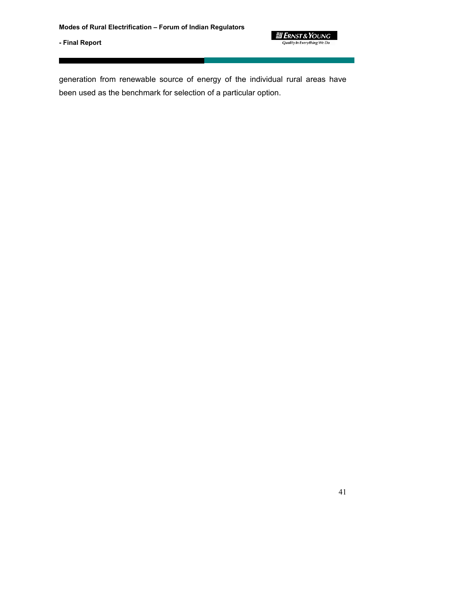

generation from renewable source of energy of the individual rural areas have been used as the benchmark for selection of a particular option.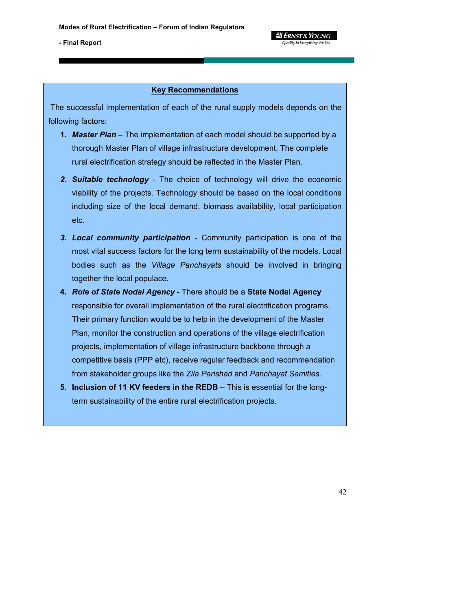

## **Key Recommendations**

 The successful implementation of each of the rural supply models depends on the following factors:

- **1. Master Plan** The implementation of each model should be supported by a thorough Master Plan of village infrastructure development. The complete rural electrification strategy should be reflected in the Master Plan.
- *2. Suitable technology*  The choice of technology will drive the economic viability of the projects. Technology should be based on the local conditions including size of the local demand, biomass availability, local participation etc.
- *3. Local community participation*  Community participation is one of the most vital success factors for the long term sustainability of the models. Local bodies such as the *Village Panchayats* should be involved in bringing together the local populace.
- **4.** *Role of State Nodal Agency*  There should be a **State Nodal Agency**  responsible for overall implementation of the rural electrification programs. Their primary function would be to help in the development of the Master Plan, monitor the construction and operations of the village electrification projects, implementation of village infrastructure backbone through a competitive basis (PPP etc), receive regular feedback and recommendation from stakeholder groups like the *Zila Parishad* and *Panchayat Samities.*
- **5. Inclusion of 11 KV feeders in the REDB**  This is essential for the longterm sustainability of the entire rural electrification projects.

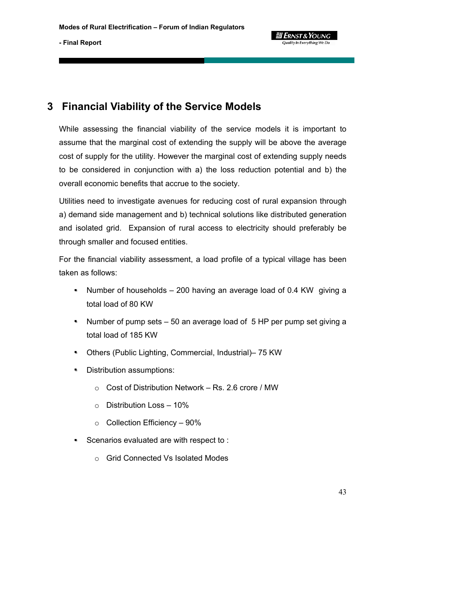

# **3 Financial Viability of the Service Models**

While assessing the financial viability of the service models it is important to assume that the marginal cost of extending the supply will be above the average cost of supply for the utility. However the marginal cost of extending supply needs to be considered in conjunction with a) the loss reduction potential and b) the overall economic benefits that accrue to the society.

Utilities need to investigate avenues for reducing cost of rural expansion through a) demand side management and b) technical solutions like distributed generation and isolated grid. Expansion of rural access to electricity should preferably be through smaller and focused entities.

For the financial viability assessment, a load profile of a typical village has been taken as follows:

- Number of households 200 having an average load of 0.4 KW giving a total load of 80 KW
- Number of pump sets 50 an average load of 5 HP per pump set giving a total load of 185 KW
- Others (Public Lighting, Commercial, Industrial)– 75 KW
- Distribution assumptions:
	- o Cost of Distribution Network Rs. 2.6 crore / MW
	- $\circ$  Distribution Loss 10%
	- o Collection Efficiency 90%
- Scenarios evaluated are with respect to:
	- o Grid Connected Vs Isolated Modes

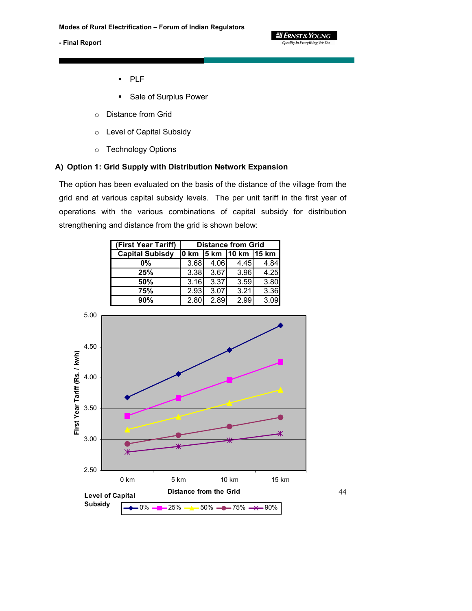

44

- PLF
- **Sale of Surplus Power**
- o Distance from Grid
- o Level of Capital Subsidy
- o Technology Options

## **A) Option 1: Grid Supply with Distribution Network Expansion**

The option has been evaluated on the basis of the distance of the village from the grid and at various capital subsidy levels. The per unit tariff in the first year of operations with the various combinations of capital subsidy for distribution strengthening and distance from the grid is shown below:

| (First Year Tariff)    | <b>Distance from Grid</b>   |      |      |      |  |  |
|------------------------|-----------------------------|------|------|------|--|--|
| <b>Capital Subisdy</b> | 0 km   5 km   10 km   15 km |      |      |      |  |  |
| $0\%$                  | 3.68                        | 4.06 | 4.45 | 4.84 |  |  |
| 25%                    | 3.38                        | 3.67 | 3.96 | 4.25 |  |  |
| 50%                    | 3.16                        | 3.37 | 3.59 | 3.80 |  |  |
| 75%                    | 2.93                        | 3.07 | 3.21 | 3.36 |  |  |
| 90%                    | 2.80                        | 2.89 | 2.99 | 3.09 |  |  |

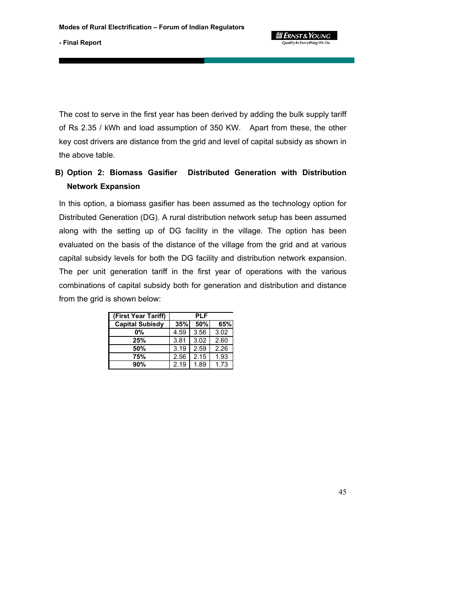**g** Ernst & Young Quality In Everything We Do

**- Final Report** 

The cost to serve in the first year has been derived by adding the bulk supply tariff of Rs 2.35 / kWh and load assumption of 350 KW. Apart from these, the other key cost drivers are distance from the grid and level of capital subsidy as shown in the above table.

# **B) Option 2: Biomass Gasifier Distributed Generation with Distribution Network Expansion**

In this option, a biomass gasifier has been assumed as the technology option for Distributed Generation (DG). A rural distribution network setup has been assumed along with the setting up of DG facility in the village. The option has been evaluated on the basis of the distance of the village from the grid and at various capital subsidy levels for both the DG facility and distribution network expansion. The per unit generation tariff in the first year of operations with the various combinations of capital subsidy both for generation and distribution and distance from the grid is shown below:

| (First Year Tariff)    |      | PLF  |      |
|------------------------|------|------|------|
| <b>Capital Subisdy</b> | 35%  | 50%  | 65%  |
| 0%                     | 4.59 | 3.56 | 3.02 |
| 25%                    | 3.81 | 3.02 | 2.60 |
| 50%                    | 3.19 | 2.59 | 2.26 |
| 75%                    | 2.56 | 2.15 | 1.93 |
| 90%                    | 2.19 | 1.89 | 1.73 |

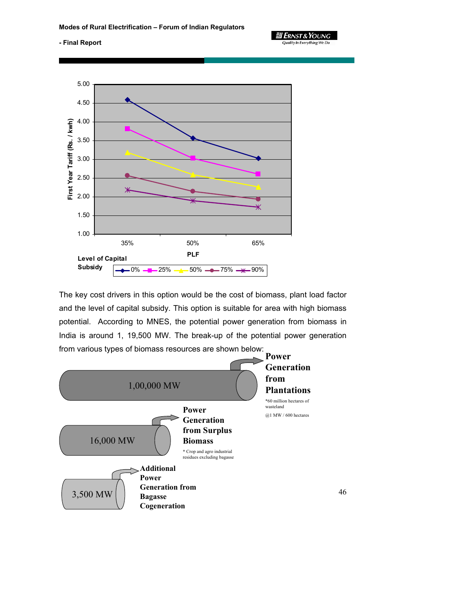<u>il Ernst & Young</u> **Quality In Everything We Do** 

46

#### **- Final Report**



The key cost drivers in this option would be the cost of biomass, plant load factor and the level of capital subsidy. This option is suitable for area with high biomass potential. According to MNES, the potential power generation from biomass in India is around 1, 19,500 MW. The break-up of the potential power generation from various types of biomass resources are shown below:

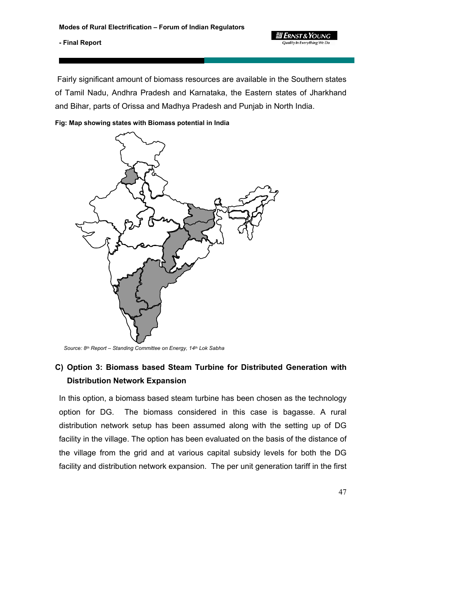Fairly significant amount of biomass resources are available in the Southern states of Tamil Nadu, Andhra Pradesh and Karnataka, the Eastern states of Jharkhand and Bihar, parts of Orissa and Madhya Pradesh and Punjab in North India.

**Y** ERNST & **Y**OUNG

**Fig: Map showing states with Biomass potential in India** 



*Source: 8th Report – Standing Committee on Energy, 14th Lok Sabha*

# **C) Option 3: Biomass based Steam Turbine for Distributed Generation with Distribution Network Expansion**

In this option, a biomass based steam turbine has been chosen as the technology option for DG. The biomass considered in this case is bagasse. A rural distribution network setup has been assumed along with the setting up of DG facility in the village. The option has been evaluated on the basis of the distance of the village from the grid and at various capital subsidy levels for both the DG facility and distribution network expansion. The per unit generation tariff in the first

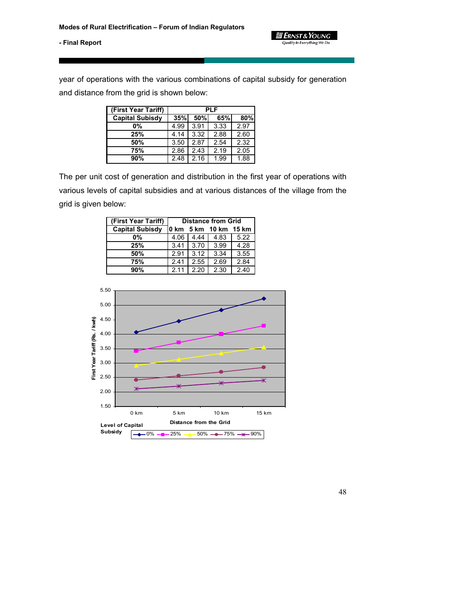

year of operations with the various combinations of capital subsidy for generation and distance from the grid is shown below:

| (First Year Tariff)    | <b>PLF</b>                |      |      |      |  |
|------------------------|---------------------------|------|------|------|--|
| <b>Capital Subisdy</b> | 35%<br>50%<br>65%l<br>80% |      |      |      |  |
| 0%                     | 4.99                      | 3.91 | 3.33 | 2.97 |  |
| 25%                    | 4.14                      | 3.32 | 2.88 | 2.60 |  |
| 50%                    | 3.50                      | 2.87 | 2.54 | 2.32 |  |
| 75%                    | 2.86                      | 2.43 | 2.19 | 2.05 |  |
| 90%                    | 2.48                      | 2.16 | 1.99 | 1.88 |  |

The per unit cost of generation and distribution in the first year of operations with various levels of capital subsidies and at various distances of the village from the grid is given below:

| (First Year Tariff)    | <b>Distance from Grid</b> |      |      |      |  |  |
|------------------------|---------------------------|------|------|------|--|--|
| <b>Capital Subisdy</b> | 0 km 5 km 10 km 15 km     |      |      |      |  |  |
| 0%                     | 4.06                      | 4.44 | 4.83 | 5.22 |  |  |
| 25%                    | 3.41                      | 3.70 | 3.99 | 4.28 |  |  |
| 50%                    | 2.91                      | 3.12 | 3.34 | 3.55 |  |  |
| 75%                    | 2.41                      | 2.55 | 2.69 | 2.84 |  |  |
| 90%                    | 2.11                      | 2.20 | 2.30 | 2.40 |  |  |

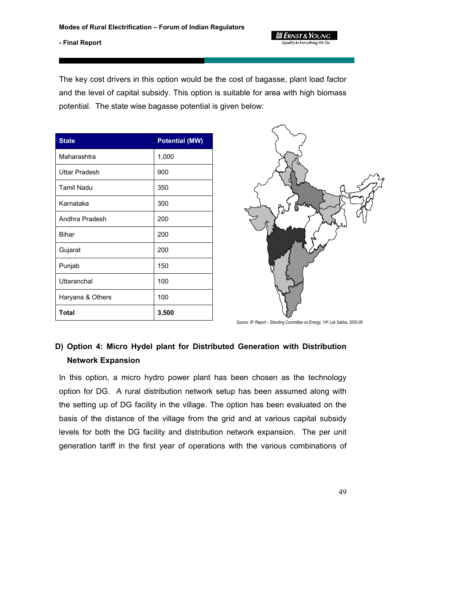*ERNST & YOUNG* Quality In Everything We D

## **- Final Report**

The key cost drivers in this option would be the cost of bagasse, plant load factor and the level of capital subsidy. This option is suitable for area with high biomass potential. The state wise bagasse potential is given below:

| <b>State</b>         | <b>Potential (MW)</b> |
|----------------------|-----------------------|
| Maharashtra          | 1,000                 |
| <b>Uttar Pradesh</b> | 900                   |
| <b>Tamil Nadu</b>    | 350                   |
| Karnataka            | 300                   |
| Andhra Pradesh       | 200                   |
| Bihar                | 200                   |
| Gujarat              | 200                   |
| Punjab               | 150                   |
| Uttaranchal          | 100                   |
| Haryana & Others     | 100                   |
| <b>Total</b>         | 3,500                 |



*Source: 8th Report – Standing Committee on Energy, 14th Lok Sabha, 2005-06*

# **D) Option 4: Micro Hydel plant for Distributed Generation with Distribution Network Expansion**

In this option, a micro hydro power plant has been chosen as the technology option for DG. A rural distribution network setup has been assumed along with the setting up of DG facility in the village. The option has been evaluated on the basis of the distance of the village from the grid and at various capital subsidy levels for both the DG facility and distribution network expansion. The per unit generation tariff in the first year of operations with the various combinations of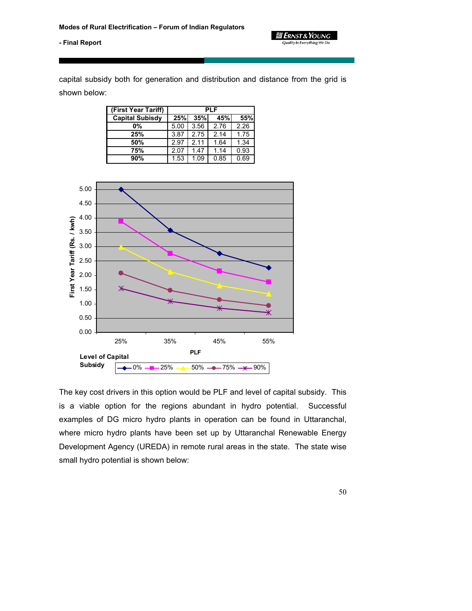**ELERNST & YOUNG** Quality In Everything We Do



capital subsidy both for generation and distribution and distance from the grid is shown below:

| (First Year Tariff)    | PLF  |      |      |      |  |  |
|------------------------|------|------|------|------|--|--|
| <b>Capital Subisdy</b> | 25%  | 35%  | 45%l | 55%  |  |  |
| 0%                     | 5.00 | 3.56 | 2.76 | 2.26 |  |  |
| 25%                    | 3.87 | 2.75 | 2.14 | 1.75 |  |  |
| 50%                    | 2.97 | 2.11 | 1.64 | 1.34 |  |  |
| 75%                    | 2.07 | 1.47 | 1.14 | 0.93 |  |  |
| 90%                    | 1.53 | 1.09 | 0.85 | 0.69 |  |  |



The key cost drivers in this option would be PLF and level of capital subsidy. This is a viable option for the regions abundant in hydro potential. Successful examples of DG micro hydro plants in operation can be found in Uttaranchal, where micro hydro plants have been set up by Uttaranchal Renewable Energy Development Agency (UREDA) in remote rural areas in the state. The state wise small hydro potential is shown below: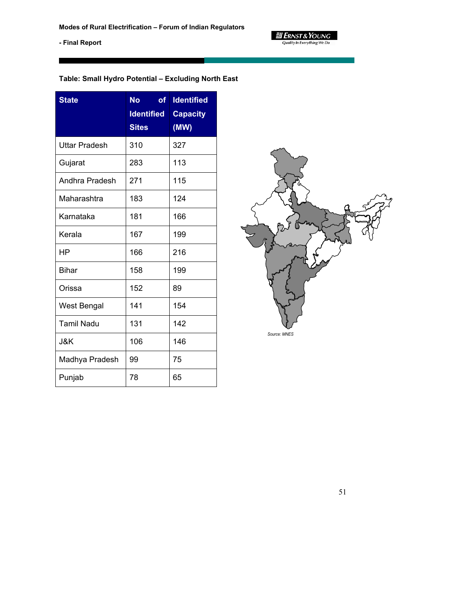$\equiv$  **ERNST & YOUNG**<br>Quality In Everything We Do

**- Final Report** 

# **Table: Small Hydro Potential – Excluding North East**

| <b>State</b>         | <b>No</b><br><b>of</b><br><b>Identified</b> | <b>Identified</b><br><b>Capacity</b> |
|----------------------|---------------------------------------------|--------------------------------------|
|                      | <b>Sites</b>                                | (MW)                                 |
| <b>Uttar Pradesh</b> | 310                                         | 327                                  |
| Gujarat              | 283                                         | 113                                  |
| Andhra Pradesh       | 271                                         | 115                                  |
| Maharashtra          | 183                                         | 124                                  |
| Karnataka            | 181                                         | 166                                  |
| Kerala               | 167                                         | 199                                  |
| ΗP                   | 166                                         | 216                                  |
| Bihar                | 158                                         | 199                                  |
| Orissa               | 152                                         | 89                                   |
| West Bengal          | 141                                         | 154                                  |
| <b>Tamil Nadu</b>    | 131                                         | 142                                  |
| J&K                  | 106                                         | 146                                  |
| Madhya Pradesh       | 99                                          | 75                                   |
| Punjab               | 78                                          | 65                                   |

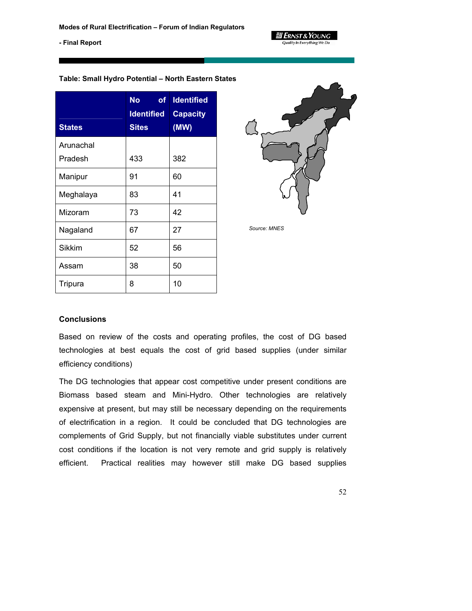

### **Table: Small Hydro Potential – North Eastern States**

| <b>States</b> | <b>No</b><br>of<br><b>Identified</b><br><b>Sites</b> | <b>Identified</b><br><b>Capacity</b><br>(MW) |
|---------------|------------------------------------------------------|----------------------------------------------|
| Arunachal     |                                                      |                                              |
| Pradesh       | 433                                                  | 382                                          |
| Manipur       | 91                                                   | 60                                           |
| Meghalaya     | 83                                                   | 41                                           |
| Mizoram       | 73                                                   | 42                                           |
| Nagaland      | 67                                                   | 27                                           |
| <b>Sikkim</b> | 52                                                   | 56                                           |
| Assam         | 38                                                   | 50                                           |
| Tripura       | 8                                                    | 10                                           |



*Source: MNES*

## **Conclusions**

Based on review of the costs and operating profiles, the cost of DG based technologies at best equals the cost of grid based supplies (under similar efficiency conditions)

The DG technologies that appear cost competitive under present conditions are Biomass based steam and Mini-Hydro. Other technologies are relatively expensive at present, but may still be necessary depending on the requirements of electrification in a region. It could be concluded that DG technologies are complements of Grid Supply, but not financially viable substitutes under current cost conditions if the location is not very remote and grid supply is relatively efficient. Practical realities may however still make DG based supplies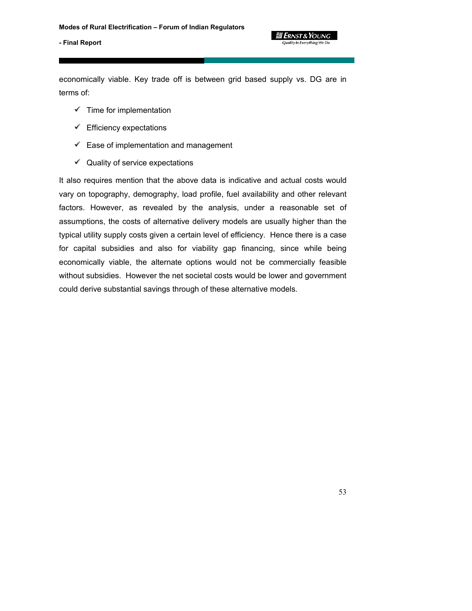*ERNST & Young* Quality In Everything We Do

### **- Final Report**

economically viable. Key trade off is between grid based supply vs. DG are in terms of:

- $\checkmark$  Time for implementation
- $\mathscr V$  Efficiency expectations
- $\mathscr I$  Ease of implementation and management
- $\sqrt{\ }$  Quality of service expectations

It also requires mention that the above data is indicative and actual costs would vary on topography, demography, load profile, fuel availability and other relevant factors. However, as revealed by the analysis, under a reasonable set of assumptions, the costs of alternative delivery models are usually higher than the typical utility supply costs given a certain level of efficiency. Hence there is a case for capital subsidies and also for viability gap financing, since while being economically viable, the alternate options would not be commercially feasible without subsidies. However the net societal costs would be lower and government could derive substantial savings through of these alternative models.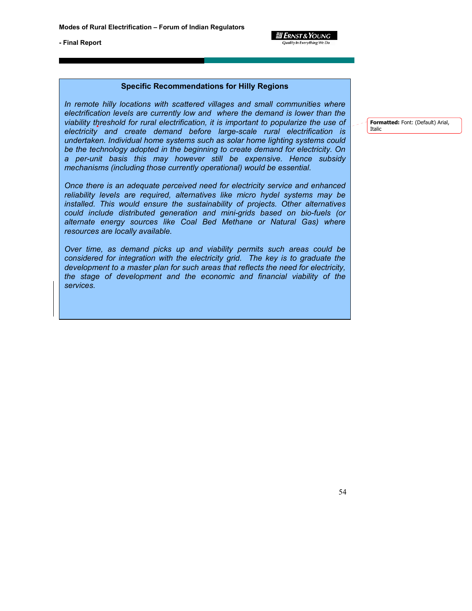*3 Ernst & Young* **Quality In Everything We Do** 

**- Final Report** 

## **Specific Recommendations for Hilly Regions**

*In remote hilly locations with scattered villages and small communities where electrification levels are currently low and where the demand is lower than the viability threshold for rural electrification, it is important to popularize the use of electricity and create demand before large-scale rural electrification is undertaken. Individual home systems such as solar home lighting systems could be the technology adopted in the beginning to create demand for electricity. On a per-unit basis this may however still be expensive. Hence subsidy mechanisms (including those currently operational) would be essential.* 

*Once there is an adequate perceived need for electricity service and enhanced reliability levels are required, alternatives like micro hydel systems may be installed. This would ensure the sustainability of projects. Other alternatives could include distributed generation and mini-grids based on bio-fuels (or alternate energy sources like Coal Bed Methane or Natural Gas) where resources are locally available.* 

*Over time, as demand picks up and viability permits such areas could be considered for integration with the electricity grid. The key is to graduate the development to a master plan for such areas that reflects the need for electricity, the stage of development and the economic and financial viability of the services.* 

**Formatted:** Font: (Default) Arial, Italic

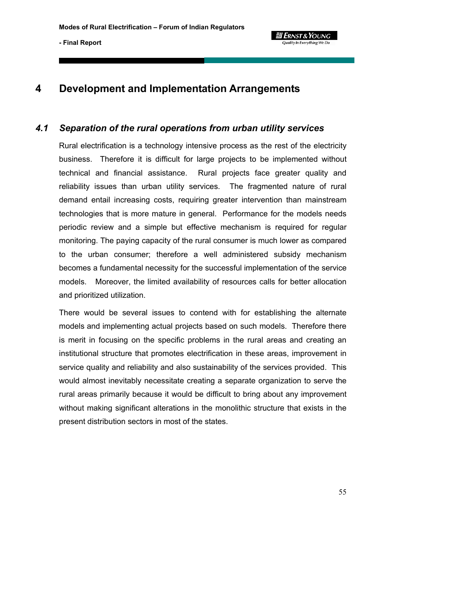

# **4 Development and Implementation Arrangements**

## *4.1 Separation of the rural operations from urban utility services*

Rural electrification is a technology intensive process as the rest of the electricity business. Therefore it is difficult for large projects to be implemented without technical and financial assistance. Rural projects face greater quality and reliability issues than urban utility services. The fragmented nature of rural demand entail increasing costs, requiring greater intervention than mainstream technologies that is more mature in general. Performance for the models needs periodic review and a simple but effective mechanism is required for regular monitoring. The paying capacity of the rural consumer is much lower as compared to the urban consumer; therefore a well administered subsidy mechanism becomes a fundamental necessity for the successful implementation of the service models. Moreover, the limited availability of resources calls for better allocation and prioritized utilization.

There would be several issues to contend with for establishing the alternate models and implementing actual projects based on such models. Therefore there is merit in focusing on the specific problems in the rural areas and creating an institutional structure that promotes electrification in these areas, improvement in service quality and reliability and also sustainability of the services provided. This would almost inevitably necessitate creating a separate organization to serve the rural areas primarily because it would be difficult to bring about any improvement without making significant alterations in the monolithic structure that exists in the present distribution sectors in most of the states.

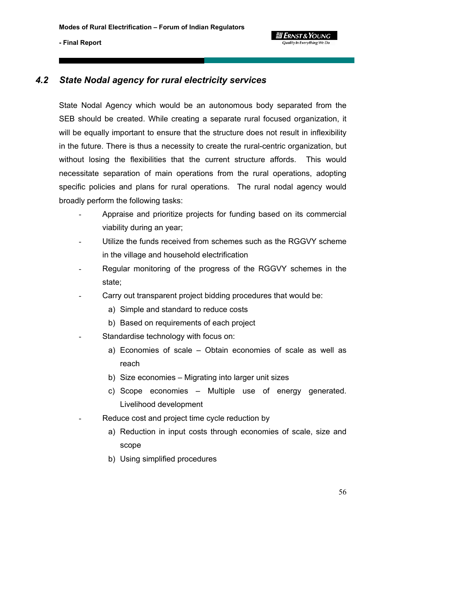

## *4.2 State Nodal agency for rural electricity services*

State Nodal Agency which would be an autonomous body separated from the SEB should be created. While creating a separate rural focused organization, it will be equally important to ensure that the structure does not result in inflexibility in the future. There is thus a necessity to create the rural-centric organization, but without losing the flexibilities that the current structure affords. This would necessitate separation of main operations from the rural operations, adopting specific policies and plans for rural operations. The rural nodal agency would broadly perform the following tasks:

**g Ernst & Young** Quality In Everything We De

- Appraise and prioritize projects for funding based on its commercial viability during an year;
- Utilize the funds received from schemes such as the RGGVY scheme in the village and household electrification
- Regular monitoring of the progress of the RGGVY schemes in the state;
- Carry out transparent project bidding procedures that would be:
	- a) Simple and standard to reduce costs
	- b) Based on requirements of each project
- Standardise technology with focus on:
	- a) Economies of scale Obtain economies of scale as well as reach
	- b) Size economies Migrating into larger unit sizes
	- c) Scope economies Multiple use of energy generated. Livelihood development
- Reduce cost and project time cycle reduction by
	- a) Reduction in input costs through economies of scale, size and scope
	- b) Using simplified procedures

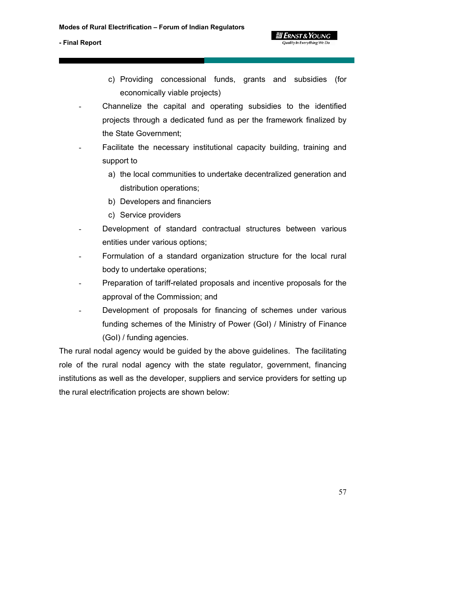c) Providing concessional funds, grants and subsidies (for economically viable projects)

**g Ernst & Young** Quality In Everything We Do

- Channelize the capital and operating subsidies to the identified projects through a dedicated fund as per the framework finalized by the State Government;
- Facilitate the necessary institutional capacity building, training and support to
	- a) the local communities to undertake decentralized generation and distribution operations;
	- b) Developers and financiers
	- c) Service providers
- Development of standard contractual structures between various entities under various options;
- Formulation of a standard organization structure for the local rural body to undertake operations;
- Preparation of tariff-related proposals and incentive proposals for the approval of the Commission; and
- Development of proposals for financing of schemes under various funding schemes of the Ministry of Power (GoI) / Ministry of Finance (GoI) / funding agencies.

The rural nodal agency would be guided by the above guidelines. The facilitating role of the rural nodal agency with the state regulator, government, financing institutions as well as the developer, suppliers and service providers for setting up the rural electrification projects are shown below:

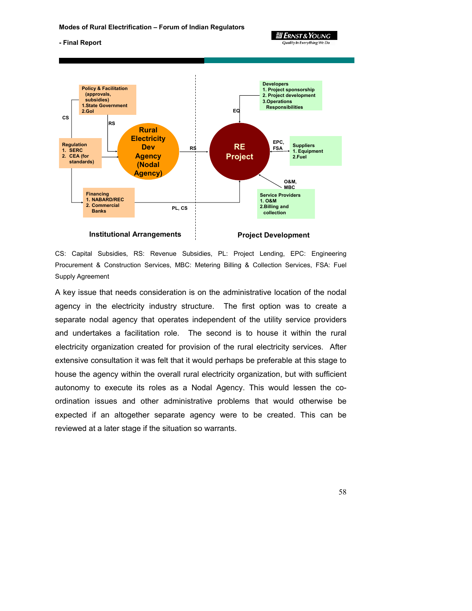**आ Ernst & Young** Quality In Everything We Do

#### **- Final Report**



CS: Capital Subsidies, RS: Revenue Subsidies, PL: Project Lending, EPC: Engineering Procurement & Construction Services, MBC: Metering Billing & Collection Services, FSA: Fuel Supply Agreement

A key issue that needs consideration is on the administrative location of the nodal agency in the electricity industry structure. The first option was to create a separate nodal agency that operates independent of the utility service providers and undertakes a facilitation role. The second is to house it within the rural electricity organization created for provision of the rural electricity services. After extensive consultation it was felt that it would perhaps be preferable at this stage to house the agency within the overall rural electricity organization, but with sufficient autonomy to execute its roles as a Nodal Agency. This would lessen the coordination issues and other administrative problems that would otherwise be expected if an altogether separate agency were to be created. This can be reviewed at a later stage if the situation so warrants.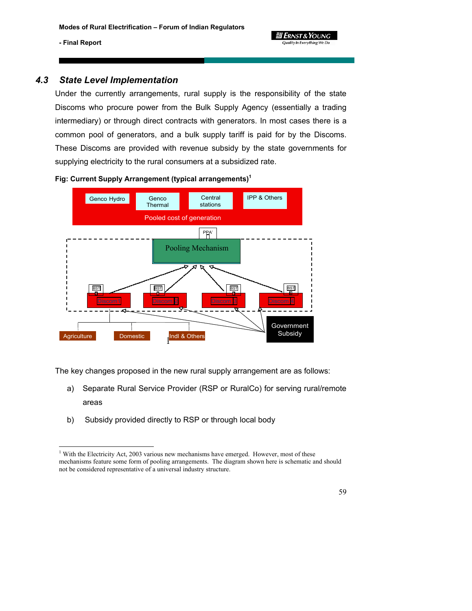l

## *4.3 State Level Implementation*

Under the currently arrangements, rural supply is the responsibility of the state Discoms who procure power from the Bulk Supply Agency (essentially a trading intermediary) or through direct contracts with generators. In most cases there is a common pool of generators, and a bulk supply tariff is paid for by the Discoms. These Discoms are provided with revenue subsidy by the state governments for supplying electricity to the rural consumers at a subsidized rate.



**Fig: Current Supply Arrangement (typical arrangements)<sup>1</sup>**

The key changes proposed in the new rural supply arrangement are as follows:

- a) Separate Rural Service Provider (RSP or RuralCo) for serving rural/remote areas
- b) Subsidy provided directly to RSP or through local body

<sup>&</sup>lt;sup>1</sup> With the Electricity Act, 2003 various new mechanisms have emerged. However, most of these mechanisms feature some form of pooling arrangements. The diagram shown here is schematic and should not be considered representative of a universal industry structure.

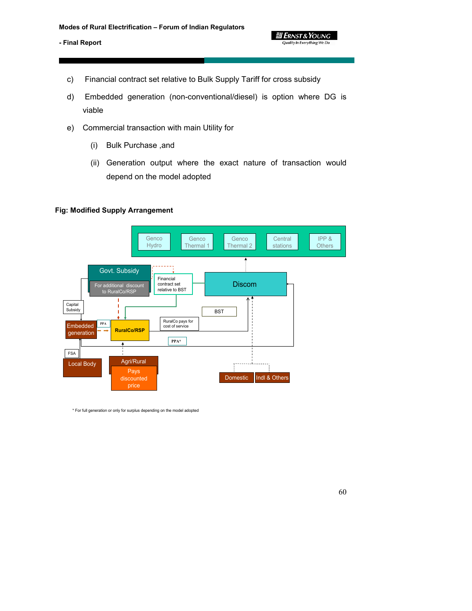- c) Financial contract set relative to Bulk Supply Tariff for cross subsidy
- d) Embedded generation (non-conventional/diesel) is option where DG is viable

*3 Ernst & Young* Quality In Everything We Do

- e) Commercial transaction with main Utility for
	- (i) Bulk Purchase ,and
	- (ii) Generation output where the exact nature of transaction would depend on the model adopted

## **Fig: Modified Supply Arrangement**



\* For full generation or only for surplus depending on the model adopted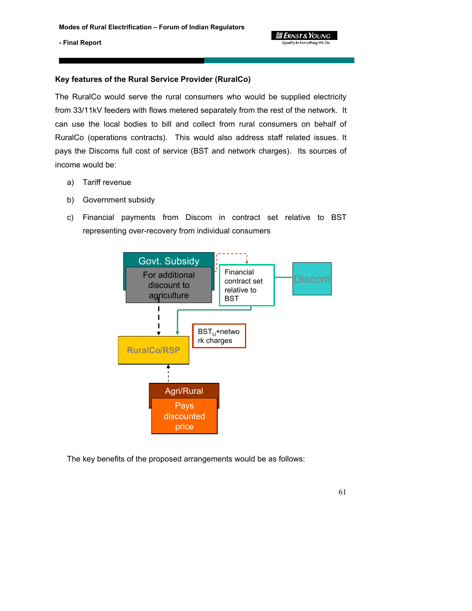

### **Key features of the Rural Service Provider (RuralCo)**

The RuralCo would serve the rural consumers who would be supplied electricity from 33/11kV feeders with flows metered separately from the rest of the network. It can use the local bodies to bill and collect from rural consumers on behalf of RuralCo (operations contracts). This would also address staff related issues. It pays the Discoms full cost of service (BST and network charges). Its sources of income would be:

- a) Tariff revenue
- b) Government subsidy
- c) Financial payments from Discom in contract set relative to BST representing over-recovery from individual consumers



The key benefits of the proposed arrangements would be as follows: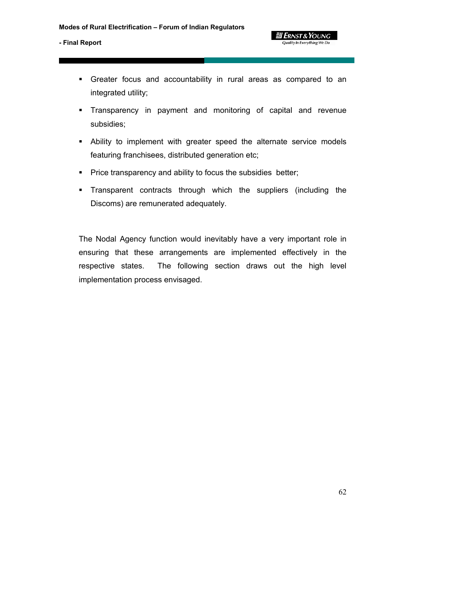Greater focus and accountability in rural areas as compared to an integrated utility;

*a* Ernst & Young **Quality In Everything We Do** 

- Transparency in payment and monitoring of capital and revenue subsidies;
- Ability to implement with greater speed the alternate service models featuring franchisees, distributed generation etc;
- **Price transparency and ability to focus the subsidies better;**
- Transparent contracts through which the suppliers (including the Discoms) are remunerated adequately.

The Nodal Agency function would inevitably have a very important role in ensuring that these arrangements are implemented effectively in the respective states. The following section draws out the high level implementation process envisaged.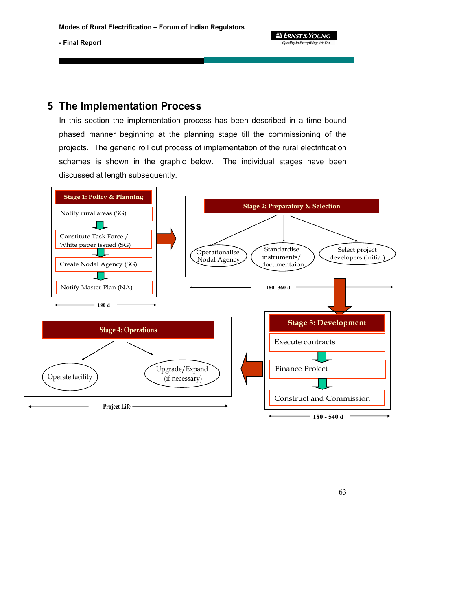3 Ernst & Young Quality In Everything We Do

**- Final Report** 

## **5 The Implementation Process**

In this section the implementation process has been described in a time bound phased manner beginning at the planning stage till the commissioning of the projects. The generic roll out process of implementation of the rural electrification schemes is shown in the graphic below. The individual stages have been discussed at length subsequently.

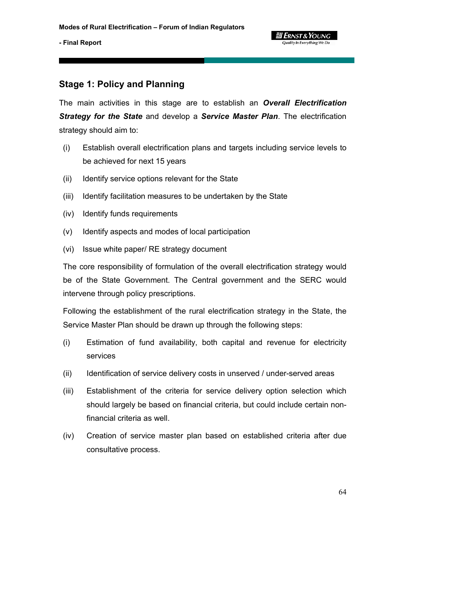## **Stage 1: Policy and Planning**

The main activities in this stage are to establish an *Overall Electrification Strategy for the State* and develop a *Service Master Plan*. The electrification strategy should aim to:

- (i) Establish overall electrification plans and targets including service levels to be achieved for next 15 years
- (ii) Identify service options relevant for the State
- (iii) Identify facilitation measures to be undertaken by the State
- (iv) Identify funds requirements
- (v) Identify aspects and modes of local participation
- (vi) Issue white paper/ RE strategy document

The core responsibility of formulation of the overall electrification strategy would be of the State Government. The Central government and the SERC would intervene through policy prescriptions.

Following the establishment of the rural electrification strategy in the State, the Service Master Plan should be drawn up through the following steps:

- (i) Estimation of fund availability, both capital and revenue for electricity services
- (ii) Identification of service delivery costs in unserved / under-served areas
- (iii) Establishment of the criteria for service delivery option selection which should largely be based on financial criteria, but could include certain nonfinancial criteria as well.
- (iv) Creation of service master plan based on established criteria after due consultative process.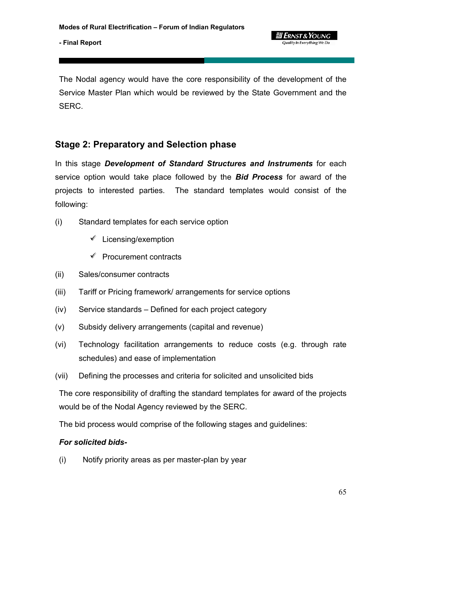**आ Ernst & Young** Quality In Everything We Do

The Nodal agency would have the core responsibility of the development of the Service Master Plan which would be reviewed by the State Government and the SERC.

# **Stage 2: Preparatory and Selection phase**

In this stage *Development of Standard Structures and Instruments* for each service option would take place followed by the *Bid Process* for award of the projects to interested parties. The standard templates would consist of the following:

- (i) Standard templates for each service option
	- $\mathscr I$  Licensing/exemption
	- $\mathscr V$  Procurement contracts
- (ii) Sales/consumer contracts
- (iii) Tariff or Pricing framework/ arrangements for service options
- (iv) Service standards Defined for each project category
- (v) Subsidy delivery arrangements (capital and revenue)
- (vi) Technology facilitation arrangements to reduce costs (e.g. through rate schedules) and ease of implementation
- (vii) Defining the processes and criteria for solicited and unsolicited bids

The core responsibility of drafting the standard templates for award of the projects would be of the Nodal Agency reviewed by the SERC.

The bid process would comprise of the following stages and guidelines:

## *For solicited bids-*

(i) Notify priority areas as per master-plan by year

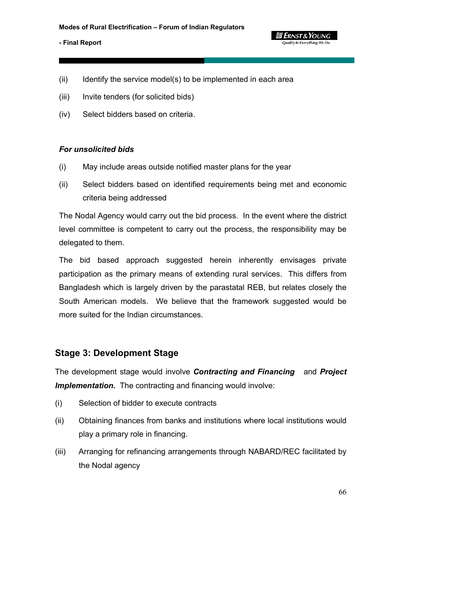

- (iii) Invite tenders (for solicited bids)
- (iv) Select bidders based on criteria.

### *For unsolicited bids*

- (i) May include areas outside notified master plans for the year
- (ii) Select bidders based on identified requirements being met and economic criteria being addressed

**g Ernst & Young** Quality In Everything We Do

The Nodal Agency would carry out the bid process. In the event where the district level committee is competent to carry out the process, the responsibility may be delegated to them.

The bid based approach suggested herein inherently envisages private participation as the primary means of extending rural services. This differs from Bangladesh which is largely driven by the parastatal REB, but relates closely the South American models. We believe that the framework suggested would be more suited for the Indian circumstances.

## **Stage 3: Development Stage**

The development stage would involve *Contracting and Financing* and *Project*  **Implementation.** The contracting and financing would involve:

- (i) Selection of bidder to execute contracts
- (ii) Obtaining finances from banks and institutions where local institutions would play a primary role in financing.
- (iii) Arranging for refinancing arrangements through NABARD/REC facilitated by the Nodal agency

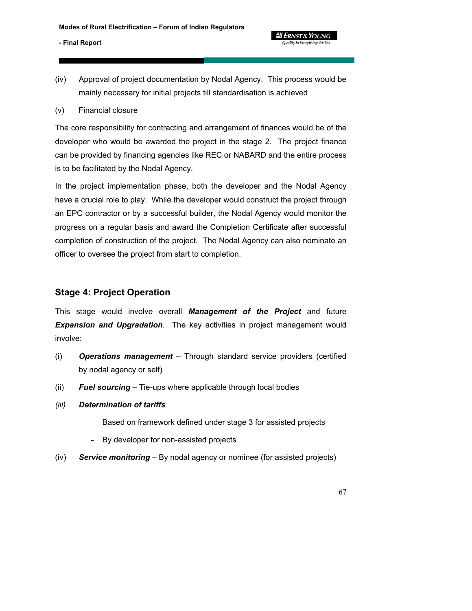(iv) Approval of project documentation by Nodal Agency. This process would be mainly necessary for initial projects till standardisation is achieved

**g Ernst & Young** Quality In Everything We Do

(v) Financial closure

The core responsibility for contracting and arrangement of finances would be of the developer who would be awarded the project in the stage 2. The project finance can be provided by financing agencies like REC or NABARD and the entire process is to be facilitated by the Nodal Agency.

In the project implementation phase, both the developer and the Nodal Agency have a crucial role to play. While the developer would construct the project through an EPC contractor or by a successful builder, the Nodal Agency would monitor the progress on a regular basis and award the Completion Certificate after successful completion of construction of the project. The Nodal Agency can also nominate an officer to oversee the project from start to completion.

# **Stage 4: Project Operation**

This stage would involve overall *Management of the Project* and future *Expansion and Upgradation*. The key activities in project management would involve:

- (i) *Operations management* Through standard service providers (certified by nodal agency or self)
- (ii) *Fuel sourcing* Tie-ups where applicable through local bodies
- *(iii) Determination of tariffs* 
	- Based on framework defined under stage 3 for assisted projects
	- By developer for non-assisted projects
- (iv) *Service monitoring* By nodal agency or nominee (for assisted projects)

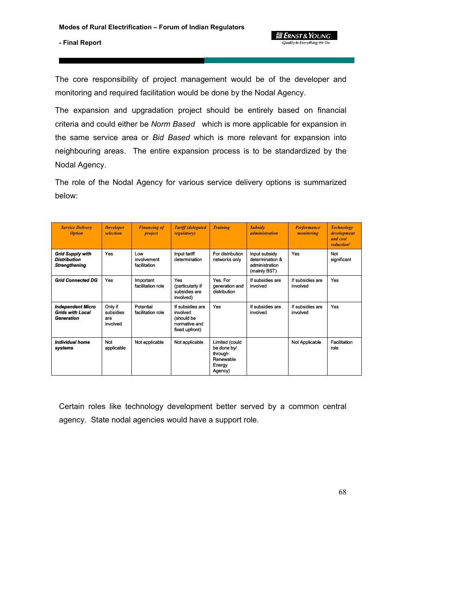*ERNST & Young* Quality In Everything We Do

**- Final Report** 

The core responsibility of project management would be of the developer and monitoring and required facilitation would be done by the Nodal Agency.

The expansion and upgradation project should be entirely based on financial criteria and could either be *Norm Based* which is more applicable for expansion in the same service area or *Bid Based* which is more relevant for expansion into neighbouring areas. The entire expansion process is to be standardized by the Nodal Agency.

The role of the Nodal Agency for various service delivery options is summarized below:

| <b>Service Delivery</b><br><b>Option</b>                                 | <b>Developer</b><br>selection           | <b>Financing of</b><br>project     | <b>Tariff (delegated)</b><br><i>regulatory</i> )                              | <b>Training</b>                                                            | <b>Subsidy</b><br><i>administration</i>                            | <b>Performance</b><br>monitoring | <b>Technology</b><br>development<br>and cost<br>reduction <sup>1</sup> |
|--------------------------------------------------------------------------|-----------------------------------------|------------------------------------|-------------------------------------------------------------------------------|----------------------------------------------------------------------------|--------------------------------------------------------------------|----------------------------------|------------------------------------------------------------------------|
| <b>Grid Supply with</b><br><b>Distribution</b><br><b>Strengthening</b>   | <b>Yes</b>                              | Low<br>involvement<br>facilitation | Input tariff<br>determination                                                 | For distribution<br>networks only                                          | Input subsidy<br>determination &<br>administration<br>(mainly BST) | Yes                              | Not<br>significant                                                     |
| <b>Grid Connected DG</b>                                                 | Yes                                     | Important<br>facilitation role     | Yes<br>(particularly if<br>subsidies are<br>involved)                         | Yes. For<br>generation and<br>distribution                                 | If subsidies are<br>involved                                       | If subsidies are<br>involved     | Yes                                                                    |
| <b>Independent Micro</b><br><b>Grids with Local</b><br><b>Generation</b> | Only if<br>subsidies<br>are<br>involved | Potential<br>facilitation role     | If subsidies are<br>involved<br>(should be<br>normative and<br>fixed upfront) | Yes                                                                        | If subsidies are<br>involved                                       | If subsidies are<br>involved     | Yes                                                                    |
| <b>Individual home</b><br>systems                                        | Not<br>applicable                       | Not applicable                     | Not applicable                                                                | Limited (could<br>be done by/<br>through<br>Renewable<br>Energy<br>Agency) |                                                                    | Not Applicable                   | Facilitation<br>role                                                   |

Certain roles like technology development better served by a common central agency. State nodal agencies would have a support role.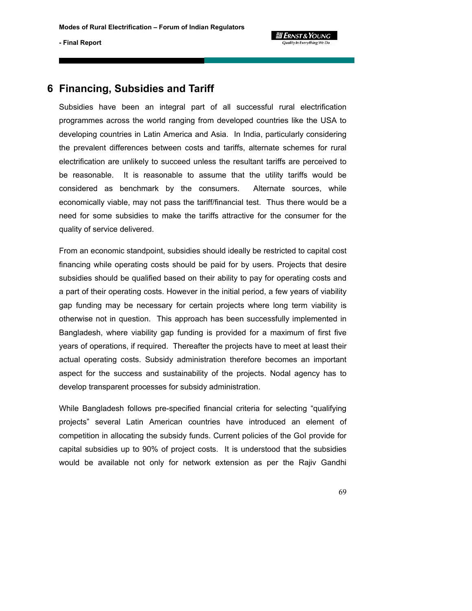# 

#### **- Final Report**

# **6 Financing, Subsidies and Tariff**

Subsidies have been an integral part of all successful rural electrification programmes across the world ranging from developed countries like the USA to developing countries in Latin America and Asia. In India, particularly considering the prevalent differences between costs and tariffs, alternate schemes for rural electrification are unlikely to succeed unless the resultant tariffs are perceived to be reasonable. It is reasonable to assume that the utility tariffs would be considered as benchmark by the consumers. Alternate sources, while economically viable, may not pass the tariff/financial test. Thus there would be a need for some subsidies to make the tariffs attractive for the consumer for the quality of service delivered.

From an economic standpoint, subsidies should ideally be restricted to capital cost financing while operating costs should be paid for by users. Projects that desire subsidies should be qualified based on their ability to pay for operating costs and a part of their operating costs. However in the initial period, a few years of viability gap funding may be necessary for certain projects where long term viability is otherwise not in question. This approach has been successfully implemented in Bangladesh, where viability gap funding is provided for a maximum of first five years of operations, if required. Thereafter the projects have to meet at least their actual operating costs. Subsidy administration therefore becomes an important aspect for the success and sustainability of the projects. Nodal agency has to develop transparent processes for subsidy administration.

While Bangladesh follows pre-specified financial criteria for selecting "qualifying projects" several Latin American countries have introduced an element of competition in allocating the subsidy funds. Current policies of the GoI provide for capital subsidies up to 90% of project costs. It is understood that the subsidies would be available not only for network extension as per the Rajiv Gandhi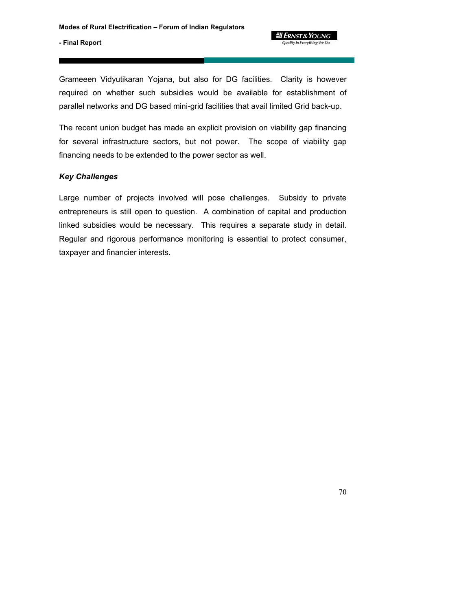*a* Ernst & Young **Quality In Everything We Do** 

Grameeen Vidyutikaran Yojana, but also for DG facilities. Clarity is however required on whether such subsidies would be available for establishment of parallel networks and DG based mini-grid facilities that avail limited Grid back-up.

The recent union budget has made an explicit provision on viability gap financing for several infrastructure sectors, but not power. The scope of viability gap financing needs to be extended to the power sector as well.

## *Key Challenges*

Large number of projects involved will pose challenges. Subsidy to private entrepreneurs is still open to question. A combination of capital and production linked subsidies would be necessary. This requires a separate study in detail. Regular and rigorous performance monitoring is essential to protect consumer, taxpayer and financier interests.

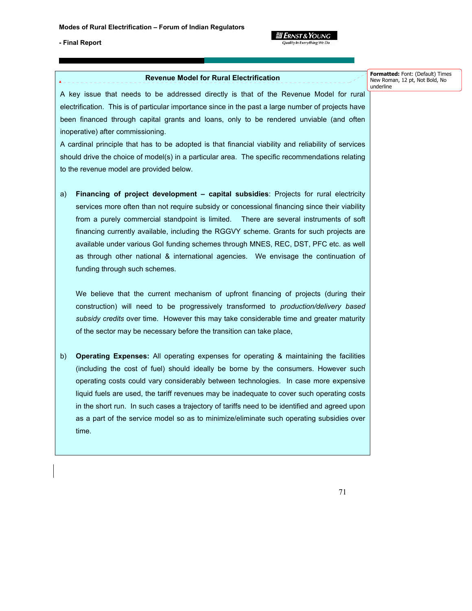

#### **Revenue Model for Rural Electrification**

**Formatted:** Font: (Default) Times New Roman, 12 pt, Not Bold, No underline

A key issue that needs to be addressed directly is that of the Revenue Model for rural electrification. This is of particular importance since in the past a large number of projects have been financed through capital grants and loans, only to be rendered unviable (and often inoperative) after commissioning.

A cardinal principle that has to be adopted is that financial viability and reliability of services should drive the choice of model(s) in a particular area. The specific recommendations relating to the revenue model are provided below.

a) **Financing of project development – capital subsidies**: Projects for rural electricity services more often than not require subsidy or concessional financing since their viability from a purely commercial standpoint is limited. There are several instruments of soft financing currently available, including the RGGVY scheme. Grants for such projects are available under various GoI funding schemes through MNES, REC, DST, PFC etc. as well as through other national & international agencies. We envisage the continuation of funding through such schemes.

We believe that the current mechanism of upfront financing of projects (during their construction) will need to be progressively transformed to *production/delivery based subsidy credits* over time. However this may take considerable time and greater maturity of the sector may be necessary before the transition can take place,

b) **Operating Expenses:** All operating expenses for operating & maintaining the facilities (including the cost of fuel) should ideally be borne by the consumers. However such operating costs could vary considerably between technologies. In case more expensive liquid fuels are used, the tariff revenues may be inadequate to cover such operating costs in the short run. In such cases a trajectory of tariffs need to be identified and agreed upon as a part of the service model so as to minimize/eliminate such operating subsidies over time.

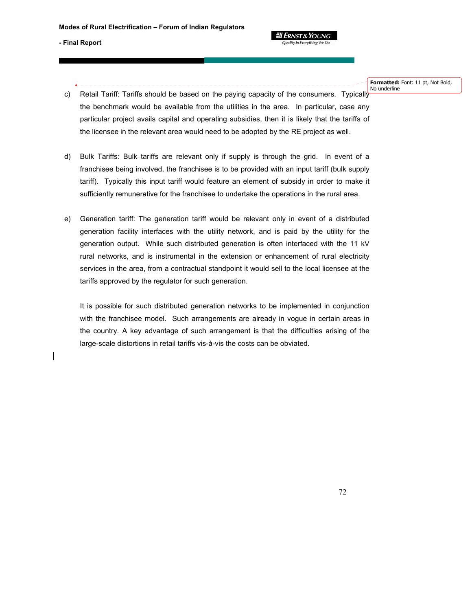

**Formatted:** Font: 11 pt, Not Bold, No underline

- c) Retail Tariff: Tariffs should be based on the paying capacity of the consumers. Typically the benchmark would be available from the utilities in the area. In particular, case any particular project avails capital and operating subsidies, then it is likely that the tariffs of the licensee in the relevant area would need to be adopted by the RE project as well.
- d) Bulk Tariffs: Bulk tariffs are relevant only if supply is through the grid. In event of a franchisee being involved, the franchisee is to be provided with an input tariff (bulk supply tariff). Typically this input tariff would feature an element of subsidy in order to make it sufficiently remunerative for the franchisee to undertake the operations in the rural area.
- e) Generation tariff: The generation tariff would be relevant only in event of a distributed generation facility interfaces with the utility network, and is paid by the utility for the generation output. While such distributed generation is often interfaced with the 11 kV rural networks, and is instrumental in the extension or enhancement of rural electricity services in the area, from a contractual standpoint it would sell to the local licensee at the tariffs approved by the regulator for such generation.

It is possible for such distributed generation networks to be implemented in conjunction with the franchisee model. Such arrangements are already in vogue in certain areas in the country. A key advantage of such arrangement is that the difficulties arising of the large-scale distortions in retail tariffs vis-à-vis the costs can be obviated.

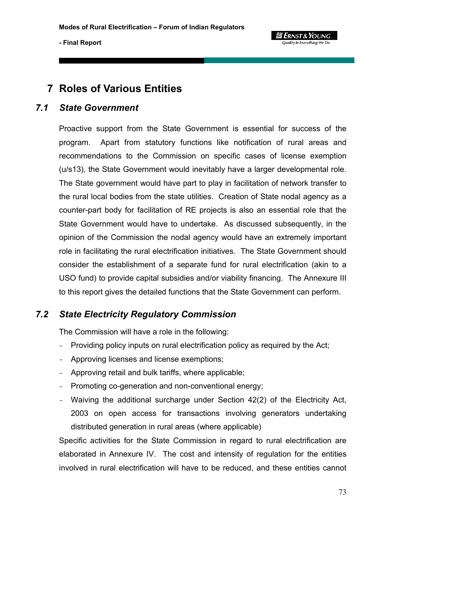# **7 Roles of Various Entities**

## *7.1 State Government*

Proactive support from the State Government is essential for success of the program. Apart from statutory functions like notification of rural areas and recommendations to the Commission on specific cases of license exemption (u/s13), the State Government would inevitably have a larger developmental role. The State government would have part to play in facilitation of network transfer to the rural local bodies from the state utilities. Creation of State nodal agency as a counter-part body for facilitation of RE projects is also an essential role that the State Government would have to undertake. As discussed subsequently, in the opinion of the Commission the nodal agency would have an extremely important role in facilitating the rural electrification initiatives. The State Government should consider the establishment of a separate fund for rural electrification (akin to a USO fund) to provide capital subsidies and/or viability financing. The Annexure III to this report gives the detailed functions that the State Government can perform.

## *7.2 State Electricity Regulatory Commission*

The Commission will have a role in the following:

- Providing policy inputs on rural electrification policy as required by the Act;
- Approving licenses and license exemptions;
- Approving retail and bulk tariffs, where applicable;
- Promoting co-generation and non-conventional energy;
- Waiving the additional surcharge under Section 42(2) of the Electricity Act, 2003 on open access for transactions involving generators undertaking distributed generation in rural areas (where applicable)

Specific activities for the State Commission in regard to rural electrification are elaborated in Annexure IV. The cost and intensity of regulation for the entities involved in rural electrification will have to be reduced, and these entities cannot

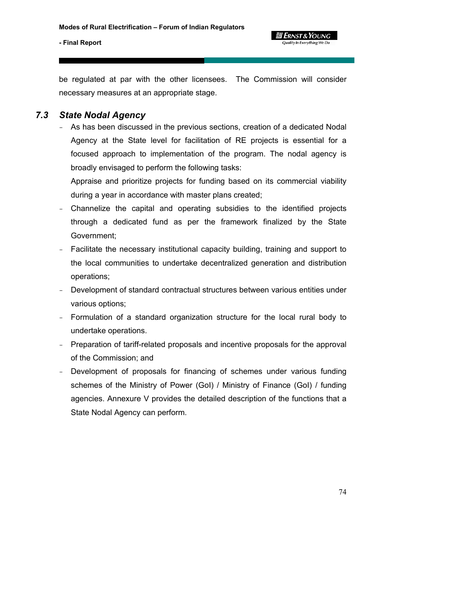

be regulated at par with the other licensees. The Commission will consider necessary measures at an appropriate stage.

## *7.3 State Nodal Agency*

- As has been discussed in the previous sections, creation of a dedicated Nodal Agency at the State level for facilitation of RE projects is essential for a focused approach to implementation of the program. The nodal agency is broadly envisaged to perform the following tasks:

Appraise and prioritize projects for funding based on its commercial viability during a year in accordance with master plans created;

- Channelize the capital and operating subsidies to the identified projects through a dedicated fund as per the framework finalized by the State Government;
- Facilitate the necessary institutional capacity building, training and support to the local communities to undertake decentralized generation and distribution operations;
- Development of standard contractual structures between various entities under various options;
- Formulation of a standard organization structure for the local rural body to undertake operations.
- Preparation of tariff-related proposals and incentive proposals for the approval of the Commission; and
- Development of proposals for financing of schemes under various funding schemes of the Ministry of Power (GoI) / Ministry of Finance (GoI) / funding agencies. Annexure V provides the detailed description of the functions that a State Nodal Agency can perform.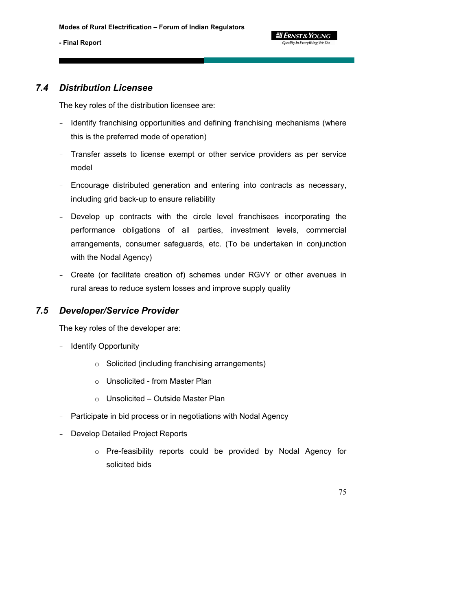

## *7.4 Distribution Licensee*

The key roles of the distribution licensee are:

- Identify franchising opportunities and defining franchising mechanisms (where this is the preferred mode of operation)
- Transfer assets to license exempt or other service providers as per service model
- Encourage distributed generation and entering into contracts as necessary, including grid back-up to ensure reliability
- Develop up contracts with the circle level franchisees incorporating the performance obligations of all parties, investment levels, commercial arrangements, consumer safeguards, etc. (To be undertaken in conjunction with the Nodal Agency)
- Create (or facilitate creation of) schemes under RGVY or other avenues in rural areas to reduce system losses and improve supply quality

## *7.5 Developer/Service Provider*

The key roles of the developer are:

- Identify Opportunity
	- o Solicited (including franchising arrangements)
	- o Unsolicited from Master Plan
	- o Unsolicited Outside Master Plan
- Participate in bid process or in negotiations with Nodal Agency
- Develop Detailed Project Reports
	- o Pre-feasibility reports could be provided by Nodal Agency for solicited bids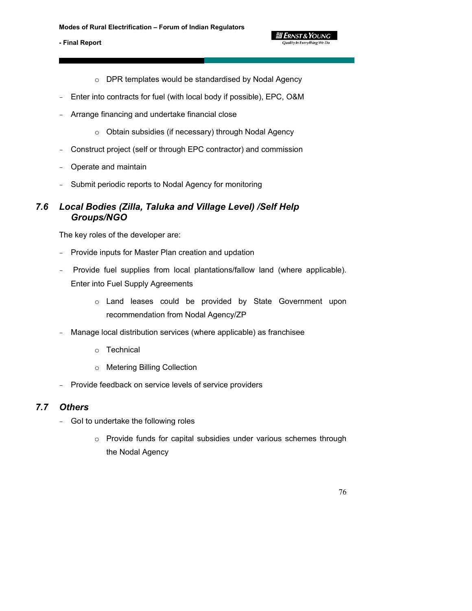o DPR templates would be standardised by Nodal Agency

**g** Ernst & Young Quality In Everything We Do

- Enter into contracts for fuel (with local body if possible), EPC, O&M
- Arrange financing and undertake financial close
	- o Obtain subsidies (if necessary) through Nodal Agency
- Construct project (self or through EPC contractor) and commission
- Operate and maintain
- Submit periodic reports to Nodal Agency for monitoring

## *7.6 Local Bodies (Zilla, Taluka and Village Level) /Self Help Groups/NGO*

The key roles of the developer are:

- Provide inputs for Master Plan creation and updation
- Provide fuel supplies from local plantations/fallow land (where applicable). Enter into Fuel Supply Agreements
	- o Land leases could be provided by State Government upon recommendation from Nodal Agency/ZP
- Manage local distribution services (where applicable) as franchisee
	- o Technical
	- o Metering Billing Collection
- Provide feedback on service levels of service providers

## *7.7 Others*

- GoI to undertake the following roles
	- o Provide funds for capital subsidies under various schemes through the Nodal Agency

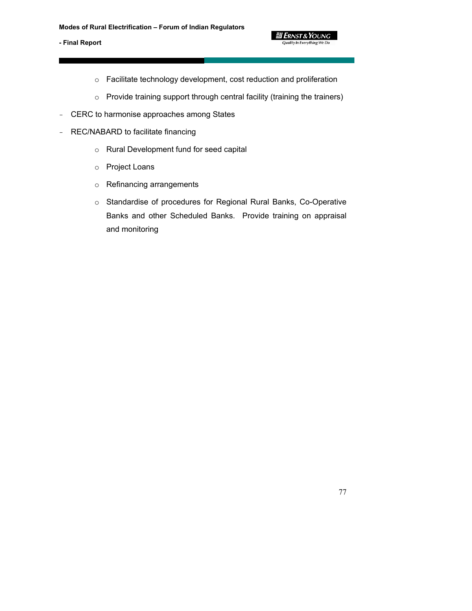

- o Facilitate technology development, cost reduction and proliferation
- o Provide training support through central facility (training the trainers)
- CERC to harmonise approaches among States
- REC/NABARD to facilitate financing
	- o Rural Development fund for seed capital
	- o Project Loans
	- o Refinancing arrangements
	- o Standardise of procedures for Regional Rural Banks, Co-Operative Banks and other Scheduled Banks. Provide training on appraisal and monitoring

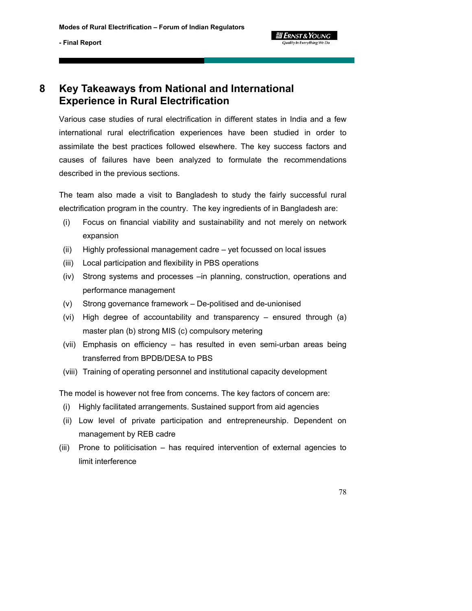

# **8 Key Takeaways from National and International Experience in Rural Electrification**

Various case studies of rural electrification in different states in India and a few international rural electrification experiences have been studied in order to assimilate the best practices followed elsewhere. The key success factors and causes of failures have been analyzed to formulate the recommendations described in the previous sections.

The team also made a visit to Bangladesh to study the fairly successful rural electrification program in the country. The key ingredients of in Bangladesh are:

- (i) Focus on financial viability and sustainability and not merely on network expansion
- (ii) Highly professional management cadre yet focussed on local issues
- (iii) Local participation and flexibility in PBS operations
- (iv) Strong systems and processes –in planning, construction, operations and performance management
- (v) Strong governance framework De-politised and de-unionised
- (vi) High degree of accountability and transparency ensured through (a) master plan (b) strong MIS (c) compulsory metering
- (vii) Emphasis on efficiency has resulted in even semi-urban areas being transferred from BPDB/DESA to PBS
- (viii) Training of operating personnel and institutional capacity development

The model is however not free from concerns. The key factors of concern are:

- (i) Highly facilitated arrangements. Sustained support from aid agencies
- (ii) Low level of private participation and entrepreneurship. Dependent on management by REB cadre
- (iii) Prone to politicisation has required intervention of external agencies to limit interference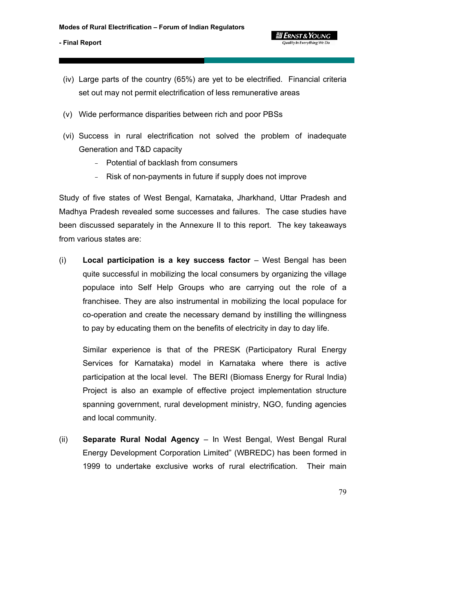

**g Ernst & Young** 

- (iv) Large parts of the country (65%) are yet to be electrified. Financial criteria set out may not permit electrification of less remunerative areas
- (v) Wide performance disparities between rich and poor PBSs
- (vi) Success in rural electrification not solved the problem of inadequate Generation and T&D capacity
	- Potential of backlash from consumers
	- Risk of non-payments in future if supply does not improve

Study of five states of West Bengal, Karnataka, Jharkhand, Uttar Pradesh and Madhya Pradesh revealed some successes and failures. The case studies have been discussed separately in the Annexure II to this report. The key takeaways from various states are:

(i) **Local participation is a key success factor** – West Bengal has been quite successful in mobilizing the local consumers by organizing the village populace into Self Help Groups who are carrying out the role of a franchisee. They are also instrumental in mobilizing the local populace for co-operation and create the necessary demand by instilling the willingness to pay by educating them on the benefits of electricity in day to day life.

Similar experience is that of the PRESK (Participatory Rural Energy Services for Karnataka) model in Karnataka where there is active participation at the local level. The BERI (Biomass Energy for Rural India) Project is also an example of effective project implementation structure spanning government, rural development ministry, NGO, funding agencies and local community.

(ii) **Separate Rural Nodal Agency** – In West Bengal, West Bengal Rural Energy Development Corporation Limited" (WBREDC) has been formed in 1999 to undertake exclusive works of rural electrification. Their main

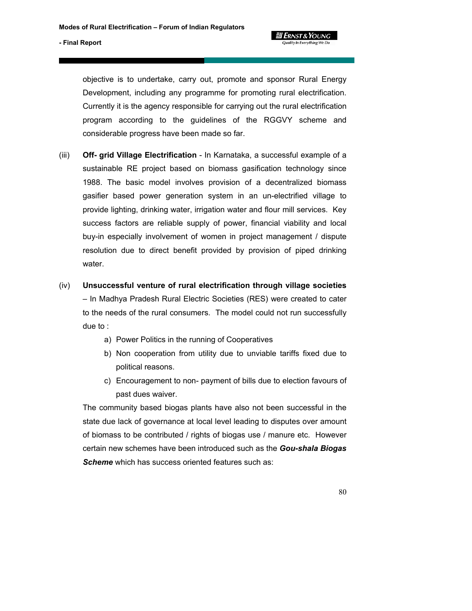

objective is to undertake, carry out, promote and sponsor Rural Energy Development, including any programme for promoting rural electrification. Currently it is the agency responsible for carrying out the rural electrification program according to the guidelines of the RGGVY scheme and considerable progress have been made so far.

- (iii) **Off- grid Village Electrification** In Karnataka, a successful example of a sustainable RE project based on biomass gasification technology since 1988. The basic model involves provision of a decentralized biomass gasifier based power generation system in an un-electrified village to provide lighting, drinking water, irrigation water and flour mill services. Key success factors are reliable supply of power, financial viability and local buy-in especially involvement of women in project management / dispute resolution due to direct benefit provided by provision of piped drinking water.
- (iv) **Unsuccessful venture of rural electrification through village societies** – In Madhya Pradesh Rural Electric Societies (RES) were created to cater to the needs of the rural consumers. The model could not run successfully due to :
	- a) Power Politics in the running of Cooperatives
	- b) Non cooperation from utility due to unviable tariffs fixed due to political reasons.
	- c) Encouragement to non- payment of bills due to election favours of past dues waiver.

The community based biogas plants have also not been successful in the state due lack of governance at local level leading to disputes over amount of biomass to be contributed / rights of biogas use / manure etc. However certain new schemes have been introduced such as the *Gou-shala Biogas*  **Scheme** which has success oriented features such as: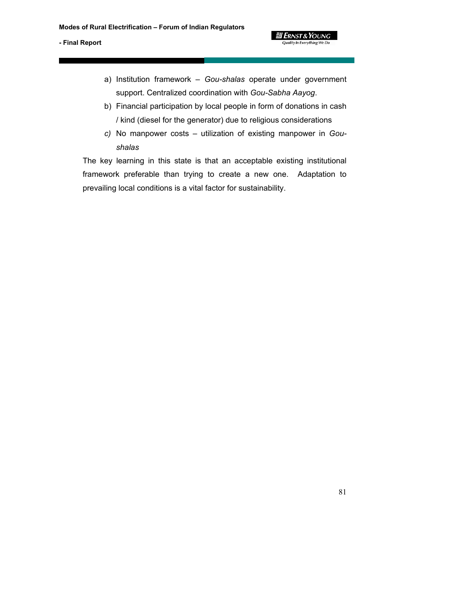- a) Institution framework *Gou-shalas* operate under government support. Centralized coordination with *Gou-Sabha Aayog*.
- b) Financial participation by local people in form of donations in cash / kind (diesel for the generator) due to religious considerations
- *c)* No manpower costs utilization of existing manpower in *Goushalas*

The key learning in this state is that an acceptable existing institutional framework preferable than trying to create a new one. Adaptation to prevailing local conditions is a vital factor for sustainability.

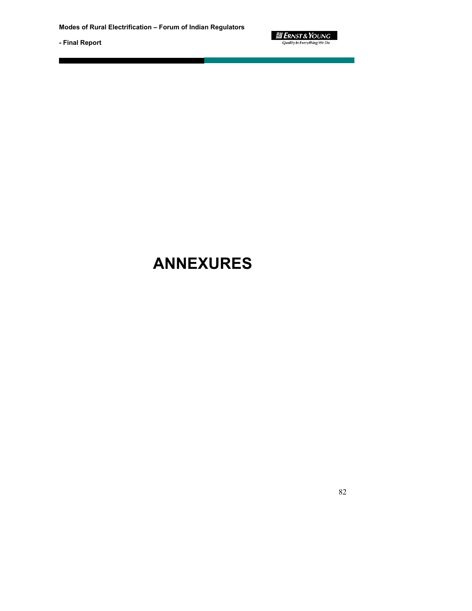

# **ANNEXURES**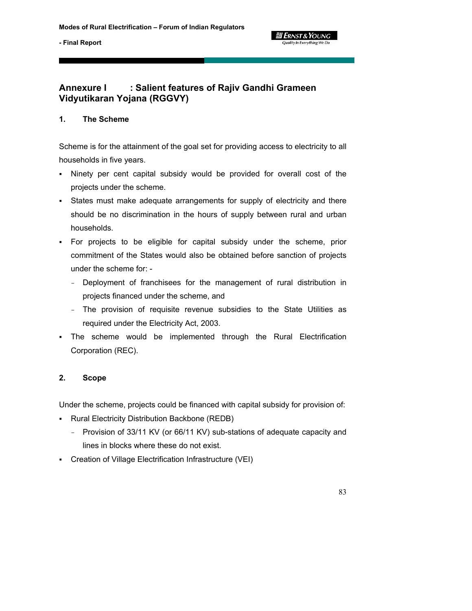

## **Annexure I : Salient features of Rajiv Gandhi Grameen Vidyutikaran Yojana (RGGVY)**

## **1. The Scheme**

Scheme is for the attainment of the goal set for providing access to electricity to all households in five years.

- Ninety per cent capital subsidy would be provided for overall cost of the projects under the scheme.
- States must make adequate arrangements for supply of electricity and there should be no discrimination in the hours of supply between rural and urban households.
- For projects to be eligible for capital subsidy under the scheme, prior commitment of the States would also be obtained before sanction of projects under the scheme for: -
	- Deployment of franchisees for the management of rural distribution in projects financed under the scheme, and
	- The provision of requisite revenue subsidies to the State Utilities as required under the Electricity Act, 2003.
- The scheme would be implemented through the Rural Electrification Corporation (REC).

## **2. Scope**

Under the scheme, projects could be financed with capital subsidy for provision of:

- Rural Electricity Distribution Backbone (REDB)
	- Provision of 33/11 KV (or 66/11 KV) sub-stations of adequate capacity and lines in blocks where these do not exist.
- Creation of Village Electrification Infrastructure (VEI)

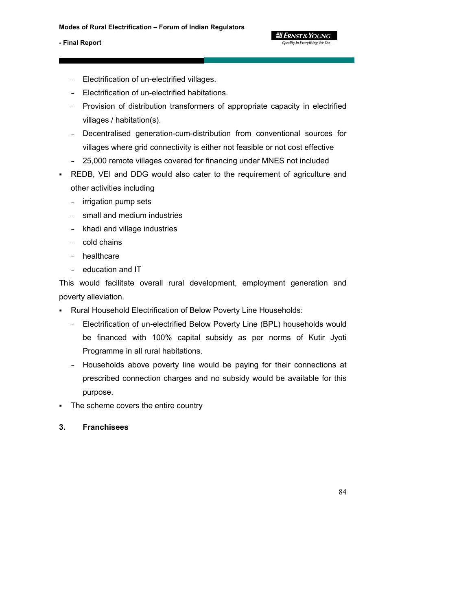- Electrification of un-electrified villages.
- Electrification of un-electrified habitations.
- Provision of distribution transformers of appropriate capacity in electrified villages / habitation(s).

**g Ernst & Young** Quality In Everything We De

- Decentralised generation-cum-distribution from conventional sources for villages where grid connectivity is either not feasible or not cost effective
- 25,000 remote villages covered for financing under MNES not included
- REDB, VEI and DDG would also cater to the requirement of agriculture and other activities including
	- irrigation pump sets
	- small and medium industries
	- khadi and village industries
	- cold chains
	- healthcare
	- education and IT

This would facilitate overall rural development, employment generation and poverty alleviation.

- Rural Household Electrification of Below Poverty Line Households:
	- Electrification of un-electrified Below Poverty Line (BPL) households would be financed with 100% capital subsidy as per norms of Kutir Jyoti Programme in all rural habitations.
	- Households above poverty line would be paying for their connections at prescribed connection charges and no subsidy would be available for this purpose.
- The scheme covers the entire country
- **3. Franchisees**

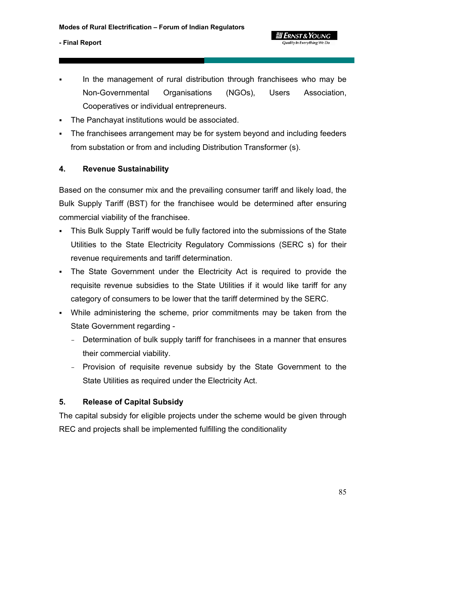In the management of rural distribution through franchisees who may be Non-Governmental Organisations (NGOs), Users Association, Cooperatives or individual entrepreneurs.

**g Ernst & Young** Quality In Everything We Do

- The Panchayat institutions would be associated.
- The franchisees arrangement may be for system beyond and including feeders from substation or from and including Distribution Transformer (s).

## **4. Revenue Sustainability**

Based on the consumer mix and the prevailing consumer tariff and likely load, the Bulk Supply Tariff (BST) for the franchisee would be determined after ensuring commercial viability of the franchisee.

- This Bulk Supply Tariff would be fully factored into the submissions of the State Utilities to the State Electricity Regulatory Commissions (SERC s) for their revenue requirements and tariff determination.
- The State Government under the Electricity Act is required to provide the requisite revenue subsidies to the State Utilities if it would like tariff for any category of consumers to be lower that the tariff determined by the SERC.
- While administering the scheme, prior commitments may be taken from the State Government regarding -
	- Determination of bulk supply tariff for franchisees in a manner that ensures their commercial viability.
	- Provision of requisite revenue subsidy by the State Government to the State Utilities as required under the Electricity Act.

## **5. Release of Capital Subsidy**

The capital subsidy for eligible projects under the scheme would be given through REC and projects shall be implemented fulfilling the conditionality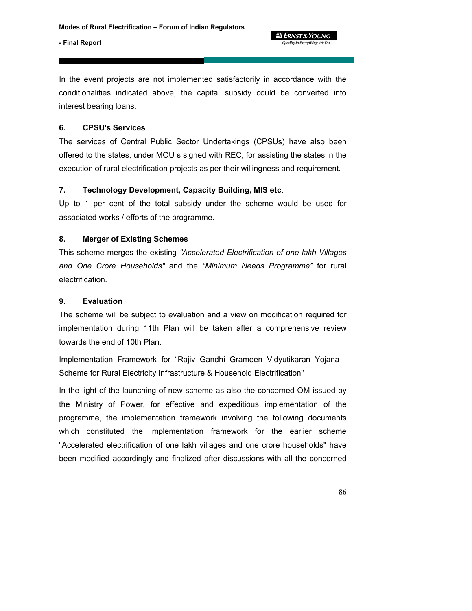**g Ernst & Young** 

#### **- Final Report**

In the event projects are not implemented satisfactorily in accordance with the conditionalities indicated above, the capital subsidy could be converted into interest bearing loans.

## **6. CPSU's Services**

The services of Central Public Sector Undertakings (CPSUs) have also been offered to the states, under MOU s signed with REC, for assisting the states in the execution of rural electrification projects as per their willingness and requirement.

## **7. Technology Development, Capacity Building, MIS etc**.

Up to 1 per cent of the total subsidy under the scheme would be used for associated works / efforts of the programme.

## **8. Merger of Existing Schemes**

This scheme merges the existing *"Accelerated Electrification of one lakh Villages and One Crore Households"* and the *"Minimum Needs Programme"* for rural electrification.

## **9. Evaluation**

The scheme will be subject to evaluation and a view on modification required for implementation during 11th Plan will be taken after a comprehensive review towards the end of 10th Plan.

Implementation Framework for "Rajiv Gandhi Grameen Vidyutikaran Yojana - Scheme for Rural Electricity Infrastructure & Household Electrification"

In the light of the launching of new scheme as also the concerned OM issued by the Ministry of Power, for effective and expeditious implementation of the programme, the implementation framework involving the following documents which constituted the implementation framework for the earlier scheme "Accelerated electrification of one lakh villages and one crore households" have been modified accordingly and finalized after discussions with all the concerned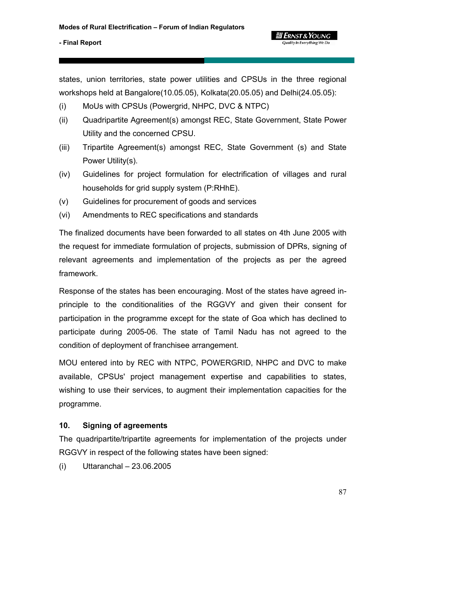states, union territories, state power utilities and CPSUs in the three regional workshops held at Bangalore(10.05.05), Kolkata(20.05.05) and Delhi(24.05.05):

- (i) MoUs with CPSUs (Powergrid, NHPC, DVC & NTPC)
- (ii) Quadripartite Agreement(s) amongst REC, State Government, State Power Utility and the concerned CPSU.
- (iii) Tripartite Agreement(s) amongst REC, State Government (s) and State Power Utility(s).
- (iv) Guidelines for project formulation for electrification of villages and rural households for grid supply system (P:RHhE).
- (v) Guidelines for procurement of goods and services
- (vi) Amendments to REC specifications and standards

The finalized documents have been forwarded to all states on 4th June 2005 with the request for immediate formulation of projects, submission of DPRs, signing of relevant agreements and implementation of the projects as per the agreed framework.

Response of the states has been encouraging. Most of the states have agreed inprinciple to the conditionalities of the RGGVY and given their consent for participation in the programme except for the state of Goa which has declined to participate during 2005-06. The state of Tamil Nadu has not agreed to the condition of deployment of franchisee arrangement.

MOU entered into by REC with NTPC, POWERGRID, NHPC and DVC to make available, CPSUs' project management expertise and capabilities to states, wishing to use their services, to augment their implementation capacities for the programme.

#### **10. Signing of agreements**

The quadripartite/tripartite agreements for implementation of the projects under RGGVY in respect of the following states have been signed:

(i) Uttaranchal – 23.06.2005

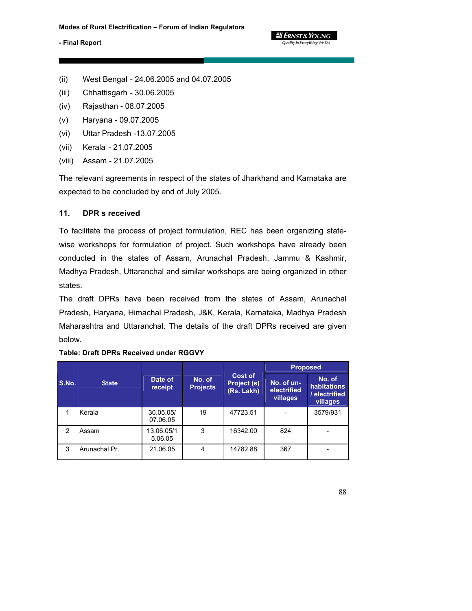#### **ELERNST & YOUNG** Quality In Everything We Do

## **- Final Report**

- (ii) West Bengal 24.06.2005 and 04.07.2005
- (iii) Chhattisgarh 30.06.2005
- (iv) Rajasthan 08.07.2005
- (v) Haryana 09.07.2005
- (vi) Uttar Pradesh -13.07.2005
- (vii) Kerala 21.07.2005
- (viii) Assam 21.07.2005

The relevant agreements in respect of the states of Jharkhand and Karnataka are expected to be concluded by end of July 2005.

#### **11. DPR s received**

To facilitate the process of project formulation, REC has been organizing statewise workshops for formulation of project. Such workshops have already been conducted in the states of Assam, Arunachal Pradesh, Jammu & Kashmir, Madhya Pradesh, Uttaranchal and similar workshops are being organized in other states.

The draft DPRs have been received from the states of Assam, Arunachal Pradesh, Haryana, Himachal Pradesh, J&K, Kerala, Karnataka, Madhya Pradesh Maharashtra and Uttaranchal. The details of the draft DPRs received are given below.

|               |               |                       |                           |                                      | <b>Proposed</b>                       |                                                    |  |  |
|---------------|---------------|-----------------------|---------------------------|--------------------------------------|---------------------------------------|----------------------------------------------------|--|--|
| S.No.         | <b>State</b>  | Date of<br>receipt    | No. of<br><b>Projects</b> | Cost of<br>Project (s)<br>(Rs. Lakh) | No. of un-<br>electrified<br>villages | No. of<br>habitations<br>/ electrified<br>villages |  |  |
|               | Kerala        | 30.05.05/<br>07.06.05 | 19                        | 47723.51                             |                                       | 3579/931                                           |  |  |
| $\mathcal{P}$ | Assam         | 13.06.05/1<br>5.06.05 | 3                         | 16342.00                             | 824                                   |                                                    |  |  |
| 3             | Arunachal Pr. | 21.06.05              | 4                         | 14782.88                             | 367                                   |                                                    |  |  |

#### **Table: Draft DPRs Received under RGGVY**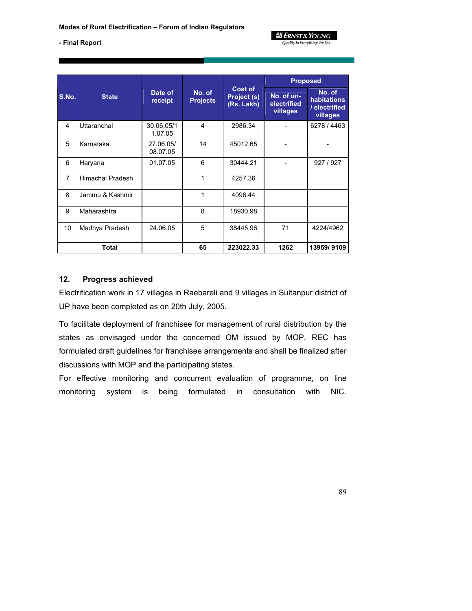

|                |                         |                       |                           |                                             | <b>Proposed</b>                       |                                                    |  |
|----------------|-------------------------|-----------------------|---------------------------|---------------------------------------------|---------------------------------------|----------------------------------------------------|--|
| S.No.          | <b>State</b>            | Date of<br>receipt    | No. of<br><b>Projects</b> | <b>Cost of</b><br>Project (s)<br>(Rs. Lakh) | No. of un-<br>electrified<br>villages | No. of<br>habitations<br>/ electrified<br>villages |  |
| 4              | Uttaranchal             | 30.06.05/1<br>1.07.05 | 4                         | 2986.34                                     |                                       | 6278 / 4463                                        |  |
| 5              | Karnataka               | 27.06.05/<br>08.07.05 | 14                        | 45012.65                                    |                                       |                                                    |  |
| 6              | Haryana                 | 01.07.05              | 6                         | 30444.21                                    |                                       | 927 / 927                                          |  |
| $\overline{7}$ | <b>Himachal Pradesh</b> |                       | 1                         | 4257.36                                     |                                       |                                                    |  |
| 8              | Jammu & Kashmir         |                       | 1                         | 4096.44                                     |                                       |                                                    |  |
| 9              | Maharashtra             |                       | 8                         | 18930.98                                    |                                       |                                                    |  |
| 10             | Madhya Pradesh          | 24.06.05              | 5                         | 38445.96                                    | 71                                    | 4224/4962                                          |  |
|                | Total                   |                       | 65                        | 223022.33                                   | 1262                                  | 13959/9109                                         |  |

## **12. Progress achieved**

Electrification work in 17 villages in Raebareli and 9 villages in Sultanpur district of UP have been completed as on 20th July, 2005.

To facilitate deployment of franchisee for management of rural distribution by the states as envisaged under the concerned OM issued by MOP, REC has formulated draft guidelines for franchisee arrangements and shall be finalized after discussions with MOP and the participating states.

For effective monitoring and concurrent evaluation of programme, on line monitoring system is being formulated in consultation with NIC.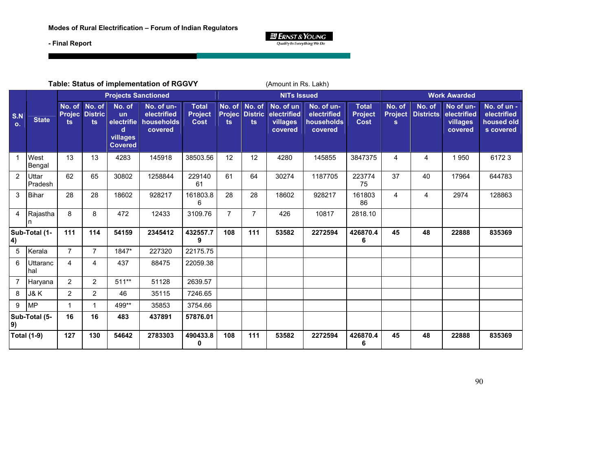

| Table: Status of implementation of RGGVY |                    |                                |                                |                                                                      |                                                    |                                               |                     |                                        | (Amount in Rs. Lakh)                            |                                                    |                                               |                                          |                            |                                                 |                                                       |
|------------------------------------------|--------------------|--------------------------------|--------------------------------|----------------------------------------------------------------------|----------------------------------------------------|-----------------------------------------------|---------------------|----------------------------------------|-------------------------------------------------|----------------------------------------------------|-----------------------------------------------|------------------------------------------|----------------------------|-------------------------------------------------|-------------------------------------------------------|
|                                          |                    | <b>Projects Sanctioned</b>     |                                |                                                                      |                                                    |                                               | <b>NITs Issued</b>  |                                        |                                                 |                                                    | <b>Work Awarded</b>                           |                                          |                            |                                                 |                                                       |
| S.N<br>$\mathbf{o}$ .                    | <b>State</b>       | No. of<br><b>Projec</b><br>ts. | No. of<br><b>Distric</b><br>ts | No. of<br><b>un</b><br>electrifie<br>d<br>villages<br><b>Covered</b> | No. of un-<br>electrified<br>households<br>covered | <b>Total</b><br><b>Project</b><br><b>Cost</b> | <b>Projec</b><br>ts | No. of No. of<br><b>Distric</b><br>ts. | No. of un<br>electrified<br>villages<br>covered | No. of un-<br>electrified<br>households<br>covered | <b>Total</b><br><b>Project</b><br><b>Cost</b> | No. of<br><b>Project</b><br>$\mathbf{s}$ | No. of<br><b>Districts</b> | No of un-<br>electrified<br>villages<br>covered | No. of un -<br>electrified<br>housed old<br>s covered |
| $\mathbf 1$                              | West<br>Bengal     | 13                             | 13                             | 4283                                                                 | 145918                                             | 38503.56                                      | 12                  | 12                                     | 4280                                            | 145855                                             | 3847375                                       | 4                                        | 4                          | 1950                                            | 61723                                                 |
| 2                                        | Uttar<br>Pradesh   | 62                             | 65                             | 30802                                                                | 1258844                                            | 229140<br>61                                  | 61                  | 64                                     | 30274                                           | 1187705                                            | 223774<br>75                                  | 37                                       | 40                         | 17964                                           | 644783                                                |
| 3                                        | <b>Bihar</b>       | 28                             | 28                             | 18602                                                                | 928217                                             | 161803.8<br>6                                 | 28                  | 28                                     | 18602                                           | 928217                                             | 161803<br>86                                  | $\overline{4}$                           | 4                          | 2974                                            | 128863                                                |
| $\overline{4}$                           | Rajastha           | 8                              | 8                              | 472                                                                  | 12433                                              | 3109.76                                       | $\overline{7}$      | $\overline{7}$                         | 426                                             | 10817                                              | 2818.10                                       |                                          |                            |                                                 |                                                       |
| $\vert 4$                                | Sub-Total (1-      | 111                            | 114                            | 54159                                                                | 2345412                                            | 432557.7<br>9                                 | 108                 | 111                                    | 53582                                           | 2272594                                            | 426870.4<br>6                                 | 45                                       | 48                         | 22888                                           | 835369                                                |
| 5                                        | Kerala             | $\overline{7}$                 | $\overline{7}$                 | 1847*                                                                | 227320                                             | 22175.75                                      |                     |                                        |                                                 |                                                    |                                               |                                          |                            |                                                 |                                                       |
| 6                                        | Uttaranc<br>hal    | 4                              | 4                              | 437                                                                  | 88475                                              | 22059.38                                      |                     |                                        |                                                 |                                                    |                                               |                                          |                            |                                                 |                                                       |
| $\overline{7}$                           | Haryana            | $\overline{2}$                 | $\overline{c}$                 | $511**$                                                              | 51128                                              | 2639.57                                       |                     |                                        |                                                 |                                                    |                                               |                                          |                            |                                                 |                                                       |
| 8                                        | J&K                | $\overline{2}$                 | $\overline{2}$                 | 46                                                                   | 35115                                              | 7246.65                                       |                     |                                        |                                                 |                                                    |                                               |                                          |                            |                                                 |                                                       |
| 9                                        | <b>MP</b>          | 1                              | $\mathbf{1}$                   | 499**                                                                | 35853                                              | 3754.66                                       |                     |                                        |                                                 |                                                    |                                               |                                          |                            |                                                 |                                                       |
| 9)                                       | Sub-Total (5-      | 16                             | 16                             | 483                                                                  | 437891                                             | 57876.01                                      |                     |                                        |                                                 |                                                    |                                               |                                          |                            |                                                 |                                                       |
|                                          | <b>Total (1-9)</b> | 127                            | 130                            | 54642                                                                | 2783303                                            | 490433.8<br>0                                 | 108                 | 111                                    | 53582                                           | 2272594                                            | 426870.4<br>6                                 | 45                                       | 48                         | 22888                                           | 835369                                                |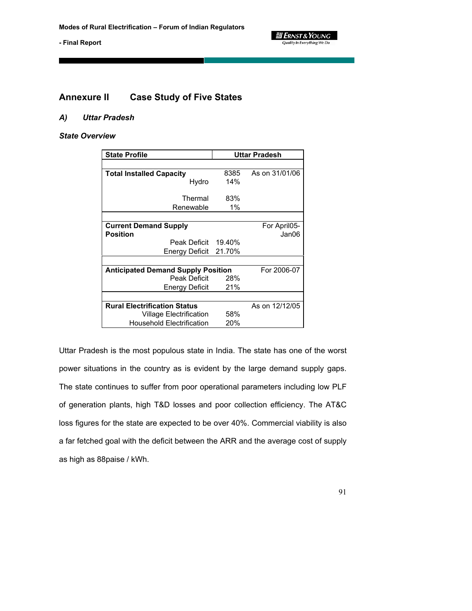

## **Annexure II Case Study of Five States**

#### *A) Uttar Pradesh*

#### *State Overview*

| <b>State Profile</b>                      | Uttar Pradesh |                |  |  |
|-------------------------------------------|---------------|----------------|--|--|
|                                           |               |                |  |  |
| <b>Total Installed Capacity</b>           | 8385          | As on 31/01/06 |  |  |
| Hydro                                     | 14%           |                |  |  |
|                                           |               |                |  |  |
| Thermal                                   | 83%           |                |  |  |
| Renewable                                 | 1%            |                |  |  |
|                                           |               |                |  |  |
| <b>Current Demand Supply</b>              |               | For April05-   |  |  |
| <b>Position</b>                           |               | Jan06          |  |  |
| Peak Deficit                              | 19.40%        |                |  |  |
| Energy Deficit                            | 21.70%        |                |  |  |
|                                           |               |                |  |  |
| <b>Anticipated Demand Supply Position</b> |               | For 2006-07    |  |  |
| Peak Deficit                              | 28%           |                |  |  |
| Energy Deficit                            | 21%           |                |  |  |
|                                           |               |                |  |  |
| <b>Rural Electrification Status</b>       |               | As on 12/12/05 |  |  |
| Village Electrification                   | 58%           |                |  |  |
| <b>Household Electrification</b>          | 20%           |                |  |  |

Uttar Pradesh is the most populous state in India. The state has one of the worst power situations in the country as is evident by the large demand supply gaps. The state continues to suffer from poor operational parameters including low PLF of generation plants, high T&D losses and poor collection efficiency. The AT&C loss figures for the state are expected to be over 40%. Commercial viability is also a far fetched goal with the deficit between the ARR and the average cost of supply as high as 88paise / kWh.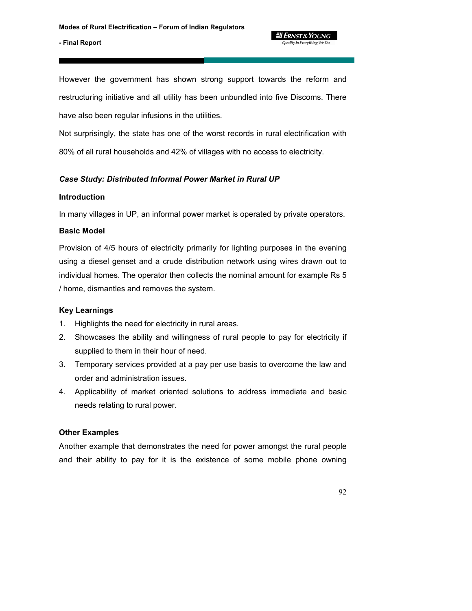*ERNST & YOUNG* Quality In Everything We Do

However the government has shown strong support towards the reform and restructuring initiative and all utility has been unbundled into five Discoms. There have also been regular infusions in the utilities.

Not surprisingly, the state has one of the worst records in rural electrification with 80% of all rural households and 42% of villages with no access to electricity.

## *Case Study: Distributed Informal Power Market in Rural UP*

#### **Introduction**

In many villages in UP, an informal power market is operated by private operators.

## **Basic Model**

Provision of 4/5 hours of electricity primarily for lighting purposes in the evening using a diesel genset and a crude distribution network using wires drawn out to individual homes. The operator then collects the nominal amount for example Rs 5 / home, dismantles and removes the system.

## **Key Learnings**

- 1. Highlights the need for electricity in rural areas.
- 2. Showcases the ability and willingness of rural people to pay for electricity if supplied to them in their hour of need.
- 3. Temporary services provided at a pay per use basis to overcome the law and order and administration issues.
- 4. Applicability of market oriented solutions to address immediate and basic needs relating to rural power.

## **Other Examples**

Another example that demonstrates the need for power amongst the rural people and their ability to pay for it is the existence of some mobile phone owning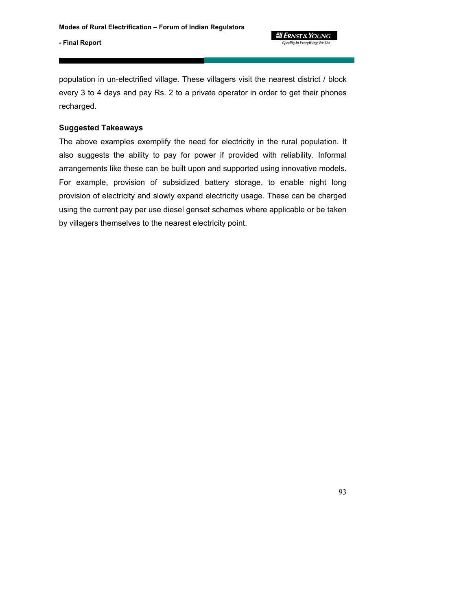**킓 Ernst & Young Quality In Everything We Do** 

**- Final Report** 

population in un-electrified village. These villagers visit the nearest district / block every 3 to 4 days and pay Rs. 2 to a private operator in order to get their phones recharged.

## **Suggested Takeaways**

The above examples exemplify the need for electricity in the rural population. It also suggests the ability to pay for power if provided with reliability. Informal arrangements like these can be built upon and supported using innovative models. For example, provision of subsidized battery storage, to enable night long provision of electricity and slowly expand electricity usage. These can be charged using the current pay per use diesel genset schemes where applicable or be taken by villagers themselves to the nearest electricity point.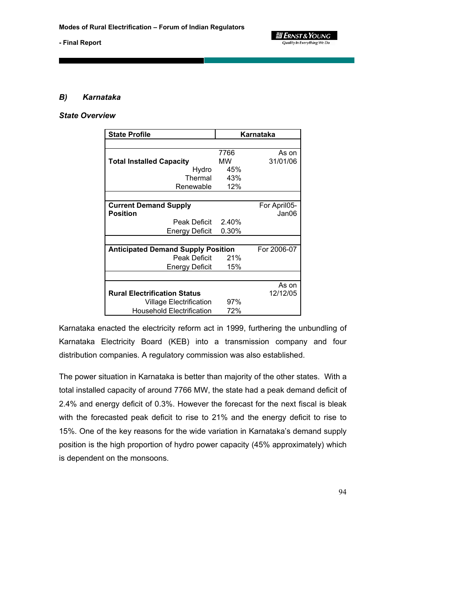

#### *B) Karnataka*

#### *State Overview*

| <b>State Profile</b>                      | Karnataka |              |  |  |
|-------------------------------------------|-----------|--------------|--|--|
|                                           |           |              |  |  |
|                                           | 7766      | As on        |  |  |
| <b>Total Installed Capacity</b>           | МW        | 31/01/06     |  |  |
| Hydro                                     | 45%       |              |  |  |
| Thermal                                   | 43%       |              |  |  |
| Renewable                                 | 12%       |              |  |  |
|                                           |           |              |  |  |
| <b>Current Demand Supply</b>              |           | For April05- |  |  |
| Position                                  |           | Jan06        |  |  |
| Peak Deficit                              | 2.40%     |              |  |  |
| Energy Deficit                            | 0.30%     |              |  |  |
|                                           |           |              |  |  |
| <b>Anticipated Demand Supply Position</b> |           | For 2006-07  |  |  |
| Peak Deficit                              | 21%       |              |  |  |
| Energy Deficit                            | 15%       |              |  |  |
|                                           |           |              |  |  |
|                                           |           | As on        |  |  |
| <b>Rural Electrification Status</b>       |           | 12/12/05     |  |  |
| Village Electrification                   | 97%       |              |  |  |
| <b>Household Electrification</b>          | 72%       |              |  |  |

Karnataka enacted the electricity reform act in 1999, furthering the unbundling of Karnataka Electricity Board (KEB) into a transmission company and four distribution companies. A regulatory commission was also established.

The power situation in Karnataka is better than majority of the other states. With a total installed capacity of around 7766 MW, the state had a peak demand deficit of 2.4% and energy deficit of 0.3%. However the forecast for the next fiscal is bleak with the forecasted peak deficit to rise to 21% and the energy deficit to rise to 15%. One of the key reasons for the wide variation in Karnataka's demand supply position is the high proportion of hydro power capacity (45% approximately) which is dependent on the monsoons.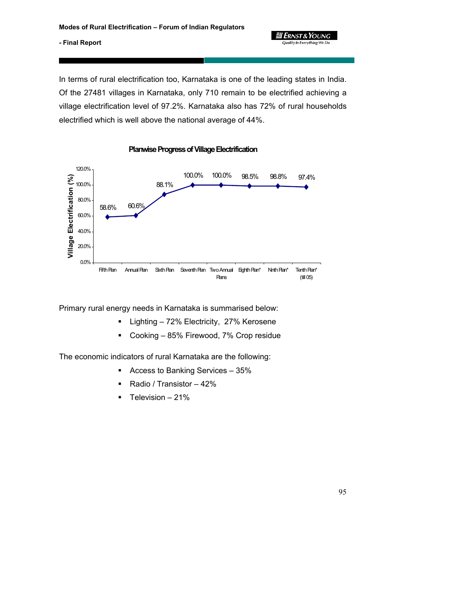**gi Ernst & Young Quality In Everything We Do** 

95

#### **- Final Report**

In terms of rural electrification too, Karnataka is one of the leading states in India. Of the 27481 villages in Karnataka, only 710 remain to be electrified achieving a village electrification level of 97.2%. Karnataka also has 72% of rural households electrified which is well above the national average of 44%.



**Planwise Progress of Village Electrification**

Primary rural energy needs in Karnataka is summarised below:

- **E** Lighting 72% Electricity, 27% Kerosene
- Cooking 85% Firewood, 7% Crop residue

The economic indicators of rural Karnataka are the following:

- Access to Banking Services 35%
- Radio / Transistor 42%
- $\blacksquare$  Television 21%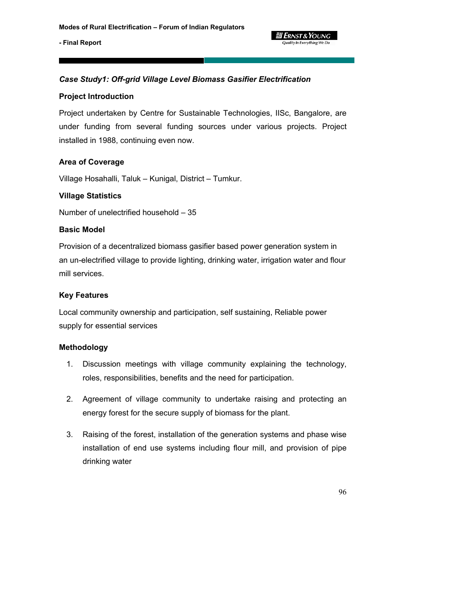

## *Case Study1: Off-grid Village Level Biomass Gasifier Electrification*

#### **Project Introduction**

Project undertaken by Centre for Sustainable Technologies, IISc, Bangalore, are under funding from several funding sources under various projects. Project installed in 1988, continuing even now.

#### **Area of Coverage**

Village Hosahalli, Taluk – Kunigal, District – Tumkur.

#### **Village Statistics**

Number of unelectrified household – 35

#### **Basic Model**

Provision of a decentralized biomass gasifier based power generation system in an un-electrified village to provide lighting, drinking water, irrigation water and flour mill services.

#### **Key Features**

Local community ownership and participation, self sustaining, Reliable power supply for essential services

#### **Methodology**

- 1. Discussion meetings with village community explaining the technology, roles, responsibilities, benefits and the need for participation.
- 2. Agreement of village community to undertake raising and protecting an energy forest for the secure supply of biomass for the plant.
- 3. Raising of the forest, installation of the generation systems and phase wise installation of end use systems including flour mill, and provision of pipe drinking water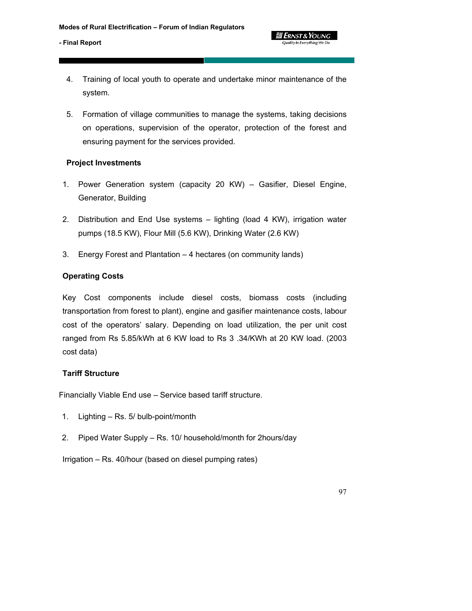- 4. Training of local youth to operate and undertake minor maintenance of the system.
- 5. Formation of village communities to manage the systems, taking decisions on operations, supervision of the operator, protection of the forest and ensuring payment for the services provided.

## **Project Investments**

- 1. Power Generation system (capacity 20 KW) Gasifier, Diesel Engine, Generator, Building
- 2. Distribution and End Use systems lighting (load 4 KW), irrigation water pumps (18.5 KW), Flour Mill (5.6 KW), Drinking Water (2.6 KW)
- 3. Energy Forest and Plantation 4 hectares (on community lands)

## **Operating Costs**

Key Cost components include diesel costs, biomass costs (including transportation from forest to plant), engine and gasifier maintenance costs, labour cost of the operators' salary. Depending on load utilization, the per unit cost ranged from Rs 5.85/kWh at 6 KW load to Rs 3 .34/KWh at 20 KW load. (2003 cost data)

## **Tariff Structure**

Financially Viable End use – Service based tariff structure.

- 1. Lighting Rs. 5/ bulb-point/month
- 2. Piped Water Supply Rs. 10/ household/month for 2hours/day

Irrigation – Rs. 40/hour (based on diesel pumping rates)

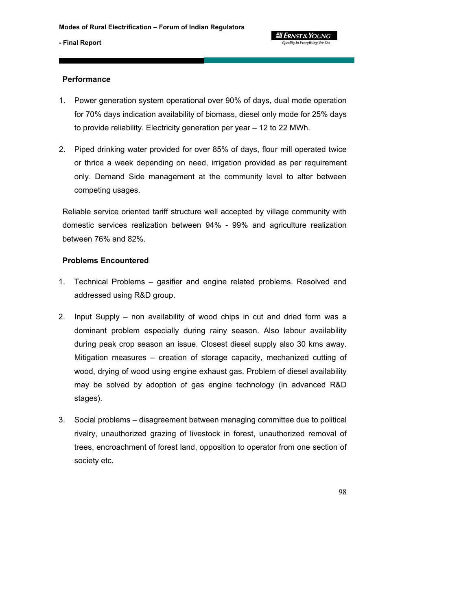

#### **Performance**

- 1. Power generation system operational over 90% of days, dual mode operation for 70% days indication availability of biomass, diesel only mode for 25% days to provide reliability. Electricity generation per year – 12 to 22 MWh.
- 2. Piped drinking water provided for over 85% of days, flour mill operated twice or thrice a week depending on need, irrigation provided as per requirement only. Demand Side management at the community level to alter between competing usages.

Reliable service oriented tariff structure well accepted by village community with domestic services realization between 94% - 99% and agriculture realization between 76% and 82%.

#### **Problems Encountered**

- 1. Technical Problems gasifier and engine related problems. Resolved and addressed using R&D group.
- 2. Input Supply non availability of wood chips in cut and dried form was a dominant problem especially during rainy season. Also labour availability during peak crop season an issue. Closest diesel supply also 30 kms away. Mitigation measures – creation of storage capacity, mechanized cutting of wood, drying of wood using engine exhaust gas. Problem of diesel availability may be solved by adoption of gas engine technology (in advanced R&D stages).
- 3. Social problems disagreement between managing committee due to political rivalry, unauthorized grazing of livestock in forest, unauthorized removal of trees, encroachment of forest land, opposition to operator from one section of society etc.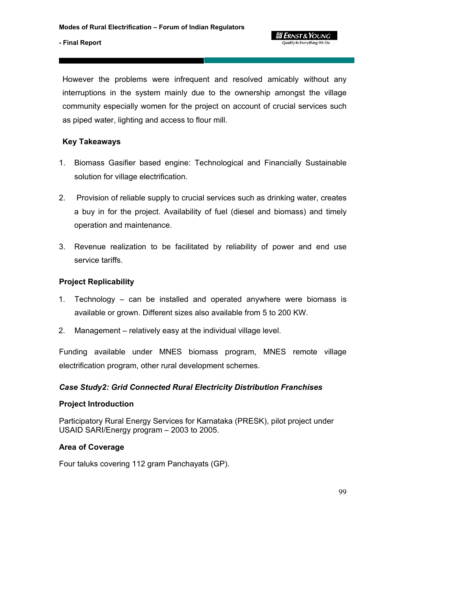#### **g** Ernst & Young Quality In Everything We Do

#### **- Final Report**

However the problems were infrequent and resolved amicably without any interruptions in the system mainly due to the ownership amongst the village community especially women for the project on account of crucial services such as piped water, lighting and access to flour mill.

## **Key Takeaways**

- 1. Biomass Gasifier based engine: Technological and Financially Sustainable solution for village electrification.
- 2. Provision of reliable supply to crucial services such as drinking water, creates a buy in for the project. Availability of fuel (diesel and biomass) and timely operation and maintenance.
- 3. Revenue realization to be facilitated by reliability of power and end use service tariffs.

## **Project Replicability**

- 1. Technology can be installed and operated anywhere were biomass is available or grown. Different sizes also available from 5 to 200 KW.
- 2. Management relatively easy at the individual village level.

Funding available under MNES biomass program, MNES remote village electrification program, other rural development schemes.

## *Case Study2: Grid Connected Rural Electricity Distribution Franchises*

## **Project Introduction**

Participatory Rural Energy Services for Karnataka (PRESK), pilot project under USAID SARI/Energy program – 2003 to 2005.

## **Area of Coverage**

Four taluks covering 112 gram Panchayats (GP).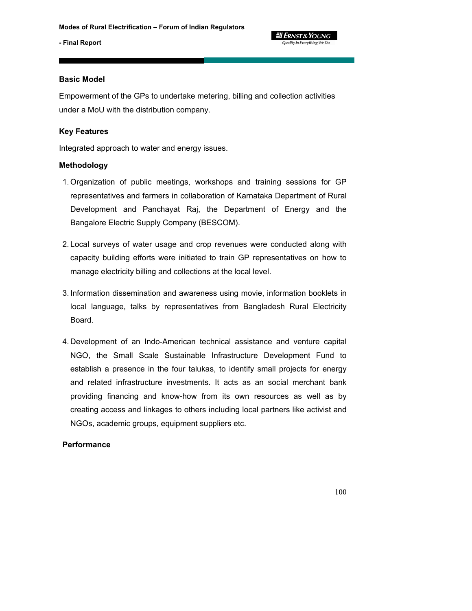#### **Basic Model**

Empowerment of the GPs to undertake metering, billing and collection activities under a MoU with the distribution company.

## **Key Features**

Integrated approach to water and energy issues.

#### **Methodology**

- 1. Organization of public meetings, workshops and training sessions for GP representatives and farmers in collaboration of Karnataka Department of Rural Development and Panchayat Raj, the Department of Energy and the Bangalore Electric Supply Company (BESCOM).
- 2. Local surveys of water usage and crop revenues were conducted along with capacity building efforts were initiated to train GP representatives on how to manage electricity billing and collections at the local level.
- 3. Information dissemination and awareness using movie, information booklets in local language, talks by representatives from Bangladesh Rural Electricity Board.
- 4. Development of an Indo-American technical assistance and venture capital NGO, the Small Scale Sustainable Infrastructure Development Fund to establish a presence in the four talukas, to identify small projects for energy and related infrastructure investments. It acts as an social merchant bank providing financing and know-how from its own resources as well as by creating access and linkages to others including local partners like activist and NGOs, academic groups, equipment suppliers etc.

## **Performance**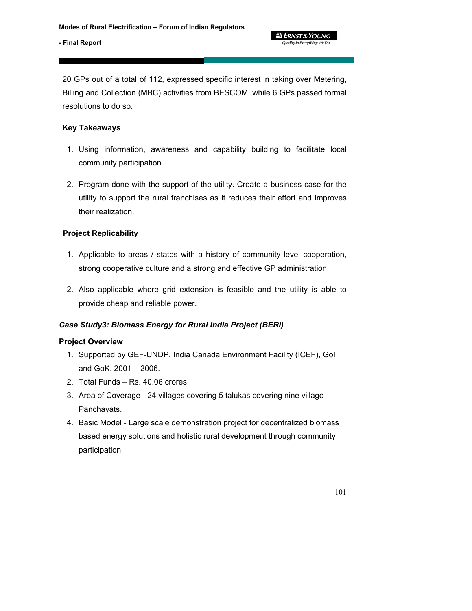20 GPs out of a total of 112, expressed specific interest in taking over Metering, Billing and Collection (MBC) activities from BESCOM, while 6 GPs passed formal resolutions to do so.

## **Key Takeaways**

- 1. Using information, awareness and capability building to facilitate local community participation. .
- 2. Program done with the support of the utility. Create a business case for the utility to support the rural franchises as it reduces their effort and improves their realization.

## **Project Replicability**

- 1. Applicable to areas / states with a history of community level cooperation, strong cooperative culture and a strong and effective GP administration.
- 2. Also applicable where grid extension is feasible and the utility is able to provide cheap and reliable power.

## *Case Study3: Biomass Energy for Rural India Project (BERI)*

## **Project Overview**

- 1. Supported by GEF-UNDP, India Canada Environment Facility (ICEF), GoI and GoK. 2001 – 2006.
- 2. Total Funds Rs. 40.06 crores
- 3. Area of Coverage 24 villages covering 5 talukas covering nine village Panchayats.
- 4. Basic Model Large scale demonstration project for decentralized biomass based energy solutions and holistic rural development through community participation

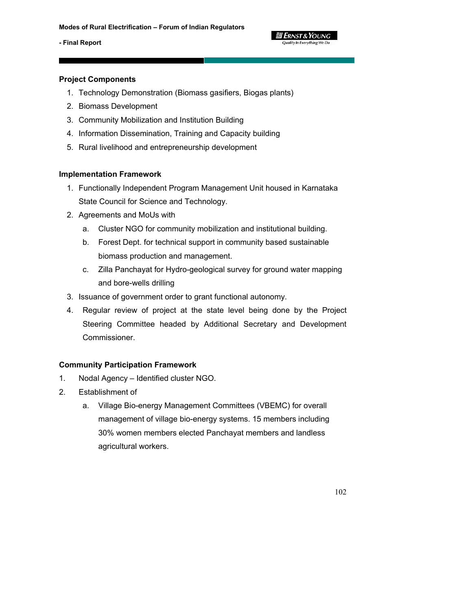#### **g Ernst & Young** Quality In Everything We Do

#### **- Final Report**

## **Project Components**

- 1. Technology Demonstration (Biomass gasifiers, Biogas plants)
- 2. Biomass Development
- 3. Community Mobilization and Institution Building
- 4. Information Dissemination, Training and Capacity building
- 5. Rural livelihood and entrepreneurship development

## **Implementation Framework**

- 1. Functionally Independent Program Management Unit housed in Karnataka State Council for Science and Technology.
- 2. Agreements and MoUs with
	- a. Cluster NGO for community mobilization and institutional building.
	- b. Forest Dept. for technical support in community based sustainable biomass production and management.
	- c. Zilla Panchayat for Hydro-geological survey for ground water mapping and bore-wells drilling
- 3. Issuance of government order to grant functional autonomy.
- 4. Regular review of project at the state level being done by the Project Steering Committee headed by Additional Secretary and Development Commissioner.

## **Community Participation Framework**

- 1. Nodal Agency Identified cluster NGO.
- 2. Establishment of
	- a. Village Bio-energy Management Committees (VBEMC) for overall management of village bio-energy systems. 15 members including 30% women members elected Panchayat members and landless agricultural workers.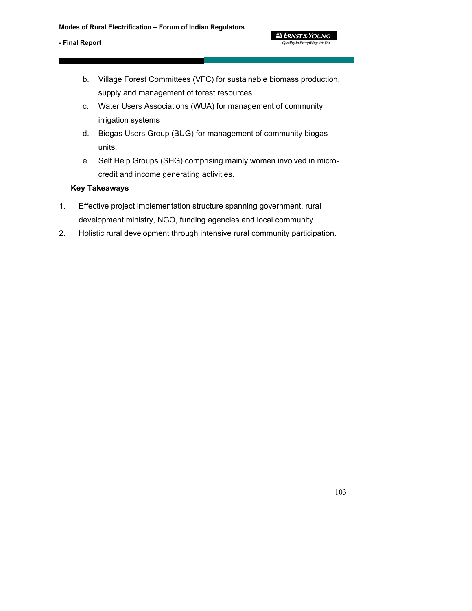b. Village Forest Committees (VFC) for sustainable biomass production, supply and management of forest resources.

*3 Ernst & Young* **Quality In Everything We Do** 

- c. Water Users Associations (WUA) for management of community irrigation systems
- d. Biogas Users Group (BUG) for management of community biogas units.
- e. Self Help Groups (SHG) comprising mainly women involved in microcredit and income generating activities.

## **Key Takeaways**

- 1. Effective project implementation structure spanning government, rural development ministry, NGO, funding agencies and local community.
- 2. Holistic rural development through intensive rural community participation.

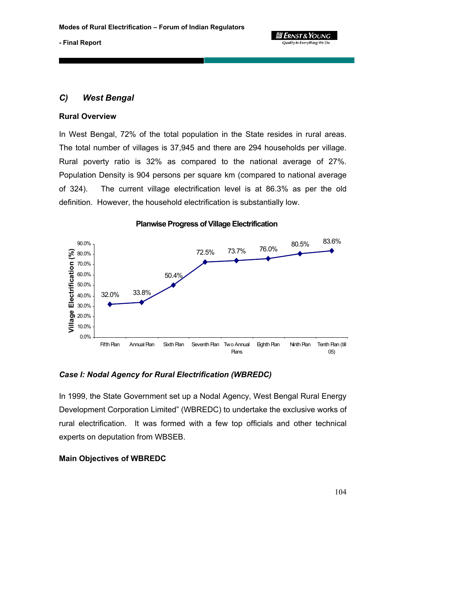

## *C) West Bengal*

#### **Rural Overview**

In West Bengal, 72% of the total population in the State resides in rural areas. The total number of villages is 37,945 and there are 294 households per village. Rural poverty ratio is 32% as compared to the national average of 27%. Population Density is 904 persons per square km (compared to national average of 324). The current village electrification level is at 86.3% as per the old definition. However, the household electrification is substantially low.



**Planwise Progress of Village Electrification**

#### *Case I: Nodal Agency for Rural Electrification (WBREDC)*

In 1999, the State Government set up a Nodal Agency, West Bengal Rural Energy Development Corporation Limited" (WBREDC) to undertake the exclusive works of rural electrification. It was formed with a few top officials and other technical experts on deputation from WBSEB.

## **Main Objectives of WBREDC**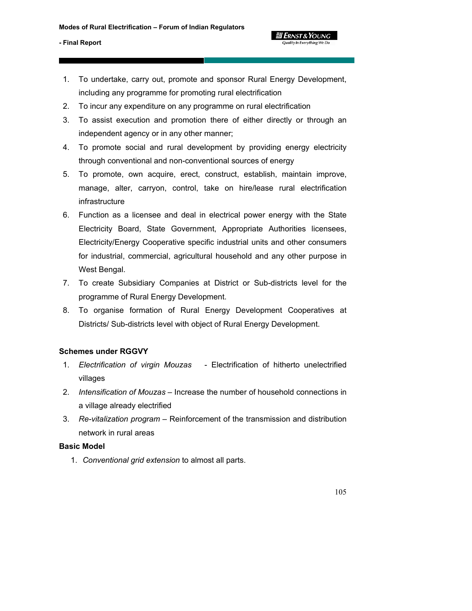1. To undertake, carry out, promote and sponsor Rural Energy Development, including any programme for promoting rural electrification

Quality In Everything We Do

- 2. To incur any expenditure on any programme on rural electrification
- 3. To assist execution and promotion there of either directly or through an independent agency or in any other manner;
- 4. To promote social and rural development by providing energy electricity through conventional and non-conventional sources of energy
- 5. To promote, own acquire, erect, construct, establish, maintain improve, manage, alter, carryon, control, take on hire/lease rural electrification infrastructure
- 6. Function as a licensee and deal in electrical power energy with the State Electricity Board, State Government, Appropriate Authorities licensees, Electricity/Energy Cooperative specific industrial units and other consumers for industrial, commercial, agricultural household and any other purpose in West Bengal.
- 7. To create Subsidiary Companies at District or Sub-districts level for the programme of Rural Energy Development.
- 8. To organise formation of Rural Energy Development Cooperatives at Districts/ Sub-districts level with object of Rural Energy Development.

## **Schemes under RGGVY**

- 1. *Electrification of virgin Mouzas* Electrification of hitherto unelectrified villages
- 2. *Intensification of Mouzas* Increase the number of household connections in a village already electrified
- 3. *Re-vitalization program* Reinforcement of the transmission and distribution network in rural areas

## **Basic Model**

1. *Conventional grid extension* to almost all parts.

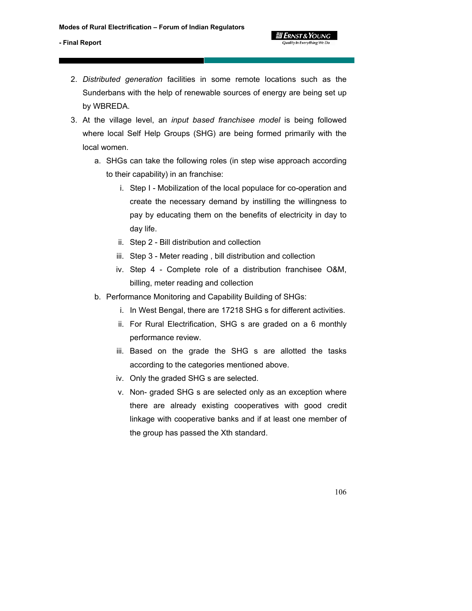- 2. *Distributed generation* facilities in some remote locations such as the Sunderbans with the help of renewable sources of energy are being set up by WBREDA.
- 3. At the village level, an *input based franchisee model* is being followed where local Self Help Groups (SHG) are being formed primarily with the local women.
	- a. SHGs can take the following roles (in step wise approach according to their capability) in an franchise:
		- i. Step I Mobilization of the local populace for co-operation and create the necessary demand by instilling the willingness to pay by educating them on the benefits of electricity in day to day life.

**Y ERNST & YOUNG** Quality In Everything We Do

- ii. Step 2 Bill distribution and collection
- iii. Step 3 Meter reading , bill distribution and collection
- iv. Step 4 Complete role of a distribution franchisee O&M, billing, meter reading and collection
- b. Performance Monitoring and Capability Building of SHGs:
	- i. In West Bengal, there are 17218 SHG s for different activities.
	- ii. For Rural Electrification, SHG s are graded on a 6 monthly performance review.
	- iii. Based on the grade the SHG s are allotted the tasks according to the categories mentioned above.
	- iv. Only the graded SHG s are selected.
	- v. Non- graded SHG s are selected only as an exception where there are already existing cooperatives with good credit linkage with cooperative banks and if at least one member of the group has passed the Xth standard.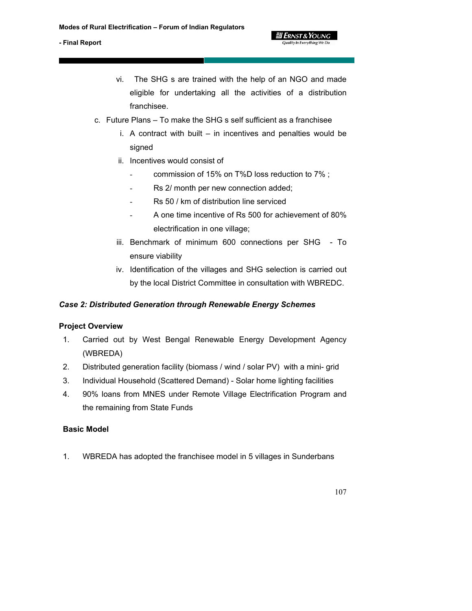vi. The SHG s are trained with the help of an NGO and made eligible for undertaking all the activities of a distribution franchisee.

**g Ernst & Young** Quality In Everything We Do

- c. Future Plans To make the SHG s self sufficient as a franchisee
	- i. A contract with built in incentives and penalties would be signed
	- ii. Incentives would consist of
		- commission of 15% on T%D loss reduction to 7%;
		- Rs 2/ month per new connection added;
		- Rs 50 / km of distribution line serviced
		- A one time incentive of Rs 500 for achievement of 80% electrification in one village;
	- iii. Benchmark of minimum 600 connections per SHG To ensure viability
	- iv. Identification of the villages and SHG selection is carried out by the local District Committee in consultation with WBREDC.

## *Case 2: Distributed Generation through Renewable Energy Schemes*

## **Project Overview**

- 1. Carried out by West Bengal Renewable Energy Development Agency (WBREDA)
- 2. Distributed generation facility (biomass / wind / solar PV) with a mini- grid
- 3. Individual Household (Scattered Demand) Solar home lighting facilities
- 4. 90% loans from MNES under Remote Village Electrification Program and the remaining from State Funds

## **Basic Model**

1. WBREDA has adopted the franchisee model in 5 villages in Sunderbans

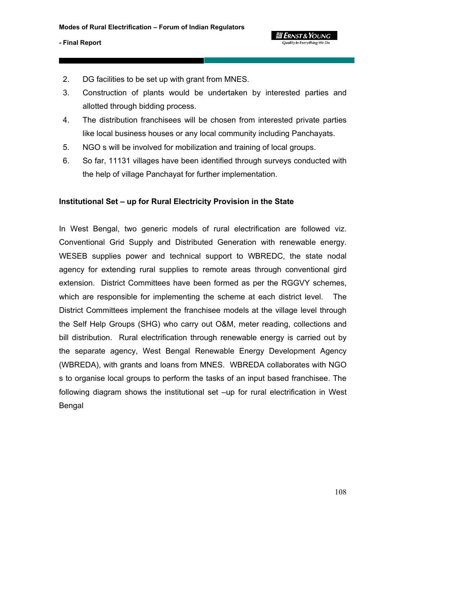- 2. DG facilities to be set up with grant from MNES.
- 3. Construction of plants would be undertaken by interested parties and allotted through bidding process.
- 4. The distribution franchisees will be chosen from interested private parties like local business houses or any local community including Panchayats.
- 5. NGO s will be involved for mobilization and training of local groups.
- 6. So far, 11131 villages have been identified through surveys conducted with the help of village Panchayat for further implementation.

#### **Institutional Set – up for Rural Electricity Provision in the State**

In West Bengal, two generic models of rural electrification are followed viz. Conventional Grid Supply and Distributed Generation with renewable energy. WESEB supplies power and technical support to WBREDC, the state nodal agency for extending rural supplies to remote areas through conventional gird extension. District Committees have been formed as per the RGGVY schemes, which are responsible for implementing the scheme at each district level. The District Committees implement the franchisee models at the village level through the Self Help Groups (SHG) who carry out O&M, meter reading, collections and bill distribution. Rural electrification through renewable energy is carried out by the separate agency, West Bengal Renewable Energy Development Agency (WBREDA), with grants and loans from MNES. WBREDA collaborates with NGO s to organise local groups to perform the tasks of an input based franchisee. The following diagram shows the institutional set –up for rural electrification in West Bengal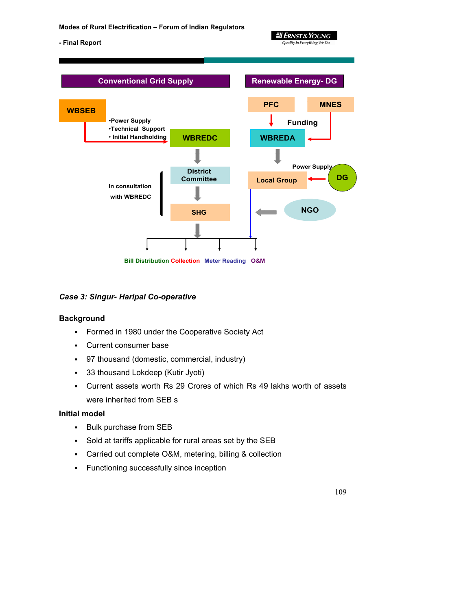

**3 Ernst & Young Quality In Everything We Do** 

#### *Case 3: Singur- Haripal Co-operative*

#### **Background**

- **Formed in 1980 under the Cooperative Society Act**
- Current consumer base
- 97 thousand (domestic, commercial, industry)
- 33 thousand Lokdeep (Kutir Jyoti)
- Current assets worth Rs 29 Crores of which Rs 49 lakhs worth of assets were inherited from SEB s

#### **Initial model**

- **Bulk purchase from SEB**
- Sold at tariffs applicable for rural areas set by the SEB
- Carried out complete O&M, metering, billing & collection
- **Functioning successfully since inception**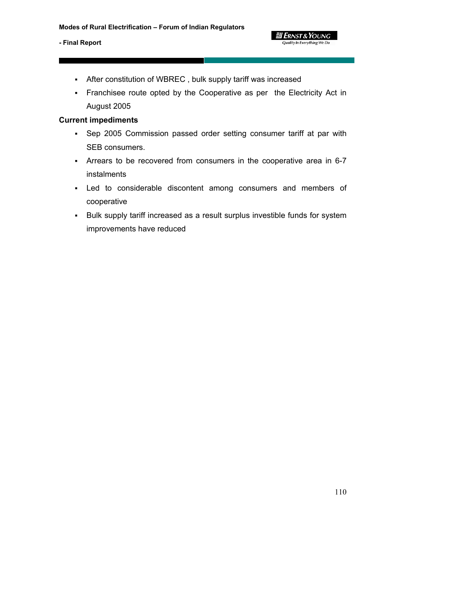- After constitution of WBREC , bulk supply tariff was increased
- Franchisee route opted by the Cooperative as per the Electricity Act in August 2005

 **2 ERNST & YOUNG Quality In Everything We Do** 

#### **Current impediments**

- Sep 2005 Commission passed order setting consumer tariff at par with SEB consumers.
- Arrears to be recovered from consumers in the cooperative area in 6-7 instalments
- Led to considerable discontent among consumers and members of cooperative
- Bulk supply tariff increased as a result surplus investible funds for system improvements have reduced

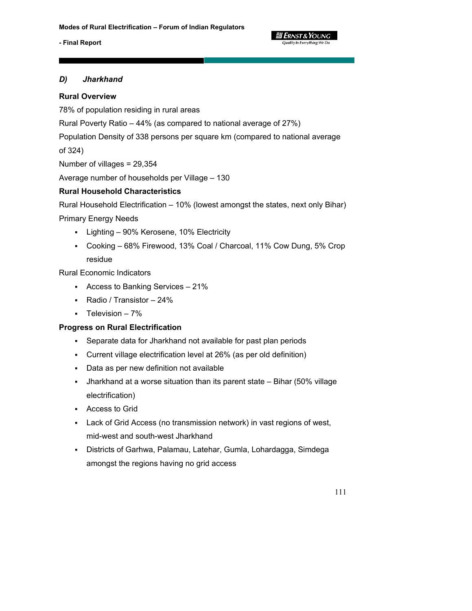

# *D) Jharkhand*

# **Rural Overview**

78% of population residing in rural areas

Rural Poverty Ratio – 44% (as compared to national average of 27%)

Population Density of 338 persons per square km (compared to national average

of 324)

Number of villages = 29,354

Average number of households per Village – 130

# **Rural Household Characteristics**

Rural Household Electrification – 10% (lowest amongst the states, next only Bihar)

Primary Energy Needs

- Lighting 90% Kerosene, 10% Electricity
- Cooking 68% Firewood, 13% Coal / Charcoal, 11% Cow Dung, 5% Crop residue

Rural Economic Indicators

- Access to Banking Services 21%
- Radio / Transistor 24%
- $\blacksquare$  Television 7%

# **Progress on Rural Electrification**

- Separate data for Jharkhand not available for past plan periods
- Current village electrification level at 26% (as per old definition)
- Data as per new definition not available
- Jharkhand at a worse situation than its parent state Bihar (50% village electrification)
- Access to Grid
- Lack of Grid Access (no transmission network) in vast regions of west, mid-west and south-west Jharkhand
- Districts of Garhwa, Palamau, Latehar, Gumla, Lohardagga, Simdega amongst the regions having no grid access

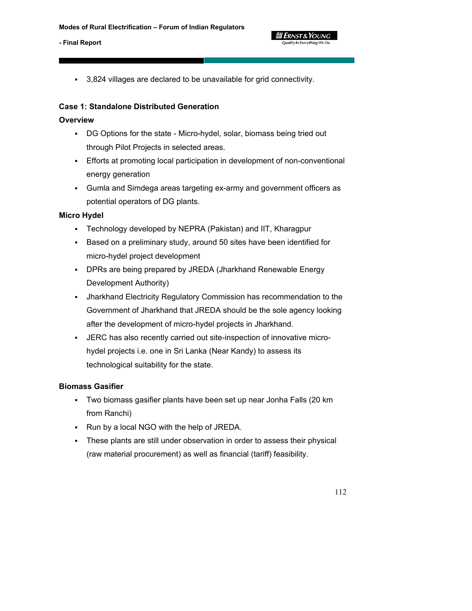3,824 villages are declared to be unavailable for grid connectivity.

**g** Ernst & Young Quality In Everything We Do

# **Case 1: Standalone Distributed Generation**

## **Overview**

- DG Options for the state Micro-hydel, solar, biomass being tried out through Pilot Projects in selected areas.
- Efforts at promoting local participation in development of non-conventional energy generation
- Gumla and Simdega areas targeting ex-army and government officers as potential operators of DG plants.

#### **Micro Hydel**

- Technology developed by NEPRA (Pakistan) and IIT, Kharagpur
- Based on a preliminary study, around 50 sites have been identified for micro-hydel project development
- DPRs are being prepared by JREDA (Jharkhand Renewable Energy Development Authority)
- Jharkhand Electricity Regulatory Commission has recommendation to the Government of Jharkhand that JREDA should be the sole agency looking after the development of micro-hydel projects in Jharkhand.
- JERC has also recently carried out site-inspection of innovative microhydel projects i.e. one in Sri Lanka (Near Kandy) to assess its technological suitability for the state.

#### **Biomass Gasifier**

- Two biomass gasifier plants have been set up near Jonha Falls (20 km from Ranchi)
- Run by a local NGO with the help of JREDA.
- These plants are still under observation in order to assess their physical (raw material procurement) as well as financial (tariff) feasibility.

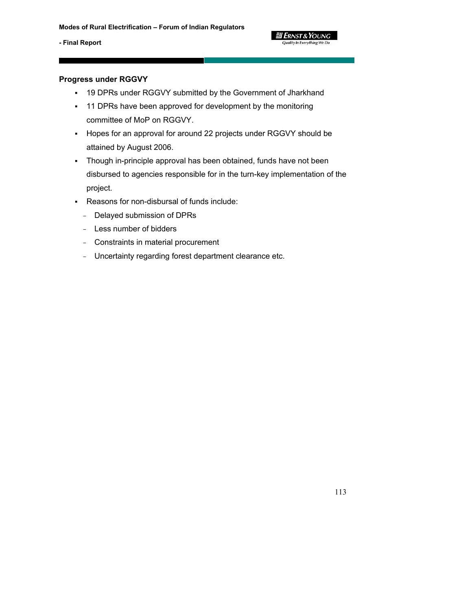

## **Progress under RGGVY**

- 19 DPRs under RGGVY submitted by the Government of Jharkhand
- <sup>-</sup> 11 DPRs have been approved for development by the monitoring committee of MoP on RGGVY.
- Hopes for an approval for around 22 projects under RGGVY should be attained by August 2006.
- Though in-principle approval has been obtained, funds have not been disbursed to agencies responsible for in the turn-key implementation of the project.
- Reasons for non-disbursal of funds include:
	- Delayed submission of DPRs
	- Less number of bidders
	- Constraints in material procurement
	- Uncertainty regarding forest department clearance etc.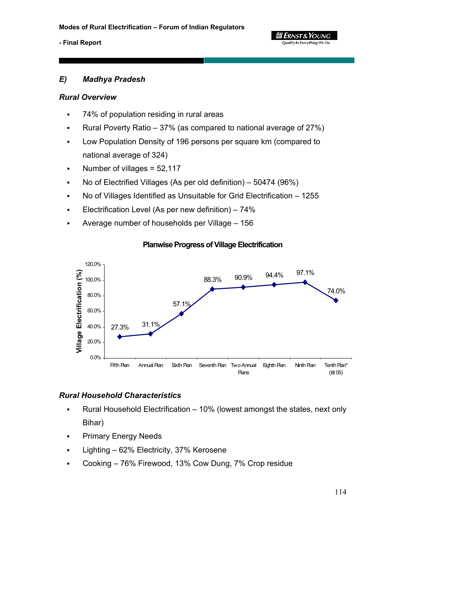

## *E) Madhya Pradesh*

#### *Rural Overview*

- 74% of population residing in rural areas
- Rural Poverty Ratio 37% (as compared to national average of 27%)
- Low Population Density of 196 persons per square km (compared to national average of 324)
- Number of villages = 52,117
- No of Electrified Villages (As per old definition) 50474 (96%)
- No of Villages Identified as Unsuitable for Grid Electrification 1255
- Electrification Level (As per new definition) 74%
- Average number of households per Village 156



#### **Planwise Progress of Village Electrification**

#### *Rural Household Characteristics*

- Rural Household Electrification 10% (lowest amongst the states, next only Bihar)
- Primary Energy Needs
- Lighting 62% Electricity, 37% Kerosene
- Cooking 76% Firewood, 13% Cow Dung, 7% Crop residue

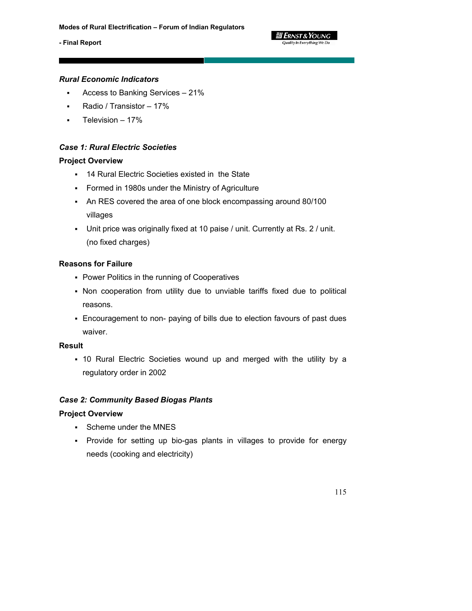

# *Rural Economic Indicators*

- Access to Banking Services 21%
- Radio / Transistor 17%
- Television 17%

# *Case 1: Rural Electric Societies*

# **Project Overview**

- 14 Rural Electric Societies existed in the State
- Formed in 1980s under the Ministry of Agriculture
- An RES covered the area of one block encompassing around 80/100 villages
- Unit price was originally fixed at 10 paise / unit. Currently at Rs. 2 / unit. (no fixed charges)

# **Reasons for Failure**

- **Power Politics in the running of Cooperatives**
- Non cooperation from utility due to unviable tariffs fixed due to political reasons.
- Encouragement to non- paying of bills due to election favours of past dues waiver.

# **Result**

 10 Rural Electric Societies wound up and merged with the utility by a regulatory order in 2002

## *Case 2: Community Based Biogas Plants*

#### **Project Overview**

- Scheme under the MNES
- Provide for setting up bio-gas plants in villages to provide for energy needs (cooking and electricity)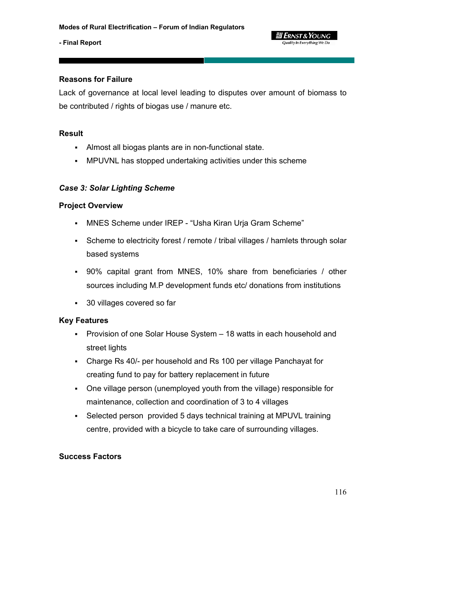## **Reasons for Failure**

Lack of governance at local level leading to disputes over amount of biomass to be contributed / rights of biogas use / manure etc.

#### **Result**

- Almost all biogas plants are in non-functional state.
- MPUVNL has stopped undertaking activities under this scheme

# *Case 3: Solar Lighting Scheme*

#### **Project Overview**

- MNES Scheme under IREP "Usha Kiran Urja Gram Scheme"
- Scheme to electricity forest / remote / tribal villages / hamlets through solar based systems
- 90% capital grant from MNES, 10% share from beneficiaries / other sources including M.P development funds etc/ donations from institutions
- 30 villages covered so far

#### **Key Features**

- Provision of one Solar House System 18 watts in each household and street lights
- Charge Rs 40/- per household and Rs 100 per village Panchayat for creating fund to pay for battery replacement in future
- One village person (unemployed youth from the village) responsible for maintenance, collection and coordination of 3 to 4 villages
- Selected person provided 5 days technical training at MPUVL training centre, provided with a bicycle to take care of surrounding villages.

#### **Success Factors**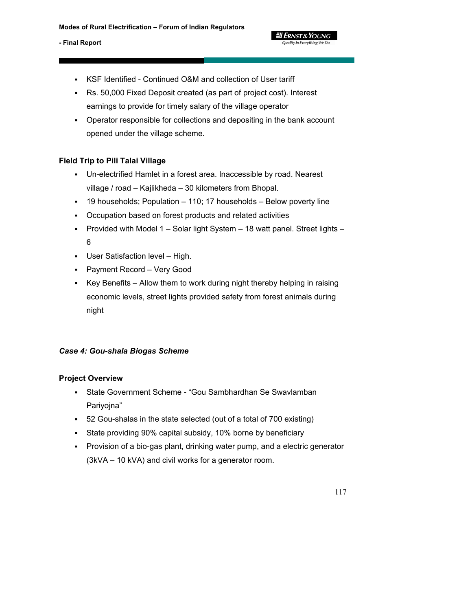- KSF Identified Continued O&M and collection of User tariff
- Rs. 50,000 Fixed Deposit created (as part of project cost). Interest earnings to provide for timely salary of the village operator
- Operator responsible for collections and depositing in the bank account opened under the village scheme.

**g** Ernst & Young Quality In Everything We Do

# **Field Trip to Pili Talai Village**

- Un-electrified Hamlet in a forest area. Inaccessible by road. Nearest village / road – Kajlikheda – 30 kilometers from Bhopal.
- 19 households; Population 110; 17 households Below poverty line
- Occupation based on forest products and related activities
- Provided with Model 1 Solar light System 18 watt panel. Street lights 6
- User Satisfaction level High.
- Payment Record Very Good
- Key Benefits Allow them to work during night thereby helping in raising economic levels, street lights provided safety from forest animals during night

#### *Case 4: Gou-shala Biogas Scheme*

#### **Project Overview**

- State Government Scheme "Gou Sambhardhan Se Swavlamban Pariyojna"
- 52 Gou-shalas in the state selected (out of a total of 700 existing)
- State providing 90% capital subsidy, 10% borne by beneficiary
- Provision of a bio-gas plant, drinking water pump, and a electric generator (3kVA – 10 kVA) and civil works for a generator room.

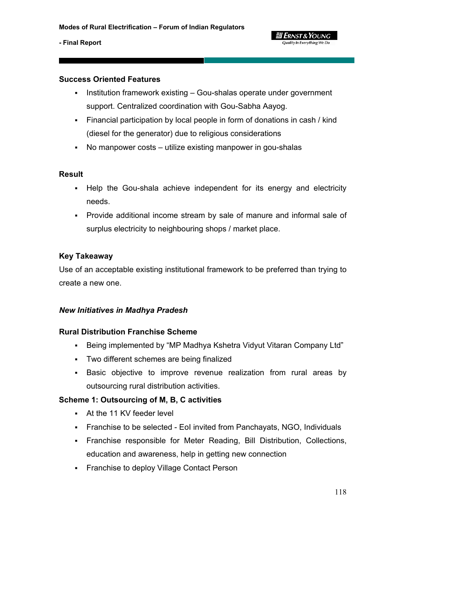#### **g Ernst & Young** Quality In Everything We Do

#### **- Final Report**

#### **Success Oriented Features**

- Institution framework existing Gou-shalas operate under government support. Centralized coordination with Gou-Sabha Aayog.
- Financial participation by local people in form of donations in cash / kind (diesel for the generator) due to religious considerations
- No manpower costs utilize existing manpower in gou-shalas

#### **Result**

- Help the Gou-shala achieve independent for its energy and electricity needs.
- Provide additional income stream by sale of manure and informal sale of surplus electricity to neighbouring shops / market place.

#### **Key Takeaway**

Use of an acceptable existing institutional framework to be preferred than trying to create a new one.

#### *New Initiatives in Madhya Pradesh*

#### **Rural Distribution Franchise Scheme**

- Being implemented by "MP Madhya Kshetra Vidyut Vitaran Company Ltd"
- Two different schemes are being finalized
- Basic objective to improve revenue realization from rural areas by outsourcing rural distribution activities.

#### **Scheme 1: Outsourcing of M, B, C activities**

- At the 11 KV feeder level
- Franchise to be selected EoI invited from Panchayats, NGO, Individuals
- Franchise responsible for Meter Reading, Bill Distribution, Collections, education and awareness, help in getting new connection
- **Franchise to deploy Village Contact Person**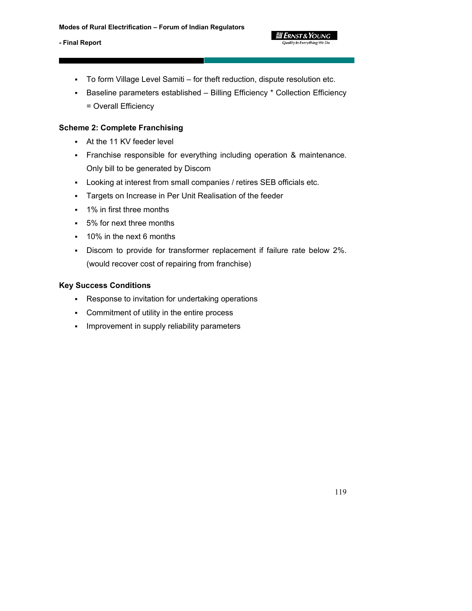- To form Village Level Samiti for theft reduction, dispute resolution etc.
- Baseline parameters established Billing Efficiency \* Collection Efficiency = Overall Efficiency

*ERNST & Young* Quality In Everything We Do

# **Scheme 2: Complete Franchising**

- At the 11 KV feeder level
- Franchise responsible for everything including operation & maintenance. Only bill to be generated by Discom
- Looking at interest from small companies / retires SEB officials etc.
- Targets on Increase in Per Unit Realisation of the feeder
- 1% in first three months
- 5% for next three months
- 10% in the next 6 months
- Discom to provide for transformer replacement if failure rate below 2%. (would recover cost of repairing from franchise)

# **Key Success Conditions**

- Response to invitation for undertaking operations
- Commitment of utility in the entire process
- **Improvement in supply reliability parameters**

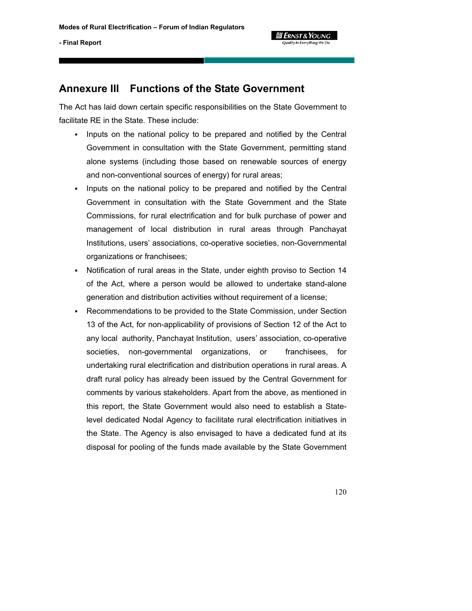

# **Annexure III Functions of the State Government**

The Act has laid down certain specific responsibilities on the State Government to facilitate RE in the State. These include:

- Inputs on the national policy to be prepared and notified by the Central Government in consultation with the State Government, permitting stand alone systems (including those based on renewable sources of energy and non-conventional sources of energy) for rural areas;
- Inputs on the national policy to be prepared and notified by the Central Government in consultation with the State Government and the State Commissions, for rural electrification and for bulk purchase of power and management of local distribution in rural areas through Panchayat Institutions, users' associations, co-operative societies, non-Governmental organizations or franchisees;
- Notification of rural areas in the State, under eighth proviso to Section 14 of the Act, where a person would be allowed to undertake stand-alone generation and distribution activities without requirement of a license;
- Recommendations to be provided to the State Commission, under Section 13 of the Act, for non-applicability of provisions of Section 12 of the Act to any local authority, Panchayat Institution, users' association, co-operative societies, non-governmental organizations, or franchisees, for undertaking rural electrification and distribution operations in rural areas. A draft rural policy has already been issued by the Central Government for comments by various stakeholders. Apart from the above, as mentioned in this report, the State Government would also need to establish a Statelevel dedicated Nodal Agency to facilitate rural electrification initiatives in the State. The Agency is also envisaged to have a dedicated fund at its disposal for pooling of the funds made available by the State Government

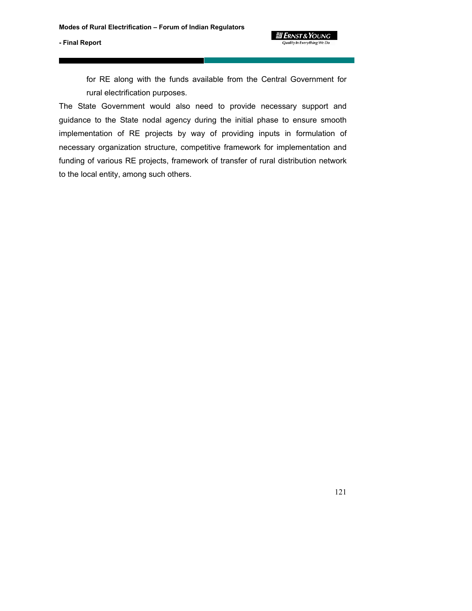for RE along with the funds available from the Central Government for rural electrification purposes.

 **2 ERNST & YOUNG** Quality In Everything We Do

The State Government would also need to provide necessary support and guidance to the State nodal agency during the initial phase to ensure smooth implementation of RE projects by way of providing inputs in formulation of necessary organization structure, competitive framework for implementation and funding of various RE projects, framework of transfer of rural distribution network to the local entity, among such others.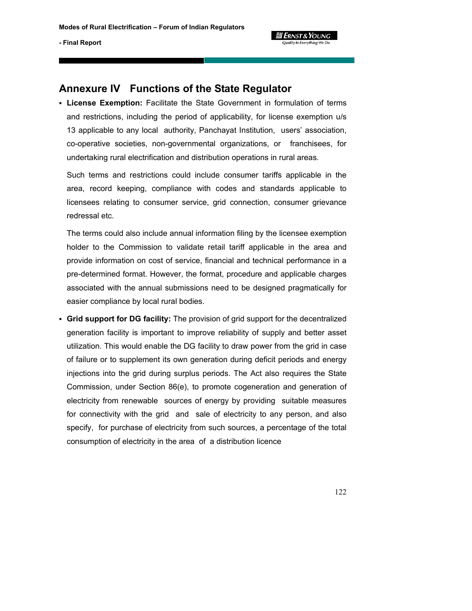

# **Annexure IV Functions of the State Regulator**

 **License Exemption:** Facilitate the State Government in formulation of terms and restrictions, including the period of applicability, for license exemption u/s 13 applicable to any local authority, Panchayat Institution, users' association, co-operative societies, non-governmental organizations, or franchisees, for undertaking rural electrification and distribution operations in rural areas.

Such terms and restrictions could include consumer tariffs applicable in the area, record keeping, compliance with codes and standards applicable to licensees relating to consumer service, grid connection, consumer grievance redressal etc.

The terms could also include annual information filing by the licensee exemption holder to the Commission to validate retail tariff applicable in the area and provide information on cost of service, financial and technical performance in a pre-determined format. However, the format, procedure and applicable charges associated with the annual submissions need to be designed pragmatically for easier compliance by local rural bodies.

 **Grid support for DG facility:** The provision of grid support for the decentralized generation facility is important to improve reliability of supply and better asset utilization. This would enable the DG facility to draw power from the grid in case of failure or to supplement its own generation during deficit periods and energy injections into the grid during surplus periods. The Act also requires the State Commission, under Section 86(e), to promote cogeneration and generation of electricity from renewable sources of energy by providing suitable measures for connectivity with the grid and sale of electricity to any person, and also specify, for purchase of electricity from such sources, a percentage of the total consumption of electricity in the area of a distribution licence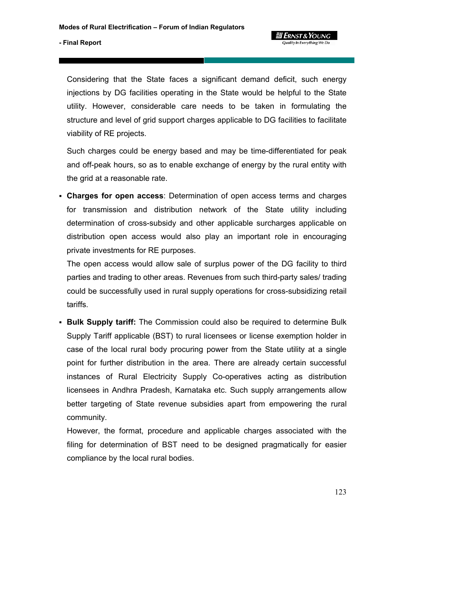Considering that the State faces a significant demand deficit, such energy injections by DG facilities operating in the State would be helpful to the State utility. However, considerable care needs to be taken in formulating the structure and level of grid support charges applicable to DG facilities to facilitate viability of RE projects.

Such charges could be energy based and may be time-differentiated for peak and off-peak hours, so as to enable exchange of energy by the rural entity with the grid at a reasonable rate.

 **Charges for open access**: Determination of open access terms and charges for transmission and distribution network of the State utility including determination of cross-subsidy and other applicable surcharges applicable on distribution open access would also play an important role in encouraging private investments for RE purposes.

The open access would allow sale of surplus power of the DG facility to third parties and trading to other areas. Revenues from such third-party sales/ trading could be successfully used in rural supply operations for cross-subsidizing retail tariffs.

 **Bulk Supply tariff:** The Commission could also be required to determine Bulk Supply Tariff applicable (BST) to rural licensees or license exemption holder in case of the local rural body procuring power from the State utility at a single point for further distribution in the area. There are already certain successful instances of Rural Electricity Supply Co-operatives acting as distribution licensees in Andhra Pradesh, Karnataka etc. Such supply arrangements allow better targeting of State revenue subsidies apart from empowering the rural community.

However, the format, procedure and applicable charges associated with the filing for determination of BST need to be designed pragmatically for easier compliance by the local rural bodies.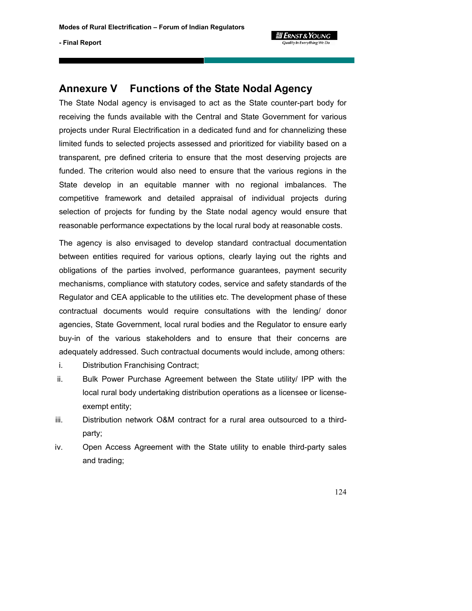

# **Annexure V Functions of the State Nodal Agency**

The State Nodal agency is envisaged to act as the State counter-part body for receiving the funds available with the Central and State Government for various projects under Rural Electrification in a dedicated fund and for channelizing these limited funds to selected projects assessed and prioritized for viability based on a transparent, pre defined criteria to ensure that the most deserving projects are funded. The criterion would also need to ensure that the various regions in the State develop in an equitable manner with no regional imbalances. The competitive framework and detailed appraisal of individual projects during selection of projects for funding by the State nodal agency would ensure that reasonable performance expectations by the local rural body at reasonable costs.

The agency is also envisaged to develop standard contractual documentation between entities required for various options, clearly laying out the rights and obligations of the parties involved, performance guarantees, payment security mechanisms, compliance with statutory codes, service and safety standards of the Regulator and CEA applicable to the utilities etc. The development phase of these contractual documents would require consultations with the lending/ donor agencies, State Government, local rural bodies and the Regulator to ensure early buy-in of the various stakeholders and to ensure that their concerns are adequately addressed. Such contractual documents would include, among others:

- i. Distribution Franchising Contract;
- ii. Bulk Power Purchase Agreement between the State utility/ IPP with the local rural body undertaking distribution operations as a licensee or licenseexempt entity;
- iii. Distribution network O&M contract for a rural area outsourced to a thirdparty;
- iv. Open Access Agreement with the State utility to enable third-party sales and trading;